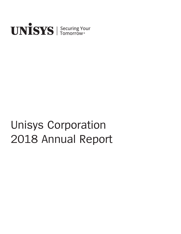

# Unisys Corporation 2018 Annual Report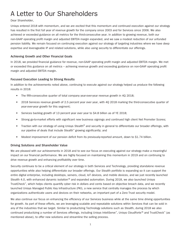# A Letter to Our Shareholders

#### Dear Shareholder,

Unisys entered 2018 with momentum, and we are excited that this momentum and continued execution against our strategy has resulted in the first full year of revenue growth for the company since 2003 and for Services since 2006. We also achieved or exceeded guidance on all metrics for the third-consecutive year. In addition to growing revenue, both our non-GAAP operating profit margin and adjusted EBITDA margin expanded, and we saw a modest reduction of our unfunded pension liability. We remain focused on continuing execution against our strategy of targeting industries where we have deep expertise and leverageable IP and related solutions, while also using security to differentiate our offerings.

#### **Achieving Growth and Other Financial Goals**

In 2018, we provided financial guidance for revenue, non-GAAP operating profit margin and adjusted EBITDA margin. We met or exceeded this guidance on all metrics – achieving revenue growth and exceeding guidance on non-GAAP operating profit margin and adjusted EBITDA margin.

#### **Focused Execution Leading to Strong Results**

In addition to the achievements noted above, continuing to execute against our strategy helped us produce the following results in 2018:

- The fifth-consecutive quarter of total company year-over-year revenue growth in 4Q 2018;
- 2018 Services revenue growth of 2.5 percent year over year, with 4Q 2018 marking the third-consecutive quarter of year-over-year growth for this segment;
- Services backlog growth of 13 percent year over year to \$4.8 billion as of YE 2018;
- Strong go-to-market efforts with significant new business signings and continued high client Net Promoter Scores;
- Traction with our strategy of using Unisys Stealth® and security in general to differentiate our broader offerings, with our pipeline of deals that include Stealth™ growing significantly; and
- Modest improvement of our pension deficit from its previously-reported amount, down to \$1.74 billion.

#### **Driving Solutions and Shareholder Value**

We are pleased with our achievements in 2018 and to see our focus on executing against our strategy make a meaningful impact on our financial performance. We are highly focused on maintaining this momentum in 2019 and on continuing to drive revenue growth and enhancing profitability over time.

Security continues to be a critical element of our strategy in both Services and Technology, providing standalone revenue opportunities while also helping differentiate our broader offerings. Our Stealth portfolio is expanding so it can support the entire digital enterprise, including desktops, servers, cloud, IoT devices, and mobile devices, and we just recently launched Stealth 4.0, with enhanced dynamic isolation™ and expanded automation. During 2018, we also launched Unisys TrustCheck™, which helps clients quantify cyber risk in dollars and cents based on objective breach data, and we recently launched Unisys Managed Public Key Infrastructure (PKI), a new service that centrally manages the process by which organizations authenticate users and devices on their networks, an important part of a Zero Trust security model.

We also continue our focus on enhancing the efficiency of our Services business while at the same time driving opportunities for growth. As part of these efforts, we are leveraging scalable and repeatable solutions within Services that can be sold in any of the industries that we target. Similar to productizing Technology solutions such as Stealth, during 2018 we also continued productizing a number of Services offerings, including Unisys InteliServe™, Unisys CloudForte™ and TrustCheck™ (as mentioned above), to offer new solutions and streamline the selling process.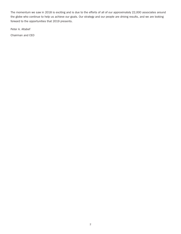The momentum we saw in 2018 is exciting and is due to the efforts of all of our approximately 22,000 associates around the globe who continue to help us achieve our goals. Our strategy and our people are driving results, and we are looking forward to the opportunities that 2019 presents.

Peter A. Altabef

Chairman and CEO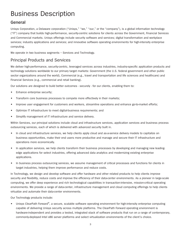# Business Description

### **General**

Unisys Corporation, a Delaware corporation ("Unisys," "we," "our," or the "company"), is a global information technology ("IT") company that builds high-performance, security-centric solutions for clients across the Government, Financial Services and Commercial markets. Unisys offerings include security software and services; digital transformation and workplace services; industry applications and services; and innovative software operating environments for high-intensity enterprise computing.

We operate in two business segments – Services and Technology.

### Principal Products and Services

We deliver high-performance, security-centric, leveraged services across industries, industry-specific application products and technology solutions worldwide to our primary target markets: Government (the U.S. federal government and other public sector organizations around the world), Commercial (e.g., travel and transportation and life sciences and healthcare) and Financial Services (e.g., commercial and retail banking).

Our solutions are designed to build better outcomes - securely - for our clients, enabling them to:

- Enhance enterprise security;
- Transform core business processes to compete more effectively in their markets;
- Improve user engagement for customers and workers, streamline operations and enhance go-to-market efforts;
- Optimize IT infrastructure to meet digital-business requirements; and
- Simplify management of IT infrastructure and service delivery.

Within Services, our principal solutions include cloud and infrastructure services, application services and business process outsourcing services, each of which is delivered with advanced security built in.

- In cloud and infrastructure services, we help clients apply cloud and as-a-service delivery models to capitalize on business opportunities, make their end users more productive and manage and secure their IT infrastructure and operations more economically.
- In application services, we help clients transform their business processes by developing and managing new leadingedge applications for select industries, offering advanced data analytics and modernizing existing enterprise applications.
- In business process outsourcing services, we assume management of critical processes and functions for clients in target industries, helping them improve performance and reduce costs.

In Technology, we design and develop software and offer hardware and other related products to help clients improve security and flexibility, reduce costs and improve the efficiency of their data-center environments. As a pioneer in large-scale computing, we offer deep experience and rich technological capabilities in transaction-intensive, mission-critical operating environments. We provide a range of data-center, infrastructure management and cloud computing offerings to help clients virtualize and automate their data-center environments.

Our Technology products include:

• Unisys ClearPath Forward®, a secure, scalable software operating environment for high-intensity enterprise computing capable of delivering Unisys security across multiple platforms. The ClearPath Forward operating environment is hardware-independent and provides a tested, integrated stack of software products that run on a range of contemporary, commonly-deployed Intel x86 server platforms and select virtualization environments of the client's choice.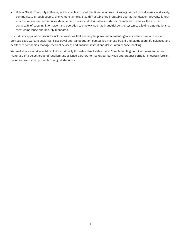• Unisys Stealth<sup>®</sup> security software, which enables trusted identities to access micro-segmented critical assets and safely communicate through secure, encrypted channels. Stealth™ establishes irrefutable user authentication, prevents lateral attacker movement and reduces data center, mobile and cloud attack surfaces. Stealth also reduces the cost and complexity of securing information and operation technology such as industrial control systems, allowing organizations to meet compliance and security mandates.

Our industry application products include solutions that securely help law enforcement agencies solve crime and social services case workers assist families; travel and transportation companies manage freight and distribution; life sciences and healthcare companies manage medical devices; and financial institutions deliver omnichannel banking.

We market our security-centric solutions primarily through a direct sales force. Complementing our direct sales force, we make use of a select group of resellers and alliance partners to market our services and product portfolio. In certain foreign countries, we market primarily through distributors.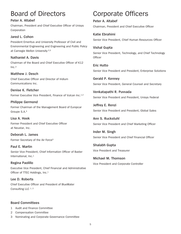# Board of Directors

#### **Peter A. Altabef**

Chairman, President and Chief Executive Officer of Unisys Corporation

#### **Jared L. Cohon**

President Emeritus and University Professor of Civil and Environmental Engineering and Engineering and Public Policy at Carnegie Mellon University 2,3

**Nathaniel A. Davis** Chairman of the Board and Chief Executive Officer of K12  $Inc.<sup>3</sup>$ 

**Matthew J. Desch**

Chief Executive Officer and Director of Iridium Communications Inc.

**Denise K. Fletcher** Former Executive Vice President, Finance of Vulcan Inc.<sup>1,2</sup>

**Philippe Germond** Former Chairman of the Management Board of Europcar Groupe S.A.3

**Lisa A. Hook** Former President and Chief Executive Officer at Neustar, Inc.

**Deborah L. James** Former Secretary of the Air Force3

**Paul E. Martin** Senior Vice President, Chief Information Officer of Baxter International, Inc.1

**Regina Paolillo** Executive Vice President, Chief Financial and Administrative Officer of TTEC Holdings, Inc.1

**Lee D. Roberts** Chief Executive Officer and President of BlueWater Consulting LLC 1, 2

#### **Board Committees**

1 Audit and Finance Committee

2 Compensation Committee

3 Nominating and Corporate Governance Committee

# Corporate Officers

**Peter A. Altabef** Chairman, President and Chief Executive Officer

#### **Katie Ebrahimi**

Senior Vice President, Chief Human Resources Officer

**Vishal Gupta** Senior Vice President, Technology, and Chief Technology **Officer** 

**Eric Hutto** Senior Vice President and President, Enterprise Solutions

**Gerald P. Kenney** Senior Vice President, General Counsel and Secretary

**Venkatapathi R. Puvvada** Senior Vice President and President, Unisys Federal

**Jeffrey E. Renzi** Senior Vice President and President, Global Sales

**Ann S. Ruckstuhl** Senior Vice President and Chief Marketing Officer

**Inder M. Singh** Senior Vice President and Chief Financial Officer

**Shalabh Gupta** Vice President and Treasurer

**Michael M. Thomson** Vice President and Corporate Controller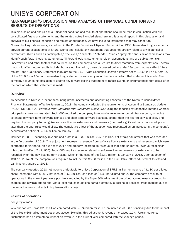### UNISYS CORPORATION **MANAGEMENT'S DISCUSSION AND ANALYSIS OF FINANCIAL CONDITION AND RESULTS OF OPERATIONS**

This discussion and analysis of our financial condition and results of operations should be read in conjunction with our consolidated financial statements and the related notes included elsewhere in this annual report. In this discussion and analysis of our financial condition and results of operations, we have included information that may constitute "forwardlooking" statements, as defined in the Private Securities Litigation Reform Act of 1995. Forward-looking statements provide current expectations of future events and include any statement that does not directly relate to any historical or current fact. Words such as "anticipates," "believes," "expects," "intends," "plans," "projects" and similar expressions may identify such forward-looking statements. All forward-looking statements rely on assumptions and are subject to risks, uncertainties and other factors that could cause the company's actual results to differ materially from expectations. Factors that could affect future results include, but are not limited to, those discussed below under "Factors that may affect future results" and "Cautionary Statement Pursuant to the U.S. Private Securities Litigation Reform Act of 1995" in Part I, Item 1A of the 2018 Form 10-K. Any forward-looking statement speaks only as of the date on which that statement is made. The company assumes no obligation to update any forward-looking statement to reflect events or circumstances that occur after the date on which the statement is made.

#### **Overview**

As described in Note 2, "Recent accounting pronouncements and accounting changes," of the Notes to Consolidated Financial Statements, effective January 1, 2018, the company adopted the requirements of Accounting Standards Update ("ASU") No. 2014-09, *Revenue from Contracts with Customers (Topic 606)* using the modified retrospective method whereby prior periods were not restated. Topic 606 required the company to recognize revenue for certain transactions, including extended payment term software licenses and short-term software licenses, sooner than the prior rules would allow and required the company to recognize software license extensions and renewals (the most significant impact upon adoption) later than the prior rules would allow. The cumulative effect of the adoption was recognized as an increase in the company's accumulated deficit of \$21.4 million on January 1, 2018.

Included in 2018 Technology revenue and profit is a \$53.0 million (\$47.7 million, net of tax) adjustment that was recorded in the first quarter of 2018. The adjustment represents revenue from software license extensions and renewals, which were contracted for in the fourth quarter of 2017 and properly recorded as revenue at that time under the revenue recognition rules then in effect (Topic 605). Topic 606 requires revenue related to software license renewals or extensions to be recorded when the new license term begins, which in the case of the \$53.0 million, is January 1, 2018. Upon adoption of ASU No. 2014-09, the company was required to include this \$53.0 million in the cumulative effect adjustment to retained earnings on January 1, 2018.

The company reported 2018 net income attributable to Unisys Corporation of \$75.5 million, or income of \$1.30 per diluted share, compared with a 2017 net loss of \$65.3 million, or a loss of \$1.30 per diluted share. The company's results of operations in the current year were positively impacted by the Topic 606 adjustment described above, lower cost-reduction charges and savings due to prior-years' cost-reduction actions partially offset by a decline in Services gross margins due to the impact of new contracts in implementation stage.

#### **Results of operations**

#### *Company results*

Revenue for 2018 was \$2.83 billion compared with \$2.74 billion for 2017, an increase of 3.0% principally due to the impact of the Topic 606 adjustment described above. Excluding this adjustment, revenue increased 1.1%. Foreign currency fluctuations had an immaterial impact on revenue in the current year compared with the year-ago period.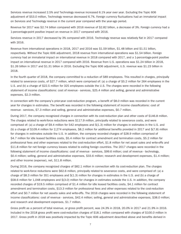Services revenue increased 2.5% and Technology revenue increased 6.1% year over year. Excluding the Topic 606 adjustment of \$53.0 million, Technology revenue decreased 6.7%. Foreign currency fluctuations had an immaterial impact on Services and Technology revenue in the current year compared with the year-ago period.

Revenue for 2017 was \$2.74 billion compared with 2016 revenue of \$2.82 billion, a decrease of 3%. Foreign currency had a 1-percentage-point positive impact on revenue in 2017 compared with 2016.

Services revenue in 2017 decreased by 3% compared with 2016. Technology revenue was relatively flat in 2017 compared with 2016.

Revenue from international operations in 2018, 2017 and 2016 was \$1.59 billion, \$1.48 billion and \$1.51 billion, respectively. Without the Topic 606 adjustment, 2018 revenue from international operations was \$1.54 billion. Foreign currency had an immaterial impact on international revenue in 2018 compared with 2017, and a 1-percentage-point positive impact on international revenue in 2017 compared with 2016. Revenue from U.S. operations was \$1.24 billion in 2018, \$1.26 billion in 2017 and \$1.31 billion in 2016. Excluding the Topic 606 adjustment, U.S. revenue was \$1.23 billion in 2018.

In the fourth quarter of 2018, the company committed to a reduction of 589 employees. This resulted in charges, principally related to severance costs, of \$27.7 million, which were comprised of: (a) a charge of \$5.2 million for 264 employees in the U.S. and (b) a charge of \$22.5 million for 325 employees outside the U.S. The charges were recorded in the following statement of income classifications: cost of revenue - services, \$25.4 million and selling, general and administrative expenses, \$2.3 million.

In connection with the company's prior-year cost-reduction program, a benefit of \$8.0 million was recorded in the current year for changes in estimates. The benefit was recorded in the following statement of income classifications: cost of revenue - services, \$7.3 million and selling, general and administrative expenses, \$0.7 million.

During 2017, the company recognized charges in connection with its cost-reduction plan and other costs of \$146.8 million. The charges related to work-force reductions were \$117.9 million, principally related to severance costs, and were comprised of: (a) a charge of \$9.4 million for 542 employees and \$(1.3) million for changes in estimates in the U.S. and (b) a charge of \$109.4 million for 2,274 employees, \$8.2 million for additional benefits provided in 2017 and \$(7.8) million for changes in estimates outside the U.S. In addition, the company recorded charges of \$28.9 million comprised of \$4.7 million for idle leased facilities costs, \$5.4 million for contract amendment and termination costs, \$5.2 million for professional fees and other expenses related to the cost-reduction effort, \$1.8 million for net asset sales and write-offs and \$11.8 million for net foreign currency losses related to exiting foreign countries. The 2017 charges were recorded in the following statement of income classifications: cost of revenue - services, \$99.6 million; cost of revenue - technology, \$0.4 million; selling, general and administrative expenses, \$33.6 million; research and development expenses, \$1.4 million; and other income (expense), net, \$11.8 million.

During 2016, the company recognized charges of \$82.1 million in connection with its cost-reduction plan. The charges related to work-force reductions were \$62.6 million, principally related to severance costs, and were comprised of: (a) a charge of \$8.3 million for 351 employees and \$(1.3) million for changes in estimates in the U.S. and (b) a charge of \$58.6 million for 1,048 employees and \$(3.0) million for changes in estimates outside the U.S. In addition, the company recorded charges of \$19.5 million comprised of \$1.4 million for idle leased facilities costs, \$4.1 million for contract amendment and termination costs, \$13.3 million for professional fees and other expenses related to the cost-reduction effort and \$0.7 million for net assets sales and write-offs. The 2016 charges were recorded in the following statement of income classifications: cost of revenue - services, \$42.4 million; selling, general and administrative expenses, \$38.0 million; and research and development expenses, \$1.7 million.

Gross profit as a percent of total revenue, or gross profit percent, was 24.3% in 2018, 20.0% in 2017 and 21.9% in 2016. Included in the 2018 gross profit were cost-reduction charges of \$18.1 million compared with charges of \$100.0 million in 2017. Gross profit in 2018 was positively impacted by the Topic 606 adjustment described above and benefits derived in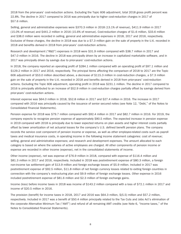2018 from the prior-years' cost-reduction actions. Excluding the Topic 606 adjustment, total 2018 gross profit percent was 22.8%. The decline in 2017 compared to 2016 was principally due to higher cost-reduction charges in 2017 of \$57.6 million.

Selling, general and administrative expenses were \$370.3 million in 2018 (13.1% of revenue), \$411.9 million in 2017 (15.0% of revenue) and \$441.2 million in 2016 (15.6% of revenue). Cost-reduction charges of \$1.6 million, \$33.6 million and \$38.0 million were recorded in selling, general and administrative expenses in 2018, 2017 and 2016, respectively. Exclusive of these charges, the decline in 2018 was due to a \$7.3 million gain on the sale of property in the U.K. recorded in 2018 and benefits derived in 2018 from prior-years' cost-reduction actions.

Research and development ("R&D") expenses in 2018 were \$31.9 million compared with \$38.7 million in 2017 and \$47.0 million in 2016. The decline in 2018 was principally driven by an increase in capitalized marketable software, and in 2017 was principally driven by savings due to prior-years' cost-reduction actions.

In 2018, the company reported an operating profit of \$284.1 million compared with an operating profit of \$97.1 million and \$129.2 million in 2017 and 2016, respectively. The principal items affecting the comparison of 2018 to 2017 are the Topic 606 adjustment of \$53.0 million described above, a decrease of \$115.3 million in cost-reduction charges, a \$7.3 million gain on the sale of property in the U.K. recorded in 2018 and benefits derived in 2018 from prior-years' cost-reduction actions. Excluding the Topic 606 adjustment, operating profit in 2018 was \$231.1 million. The decline in 2017 compared to 2016 is principally attributed to an increase of \$52.9 million in cost-reduction charges partially offset by savings derived from prior-years' cost-reduction actions.

Interest expense was \$64.0 million in 2018, \$52.8 million in 2017 and \$27.4 million in 2016. The increase in 2017 compared with 2016 was principally caused by the issuance of senior secured notes (see Note 12, "Debt," of the Notes to Consolidated Financial Statements).

Pension expense for 2018 was \$79.7 million compared with \$92.4 million in 2017 and \$82.7 million in 2016. For 2019, the company expects to recognize pension expense of approximately \$90.5 million. The expected increase in pension expense in 2019 compared with 2018 is principally due to lower expected returns on plan assets and higher interest costs partially offset by lower amortization of net actuarial losses for the company's U.S. defined benefit pension plans. The company records the service cost component of pension income or expense, as well as other employee-related costs such as payroll taxes and medical insurance costs, in operating income in the following income statement categories: cost of revenue; selling, general and administrative expenses; and research and development expenses. The amount allocated to each category is based on where the salaries of active employees are charged. All other components of pension income or expense are recorded in other income (expense), net in the consolidated statements of income.

Other income (expense), net was expense of \$76.9 million in 2018, compared with expense of \$116.4 million and \$81.3 million in 2017 and 2016, respectively. Included in 2018 was postretirement expense of \$80.3 million, a foreign non-income tax settlement gain of \$13.9 million and foreign exchange losses of \$5.9 million. Included in 2017 was postretirement expense of \$92.5 million, \$11.8 million of net foreign currency losses related to exiting foreign countries in connection with the company's restructuring plan and \$9.9 million of foreign exchange losses. Other expense in 2016 included postretirement expense of \$81.6 million and \$2.3 million of foreign exchange gains.

Income (loss) before income taxes in 2018 was income of \$143.2 million compared with a loss of \$72.1 million in 2017 and income of \$20.5 million in 2016.

The provision (benefit) for income taxes in 2018, 2017 and 2016 was \$64.3 million, \$(5.5) million and \$57.2 million, respectively. Included in 2017 was a benefit of \$50.4 million principally related to the Tax Cuts and Jobs Act's elimination of the corporate Alternative Minimum Tax ("AMT") and refund of all remaining AMT credits (see Note 6, "Income taxes," of the Notes to Consolidated Financial Statements).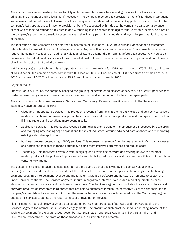The company evaluates quarterly the realizability of its deferred tax assets by assessing its valuation allowance and by adjusting the amount of such allowance, if necessary. The company records a tax provision or benefit for those international subsidiaries that do not have a full valuation allowance against their deferred tax assets. Any profit or loss recorded for the company's U.S. operations will have no provision or benefit associated with it due to the company's valuation allowance, except with respect to refundable tax credits and withholding taxes not creditable against future taxable income. As a result, the company's provision or benefit for taxes may vary significantly period to period depending on the geographic distribution of income.

The realization of the company's net deferred tax assets as of December 31, 2018 is primarily dependent on forecasted future taxable income within certain foreign jurisdictions. Any reduction in estimated forecasted future taxable income may require the company to record an additional valuation allowance against the remaining deferred tax assets. Any increase or decrease in the valuation allowance would result in additional or lower income tax expense in such period and could have a significant impact on that period's earnings.

Net income (loss) attributable to Unisys Corporation common shareholders for 2018 was income of \$75.5 million, or income of \$1.30 per diluted common share, compared with a loss of \$65.3 million, or loss of \$1.30 per diluted common share, in 2017 and a loss of \$47.7 million, or loss of \$0.95 per diluted common share, in 2016.

#### *Segment results*

Effective January 1, 2018, the company changed the grouping of certain of its classes of services. As a result, prior-periods' customer revenue by classes of similar services have been reclassified to conform to the current-year period.

The company has two business segments: Services and Technology. Revenue classifications within the Services and Technology segment are as follows:

- Cloud and infrastructure services. This represents revenue from helping clients apply cloud and as-a-service delivery models to capitalize on business opportunities, make their end users more productive and manage and secure their IT infrastructure and operations more economically.
- Application services. This represents revenue from helping clients transform their business processes by developing and managing new leading-edge applications for select industries, offering advanced data analytics and modernizing existing enterprise applications.
- Business process outsourcing ("BPO") services. This represents revenue from the management of critical processes and functions for clients in target industries, helping them improve performance and reduce costs.
- Technology. This represents revenue from designing and developing software and offering hardware and other related products to help clients improve security and flexibility, reduce costs and improve the efficiency of their datacenter environments.

The accounting policies of each business segment are the same as those followed by the company as a whole. Intersegment sales and transfers are priced as if the sales or transfers were to third parties. Accordingly, the Technology segment recognizes intersegment revenue and manufacturing profit on software and hardware shipments to customers under Services contracts. The Services segment, in turn, recognizes customer revenue and marketing profits on such shipments of company software and hardware to customers. The Services segment also includes the sale of software and hardware products sourced from third parties that are sold to customers through the company's Services channels. In the company's consolidated statements of income, the manufacturing costs of products sourced from the Technology segment and sold to Services customers are reported in cost of revenue for Services.

Also included in the Technology segment's sales and operating profit are sales of software and hardware sold to the Services segment for internal use in Services engagements. The amount of such profit included in operating income of the Technology segment for the years ended December 31, 2018, 2017 and 2016 was \$4.2 million, \$6.3 million and \$0.7 million, respectively. The profit on these transactions is eliminated in Corporate.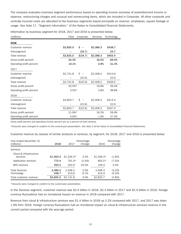The company evaluates business segment performance based on operating income exclusive of postretirement income or expense, restructuring charges and unusual and nonrecurring items, which are included in Corporate. All other corporate and centrally incurred costs are allocated to the business segments based principally on revenue, employees, square footage or usage. See Note 17, "Segment information," of the Notes to Consolidated Financial Statements.

Information by business segment for 2018, 2017 and 2016 is presented below:

| (millions)               | Total     | Corporate                       | <b>Services</b> | Technology |  |  |
|--------------------------|-----------|---------------------------------|-----------------|------------|--|--|
| 2018                     |           |                                 |                 |            |  |  |
| Customer revenue         | \$2,825.0 | \$.<br>$\overline{\phantom{m}}$ | \$2,386.3       | \$438.7    |  |  |
| Intersegment             |           | (24.7)                          |                 | 24.7       |  |  |
| Total revenue            | \$2,825.0 | \$(24.7)                        | \$2,386.3       | \$463.4    |  |  |
| Gross profit percent     | 24.3%     |                                 | 16.0%           | 69.4%      |  |  |
| Operating profit percent | 10.1%     |                                 | 2.8%            | 51.3%      |  |  |
| 2017                     |           |                                 |                 |            |  |  |
| Customer revenue         | \$2,741.8 | Ś.                              | \$2,328.2       | \$413.6    |  |  |
| Intersegment             |           | (25.9)                          |                 | 25.9       |  |  |
| Total revenue            | \$2,741.8 | $$^{(25.9)}$$                   | \$2,328.2       | \$439.5    |  |  |
| Gross profit percent     | $20.0\%*$ |                                 | 16.8%           | 59.4%      |  |  |
| Operating profit percent | $3.5%$ *  |                                 | 2.8%            | 38.8%      |  |  |
| 2016                     |           |                                 |                 |            |  |  |
| Customer revenue         | \$2,820.7 | $S -$                           | \$2,406.3       | \$414.4    |  |  |
| Intersegment             |           | (22.6)                          |                 | 22.6       |  |  |
| Total revenue            | \$2,820.7 | $$^{(22.6)}$                    | \$2,406.3       | \$437.0    |  |  |
| Gross profit percent     | $21.9%$ * |                                 | 16.2%           | 59.9%      |  |  |
| Operating profit percent | $4.6%*$   |                                 | 1.9%            | 37.0%      |  |  |

*Gross profit percent and operating income percent are as a percent of total revenue.*

*\*Amounts were changed to conform to the current-year presentation. See Note 2 of the Notes to Consolidated Financial Statements.*

Customer revenue by classes of similar products or services, by segment, for 2018, 2017 and 2016 is presented below:

| Year ended December 31              | Percentage       |                  |              |                  |                     |  |  |
|-------------------------------------|------------------|------------------|--------------|------------------|---------------------|--|--|
| (millions)                          | 2018             | 2017             | Change       | 2016             | Change              |  |  |
| Services                            |                  |                  |              |                  |                     |  |  |
| Cloud & infrastructure<br>services  | \$1,363.4        | $$1,334.3*$      | 2.2%         | $$1,356.4*$      | (1.6)%              |  |  |
| Application services                | 772.4            | $791.0*$         | (2.4)%       | $855.5*$         | (7.5)%              |  |  |
| <b>BPO</b> services                 | 250.5            | 202.9            | 23.5%        | 194.4            | 4.4%                |  |  |
| <b>Total Services</b><br>Technology | 2,386.3<br>438.7 | 2,328.2<br>413.6 | 2.5%<br>6.1% | 2,406.3<br>414.4 | $(3.2)\%$<br>(0.2)% |  |  |
| Total customer revenue              | \$2,825.0        | \$2,741.8        | 3.0%         | \$2,820.7        | (2.8)%              |  |  |

*\*Amounts were changed to conform to the current-year presentation.*

In the Services segment, customer revenue was \$2.4 billion in 2018, \$2.3 billion in 2017 and \$2.4 billion in 2016. Foreign currency fluctuations had an immaterial impact on revenue in 2018 compared with 2017.

Revenue from cloud & infrastructure services was \$1.4 billion in 2018 up 2.2% compared with 2017, and 2017 was down 1.6% from 2016. Foreign currency fluctuations had an immaterial impact on cloud & infrastructure services revenue in the current period compared with the year-ago period.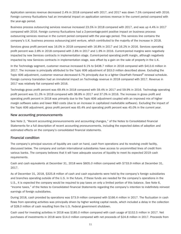Application services revenue decreased 2.4% in 2018 compared with 2017, and 2017 was down 7.5% compared with 2016. Foreign currency fluctuations had an immaterial impact on application services revenue in the current period compared with the year-ago period.

Business process outsourcing services revenue increased 23.5% in 2018 compared with 2017, and was up 4.4% in 2017 compared with 2016. Foreign currency fluctuations had a 2-percentage-point positive impact on business process outsourcing services revenue in the current period compared with the year-ago period. This services line contains the company's U.K. business process outsourcing joint venture, which contributed to the majority of the increase in 2018.

Services gross profit percent was 16.0% in 2018 compared with 16.8% in 2017 and 16.2% in 2016. Services operating profit percent was 2.8% in 2018 compared with 2.8% in 2017 and 1.9% in 2016. Current-period margins were negatively impacted by new Services contracts in implementation stage. Current-period operating profit margin, although negatively impacted by new Services contracts in implementation stage, was offset by a gain on the sale of property in the U.K.

In the Technology segment, customer revenue increased 6.1% to \$438.7 million in 2018 compared with \$413.6 million in 2017. The increase is principally attributed to the Topic 606 adjustment of \$53.0 million described above. Excluding the Topic 606 adjustment, customer revenue decreased 6.7% principally due to a lighter ClearPath Forward® renewal schedule. Foreign currency translation had an immaterial impact on Technology revenue in 2018 compared with 2017. Revenue in 2017 was relatively flat compared with 2016.

Technology gross profit percent was 69.4% in 2018 compared with 59.4% in 2017 and 59.9% in 2016. Technology operating profit percent was 51.3% in 2018 compared with 38.8% in 2017 and 37.0% in 2016. The increase in gross profit and operating profit percent in 2018 was primarily due to the Topic 606 adjustment coupled with an improved mix of higher margin software sales and lower R&D costs (due to an increase in capitalized marketable software). Excluding the impact of the Topic 606 adjustment, gross profit percent was 65.4% and operating profit percent was 45.0% in the current year.

#### **New accounting pronouncements**

See Note 2, "Recent accounting pronouncements and accounting changes," of the Notes to Consolidated Financial Statements for a full description of recent accounting pronouncements, including the expected dates of adoption and estimated effects on the company's consolidated financial statements.

#### **Financial condition**

The company's principal sources of liquidity are cash on hand, cash from operations and its revolving credit facility, discussed below. The company and certain international subsidiaries have access to uncommitted lines of credit from various banks. The company believes that it will have adequate sources of liquidity to meet its expected 2019 cash requirements.

Cash and cash equivalents at December 31, 2018 were \$605.0 million compared with \$733.9 million at December 31, 2017.

As of December 31, 2018, \$325.8 million of cash and cash equivalents were held by the company's foreign subsidiaries and branches operating outside of the U.S. In the future, if these funds are needed for the company's operations in the U.S., it is expected the company would be required to pay taxes on only a limited portion of this balance. See Note 6, "Income taxes," of the Notes to Consolidated Financial Statements regarding the company's intention to indefinitely reinvest earnings of foreign subsidiaries.

During 2018, cash provided by operations was \$73.9 million compared with \$166.4 million in 2017. The fluctuation in cash flows from operating activities was principally driven by higher working capital needs, which included a delay in the collection of \$28.0 million of cash resulting from the U.S. Federal government shutdown.

Cash used for investing activities in 2018 was \$185.0 million compared with cash usage of \$152.5 million in 2017. Net purchases of investments in 2018 were \$14.0 million compared with net proceeds of \$24.8 million in 2017. Proceeds from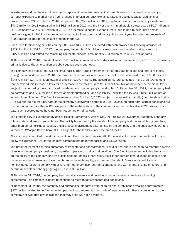investments and purchases of investments represent derivative financial instruments used to manage the company's currency exposure to market risks from changes in foreign currency exchange rates. In addition, capital additions of properties were \$35.6 million in 2018 compared with \$25.8 million in 2017, capital additions of outsourcing assets were \$73.0 million in 2018 compared with \$86.3 million in 2017 and the investment in marketable software was \$80.7 million in 2018 compared with \$64.4 million in 2017. The increase in capital expenditures is due in part to new Public sector business signed in 2018, which required more capital investment. Additionally, the current year includes net proceeds of \$19.2 million related to the sale of property in the U.K.

Cash used for financing activities during 2018 was \$4.8 million compared with cash provided by financing activities of \$329.9 million in 2017. In 2017, the company issued \$440.0 million of senior notes and received net proceeds of \$427.9 million and retired the remaining aggregate principal amount of \$95.0 million of its 6.25% senior notes.

At December 31, 2018, total debt was \$652.8 million compared with \$644.7 million at December 31, 2017. The increase is primarily due to the amortization of debt issuance costs and fees.

The company has a secured revolving credit facility (the "Credit Agreement") that provides for loans and letters of credit. During the second quarter of 2018, the maximum amount available under the facility was increased from \$125.0 million to \$145.0 million (with a limit on letters of credit of \$30.0 million). The accordion feature contained in the Credit Agreement that permitted this increase allows for an increase in the facility up to \$150.0 million. Availability under the credit facility is subject to a borrowing base calculated by reference to the company's receivables. At December 31, 2018, the company had no borrowings and \$6.5 million of letters of credit outstanding, and availability under the facility was \$138.5 million net of letters of credit issued. The Credit Agreement expires October 5, 2022, subject to a springing maturity (i) on the date that is 91 days prior to the maturity date of the company's convertible notes due 2021 unless, on such date, certain conditions are met; or (ii) on the date that is 60 days prior to the maturity date of the company's secured notes due 2022 unless, by such date, such secured notes have not been redeemed or refinanced.

The credit facility is guaranteed by Unisys Holding Corporation, Unisys NPL, Inc., Unisys AP Investment Company I and any future material domestic subsidiaries. The facility is secured by the assets of the company and the subsidiary guarantors, other than certain excluded assets, under a security agreement entered into by the company and the subsidiary guarantors in favor of JPMorgan Chase Bank, N.A., as agent for the lenders under the credit facility.

The company is required to maintain a minimum fixed charge coverage ratio if the availability under the credit facility falls below the greater of 10% of the lenders' commitments under the facility and \$15.0 million.

The Credit Agreement contains customary representations and warranties, including that there has been no material adverse change in the company's business, properties, operations or financial condition. The Credit Agreement includes limitations on the ability of the company and its subsidiaries to, among other things, incur other debt or liens, dispose of assets and make acquisitions, loans and investments, repurchase its equity, and prepay other debt. Events of default include non-payment, failure to comply with covenants, materially incorrect representations and warranties, change of control and default under other debt aggregating at least \$50.0 million.

At December 31, 2018, the company has met all covenants and conditions under its various lending and funding agreements. The company expects to continue to meet these covenants and conditions.

At December 31, 2018, the company had outstanding standby letters of credit and surety bonds totaling approximately \$272 million related to performance and payment guarantees. On the basis of experience with these arrangements, the company believes that any obligations that may arise will not be material.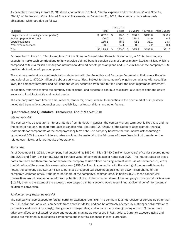As described more fully in Note 3, "Cost-reduction actions," Note 4, "Rental expense and commitments" and Note 12, "Debt," of the Notes to Consolidated Financial Statements, at December 31, 2018, the company had certain cash obligations, which are due as follows:

|                                            | Less than |           |  |        |  |           |           |               |  |
|--------------------------------------------|-----------|-----------|--|--------|--|-----------|-----------|---------------|--|
| (millions)                                 |           | Total     |  | 1 year |  | 1-3 years | 4-5 years | After 5 years |  |
| Long-term debt (including current portion) |           | 652.8     |  | 10.0   |  | 200.0     | \$436.6   | \$6.2         |  |
| Interest payments on debt                  |           | 200.0     |  | 60.1   |  | 114.1     | 24.9      | 0.9           |  |
| Operating leases                           |           | 180.1     |  | 48.5   |  | 72.1      | 35.1      | 24.4          |  |
| Work-force reductions                      |           | 86.2      |  | 74.4   |  | 9.5       | 2.2       | 0.1           |  |
| Total                                      |           | \$1,119.1 |  | 193.0  |  | 395.7     | \$498.8   | \$31.6        |  |

As described in Note 14, "Employee plans," of the Notes to Consolidated Financial Statements, in 2019, the company expects to make cash contributions to its worldwide defined benefit pension plans of approximately \$105.6 million, which is comprised of \$38.4 million primarily for international defined benefit pension plans and \$67.2 million for the company's U.S. qualified defined benefit pension plans.

The company maintains a shelf registration statement with the Securities and Exchange Commission that covers the offer and sale of up to \$700.0 million of debt or equity securities. Subject to the company's ongoing compliance with securities laws, the company may offer and sell debt and equity securities from time to time under the shelf registration statement.

In addition, from time to time the company has explored, and expects to continue to explore, a variety of debt and equity sources to fund its liquidity and capital needs.

The company may, from time to time, redeem, tender for, or repurchase its securities in the open market or in privately negotiated transactions depending upon availability, market conditions and other factors.

#### **Quantitative and Qualitative Disclosures About Market Risk**

#### *Interest rate risk*

The company has exposure to interest rate risk from its debt. In general, the company's long-term debt is fixed rate and, to the extent it has any, its short-term debt is variable rate. See Note 12, "Debt," of the Notes to Consolidated Financial Statements for components of the company's long-term debt. The company believes that the market risk assuming a hypothetical 10% increase in interest rates would not be material to the fair value of these financial instruments, or the related cash flows, or future results of operations.

#### *Market risk*

As of December 31, 2018, the company had outstanding \$432.0 million (\$440.0 million face value) of senior secured notes due 2022 and \$194.2 million (\$213.5 million face value) of convertible senior notes due 2021. The interest rates on these notes are fixed and therefore do not expose the company to risk related to rising interest rates. As of December 31, 2018, the fair value of the convertible senior notes was \$298.5 million. In connection with the offering of the convertible senior notes, the company paid \$27.3 million to purchase a capped call covering approximately 21.9 million shares of the company's common stock. If the price per share of the company's common stock is below \$9.76, these capped call transactions would provide no benefit from potential dilution. If the price per share of the company's common stock is above \$12.75, then to the extent of the excess, these capped call transactions would result in no additional benefit for potential dilution at conversion.

#### *Foreign currency exchange rate risk*

The company is also exposed to foreign currency exchange rate risks. The company is a net receiver of currencies other than the U.S. dollar and, as such, can benefit from a weaker dollar, and can be adversely affected by a stronger dollar relative to currencies worldwide. Accordingly, changes in exchange rates, and in particular a strengthening of the U.S. dollar, may adversely affect consolidated revenue and operating margins as expressed in U.S. dollars. Currency exposure gains and losses are mitigated by purchasing components and incurring expenses in local currencies.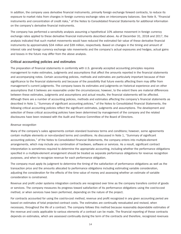In addition, the company uses derivative financial instruments, primarily foreign exchange forward contracts, to reduce its exposure to market risks from changes in foreign currency exchange rates on intercompany balances. See Note 9, "Financial instruments and concentration of credit risks," of the Notes to Consolidated Financial Statements for additional information on the company's derivative financial instruments.

The company has performed a sensitivity analysis assuming a hypothetical 10% adverse movement in foreign currency exchange rates applied to these derivative financial instruments described above. As of December 31, 2018 and 2017, the analysis indicated that such market movements would have reduced the estimated fair value of these derivative financial instruments by approximately \$34 million and \$39 million, respectively. Based on changes in the timing and amount of interest rate and foreign currency exchange rate movements and the company's actual exposures and hedges, actual gains and losses in the future may differ from the above analysis.

#### **Critical accounting policies and estimates**

The preparation of financial statements in conformity with U.S. generally accepted accounting principles requires management to make estimates, judgments and assumptions that affect the amounts reported in the financial statements and accompanying notes. Certain accounting policies, methods and estimates are particularly important because of their significance to the financial statements and because of the possibility that future events affecting them may differ from management's current judgments. The company bases its estimates and judgments on historical experience and on other assumptions that it believes are reasonable under the circumstances; however, to the extent there are material differences between these estimates, judgments and assumptions and actual results, the financial statements will be affected. Although there are a number of accounting policies, methods and estimates affecting the company's financial statements as described in Note 1, "Summary of significant accounting policies," of the Notes to Consolidated Financial Statements, the following critical accounting policies reflect the significant estimates, judgments and assumptions. The development and selection of these critical accounting policies have been determined by management of the company and the related disclosures have been reviewed with the Audit and Finance Committee of the Board of Directors.

#### *Revenue recognition*

Many of the company's sales agreements contain standard business terms and conditions; however, some agreements contain multiple elements or non-standard terms and conditions. As discussed in Note 1, "Summary of significant accounting policies," of the Notes to Consolidated Financial Statements, the company enters into multiple-element arrangements, which may include any combination of hardware, software or services. As a result, significant contract interpretation is sometimes required to determine the appropriate accounting, including whether the performance obligations specified in a multiple-element arrangement should be treated as separate performance obligations for revenue recognition purposes, and when to recognize revenue for each performance obligation.

The company must apply its judgment to determine the timing of the satisfaction of performance obligations as well as the transaction price and the amounts allocated to performance obligations including estimating variable consideration, adjusting the consideration for the effects of the time value of money and assessing whether an estimate of variable consideration is constrained.

Revenue and profit under systems integration contracts are recognized over time as the company transfers control of goods or services. The company measures its progress toward satisfaction of its performance obligations using the cost-to-cost method, or when services have been performed, depending on the nature of the project.

For contracts accounted for using the cost-to-cost method, revenue and profit recognized in any given accounting period are based on estimates of total projected contract costs. The estimates are continually reevaluated and revised, when necessary, throughout the life of a contract. The company follows this method because reasonably dependable estimates of the revenue and costs applicable to various elements of a contract can be made. The financial reporting of these contracts depends on estimates, which are assessed continually during the term of the contracts and therefore, recognized revenues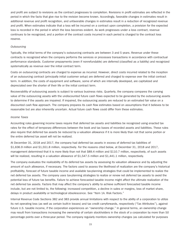and profit are subject to revisions as the contract progresses to completion. Revisions in profit estimates are reflected in the period in which the facts that give rise to the revision become known. Accordingly, favorable changes in estimates result in additional revenue and profit recognition, and unfavorable changes in estimates result in a reduction of recognized revenue and profit. When estimates indicate that a loss will be incurred on a contract upon completion, a provision for the expected loss is recorded in the period in which the loss becomes evident. As work progresses under a loss contract, revenue continues to be recognized, and a portion of the contract costs incurred in each period is charged to the contract loss reserve.

#### *Outsourcing*

Typically, the initial terms of the company's outsourcing contracts are between 3 and 5 years. Revenue under these contracts is recognized when the company performs the services or processes transactions in accordance with contractual performance standards. Customer prepayments (even if nonrefundable) are deferred (classified as a liability) and recognized systematically as revenue over the initial contract term.

Costs on outsourcing contracts are charged to expense as incurred. However, direct costs incurred related to the inception of an outsourcing contract (principally initial customer setup) are deferred and charged to expense over the initial contract term. In addition, the costs of equipment and software, some of which are internally developed, are capitalized and depreciated over the shorter of their life or the initial contract term.

Recoverability of outsourcing assets is subject to various business risks. Quarterly, the company compares the carrying value of the outsourcing assets with the undiscounted future cash flows expected to be generated by the outsourcing assets to determine if the assets are impaired. If impaired, the outsourcing assets are reduced to an estimated fair value on a discounted cash flow approach. The company prepares its cash flow estimates based on assumptions that it believes to be reasonable but are also inherently uncertain. Actual future cash flows could differ from these estimates.

#### *Income Taxes*

Accounting rules governing income taxes require that deferred tax assets and liabilities be recognized using enacted tax rates for the effect of temporary differences between the book and tax bases of recorded assets and liabilities. These rules also require that deferred tax assets be reduced by a valuation allowance if it is more likely than not that some portion or the entire deferred tax asset will not be realized.

At December 31, 2018 and 2017, the company had deferred tax assets in excess of deferred tax liabilities of \$1,636.9 million and \$1,551.8 million, respectively. For the reasons cited below, at December 31, 2018 and 2017, management determined that it is more likely than not that \$89.4 million and \$110.7 million, respectively, of such assets will be realized, resulting in a valuation allowance of \$1,547.5 million and \$1,441.1 million, respectively.

The company evaluates the realizability of its deferred tax assets by assessing its valuation allowance and by adjusting the amount of such allowance, if necessary. The factors used to assess the likelihood of realization are the company's historical profitability, forecast of future taxable income and available tax-planning strategies that could be implemented to realize the net deferred tax assets. The company uses tax-planning strategies to realize or renew net deferred tax assets to avoid the potential loss of future tax benefits. Failure to achieve forecasted taxable income might affect the ultimate realization of the net deferred tax assets. Factors that may affect the company's ability to achieve sufficient forecasted taxable income include, but are not limited to, the following: increased competition, a decline in sales or margins, loss of market share, delays in product availability or technological obsolescence. See "Item 1A. Risk Factors."

Internal Revenue Code Sections 382 and 383 provide annual limitations with respect to the ability of a corporation to utilize its net operating loss (as well as certain built-in losses) and tax credit carryforwards, respectively ("Tax Attributes"), against future U.S. taxable income, if the corporation experiences an "ownership change." In general terms, an ownership change may result from transactions increasing the ownership of certain stockholders in the stock of a corporation by more than 50 percentage points over a three-year period. The company regularly monitors ownership changes (as calculated for purposes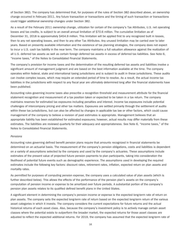of Section 382). The company has determined that, for purposes of the rules of Section 382 described above, an ownership change occurred in February 2011. Any future transaction or transactions and the timing of such transaction or transactions could trigger additional ownership changes under Section 382.

As a result of the February 2011 ownership change, utilization for certain of the company's Tax Attributes, U.S. net operating losses and tax credits, is subject to an overall annual limitation of \$70.6 million. The cumulative limitation as of December 31, 2018 is approximately \$454.9 million. This limitation will be applied first to any recognized built in losses, then to any net operating losses, and then to any other Tax Attributes. Any unused limitation may be carried over to later years. Based on presently available information and the existence of tax planning strategies, the company does not expect to incur a U.S. cash tax liability in the near term. The company maintains a full valuation allowance against the realization of all U.S. deferred tax assets as well as certain foreign deferred tax assets in excess of deferred tax liabilities. See Note 6, "Income taxes," of the Notes to Consolidated Financial Statements.

The company's provision for income taxes and the determination of the resulting deferred tax assets and liabilities involve a significant amount of management judgment and are based on the best information available at the time. The company operates within federal, state and international taxing jurisdictions and is subject to audit in these jurisdictions. These audits can involve complex issues, which may require an extended period of time to resolve. As a result, the actual income tax liabilities in the jurisdictions with respect to any fiscal year are ultimately determined long after the financial statements have been published.

Accounting rules governing income taxes also prescribe a recognition threshold and measurement attribute for the financial statement recognition and measurement of a tax position taken or expected to be taken in a tax return. The company maintains reserves for estimated tax exposures including penalties and interest. Income tax exposures include potential challenges of intercompany pricing and other tax matters. Exposures are settled primarily through the settlement of audits within these tax jurisdictions, but can also be affected by changes in applicable tax law or other factors, which could cause management of the company to believe a revision of past estimates is appropriate. Management believes that an appropriate liability has been established for estimated exposures; however, actual results may differ materially from these estimates. The liabilities are reviewed quarterly for their adequacy and appropriateness. See Note 6, "Income taxes," of the Notes to Consolidated Financial Statements.

#### *Pensions*

Accounting rules governing defined benefit pension plans require that amounts recognized in financial statements be determined on an actuarial basis. The measurement of the company's pension obligations, costs and liabilities is dependent on a variety of assumptions selected by the company and used by the company's actuaries. These assumptions include estimates of the present value of projected future pension payments to plan participants, taking into consideration the likelihood of potential future events such as demographic experience. The assumptions used in developing the required estimates include the following key factors: discount rates, retirement rates, inflation, expected return on plan assets and mortality rates.

As permitted for purposes of computing pension expense, the company uses a calculated value of plan assets (which is further described below). This allows the effects of the performance of the pension plan's assets on the company's computation of pension income or expense to be amortized over future periods. A substantial portion of the company's pension plan assets relates to its qualified defined benefit plans in the United States.

A significant element in determining the company's pension income or expense is the expected long-term rate of return on plan assets. The company sets the expected long-term rate of return based on the expected long-term return of the various asset categories in which it invests. The company considers the current expectations for future returns and the actual historical returns of each asset class. Also, because the company's investment policy is to actively manage certain asset classes where the potential exists to outperform the broader market, the expected returns for those asset classes are adjusted to reflect the expected additional returns. For 2019, the company has assumed that the expected long-term rate of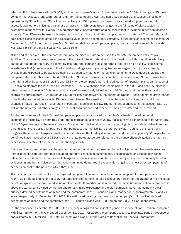return on U.S. plan assets will be 6.80%, and on the company's non-U.S. plan assets will be 4.18%. A change of 25 basis points in the expected long-term rate of return for the company's U.S. and non-U.S. pension plans causes a change of approximately \$8 million and \$6 million, respectively, in 2019 pension expense. The assumed long-term rate of return on assets is applied to a calculated value of plan assets, which recognizes changes in the fair value of plan assets in a systematic manner over four years. This produces the expected return on plan assets that is included in pension income or expense. The difference between this expected return and the actual return on plan assets is deferred. The net deferral of past asset gains or losses affects the calculated value of plan assets and, ultimately, future pension income or expense. At December 31, 2018, for the company's U.S. qualified defined benefit pension plans, the calculated value of plan assets was \$3.35 billion and the fair value was \$3.11 billion.

At the end of each year, the company determines the discount rate to be used to calculate the present value of plan liabilities. The discount rate is an estimate of the current interest rate at which the pension liabilities could be effectively settled at the end of the year. In estimating this rate, the company looks to rates of return on high-quality, fixed-income investments that (a) receive one of the two highest ratings given by a recognized ratings agency and (b) are currently available and expected to be available during the period to maturity of the pension benefits. At December 31, 2018, the company determined this rate to be 4.50% for its U.S. defined benefit pension plans, an increase of 63 basis points from the rate used at December 31, 2017, and 2.55% for the company's non-U.S. defined benefit pension plans, an increase of 31 basis points from the rate used at December 31, 2017. A change of 25 basis points in the U.S. and non-U.S. discount rates causes a change in 2019 pension expense of approximately \$1 million and \$300 thousand, respectively, and a change of approximately \$104 million and \$109 million, respectively, in the benefit obligation. These estimates are intended to be illustrative based on a single 25 basis point change. The sensitivity to rate changes is not linear and additional changes in rates may result in a different impact on the pension liability. The net effect of changes in the discount rate, as well as the net effect of other changes in actuarial assumptions and experience, has been deferred, as permitted.

Funding requirements for its U.S. qualified pension plans are calculated by the plan's actuaries based on certain assumptions including, as permitted under the Bi-partisan Budget Act of 2015, a discount rate constrained to be within 10% of the 25-year average of the relevant rates. The effect of this limitation is that the funding discount rate is higher than the GAAP discount rate applied for balance sheet purposes, and the liability is therefore lower. In addition, this constraint mitigates the effect of changes in market interest rates on the funding discount rate and the funding liability. Changes to the benefit obligation caused by a 25 basis point change noted above are related to the balance sheet obligation and are not necessarily indicative of the impact on the funding liability.

Gains and losses are defined as changes in the amount of either the projected benefit obligation or plan assets resulting from experience different from that assumed and from changes in assumptions. Because gains and losses may reflect refinements in estimates as well as real changes in economic values and because some gains in one period may be offset by losses in another and vice versa, the accounting rules do not require recognition of gains and losses as components of net pension cost of the period in which they arise.

At a minimum, amortization of an unrecognized net gain or loss must be included as a component of net pension cost for a year if, as of the beginning of the year, that unrecognized net gain or loss exceeds 10 percent of the greater of the projected benefit obligation or the calculated value of plan assets. If amortization is required, the minimum amortization is that excess above the 10 percent divided by the average remaining life expectancy of the plan participants. For the company's U.S. qualified defined benefit pension plans and the company's non-U.S. pension plans, that period is approximately 17 and 24 years, respectively. At December 31, 2018, the estimated unrecognized loss for the company's U.S. qualified defined benefit pension plans and the company's non-U.S. pension plans was \$2.90 billion and \$0.76 billion, respectively.

For the year ended December 31, 2018, the company recognized consolidated pension expense of \$79.7 million, compared with \$92.4 million for the year ended December 31, 2017. For 2019, the company expects to recognize pension expense of approximately \$90.5 million. See Note 14, "Employee plans," of the Notes to Consolidated Financial Statements.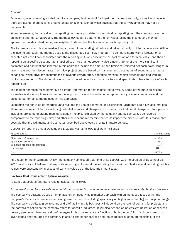#### *Goodwill*

Accounting rules governing goodwill require a company test goodwill for impairment at least annually, as well as whenever there are events or changes in circumstances (triggering events) which suggest that the carrying amount may not be recoverable.

When determining the fair value of a reporting unit, as appropriate for the individual reporting unit, the company uses both an income and market approach. The methodology used to determine the fair values using the income and market approaches, as described below, are weighted to determine the fair value for each reporting unit.

The income approach is a forward-looking approach to estimating fair value and relies primarily on internal forecasts. Within the income approach, the method used is the discounted cash flow method. The company starts with a forecast of all expected net cash flows associated with the reporting unit, which includes the application of a terminal value, and then a reporting unit-specific discount rate is applied to arrive at a net present value amount. Some of the more significant estimates and assumptions inherent in this approach include the amount and timing of projected net cash flows, long-term growth rate and the discount rate. Cash flow projections are based on management's estimates of economic and market conditions, which drive key assumptions of revenue growth rates, operating margins, capital expenditures and working capital requirements. The discount rate in turn is based on various market factors and specific risk characteristics of each reporting unit.

The market approach relies primarily on external information for estimating the fair value. Some of the more significant estimates and assumptions inherent in this approach include the selection of appropriate guideline companies and the selected performance metric used in this approach.

Estimating the fair value of reporting units requires the use of estimates and significant judgments about key assumptions. There are a number of factors including potential events and changes in circumstances that could change in future periods, including: projected operating results; valuation multiples exhibited by the company and by companies considered comparable to the reporting units; and other macro-economic factors that could impact the discount rate. It is reasonably possible that the judgments and estimates described above could change in future periods.

Goodwill by reporting unit at December 31, 2018, was as follows (dollars in millions):

| Reporting unit               | <b>Carrying Value</b> |
|------------------------------|-----------------------|
| Cloud and infrastructure     | \$32.4                |
| Application services         | 26.3                  |
| Business process outsourcing | 10.4                  |
| Technology                   | 108.7                 |
| Total                        | \$177.8               |

As a result of the impairment review, the company concluded that none of its goodwill was impaired as of December 31, 2018, and does not believe that any of its reporting units are at risk of failing the impairment test since all reporting unit fair values were substantially in excess of carrying value as of the last impairment test.

#### **Factors that may affect future results**

Factors that could affect future results include the following:

*Future results may be adversely impacted if the company is unable to improve revenue and margins in its Services business.* The company's strategy places an emphasis on an industry go-to-market approach with an increased focus within the company's Services business on improving revenue trends, including specifically on higher value and higher margin offerings. The company's ability to grow revenue and profitability in this business will depend on the level of demand for projects and the portfolio of solutions the company offers for specific industries. It will also depend on an efficient utilization of services delivery personnel. Revenue and profit margins in this business are a function of both the portfolio of solutions sold in a given period and the rates the company is able to charge for services and the chargeability of its professionals. If the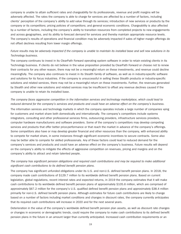company is unable to attain sufficient rates and chargeability for its professionals, revenue and profit margins will be adversely affected. The rates the company is able to charge for services are affected by a number of factors, including clients' perception of the company's ability to add value through its services; introduction of new services or products by the company or its competitors; pricing policies of competitors; and general economic conditions. Chargeability is also affected by a number of factors, including the company's ability to transition resources from completed projects to new engagements and across geographies, and its ability to forecast demand for services and thereby maintain appropriate resource levels. The company's results of operations and financial condition may be adversely impacted if sales of higher margin offerings do not offset declines resulting from lower margin offerings.

#### *Future results may be adversely impacted if the company is unable to maintain its installed base and sell new solutions in its Technology business.*

The company continues to invest in its ClearPath Forward operating system software in order to retain existing clients in its Technology business. If clients do not believe in the value proposition provided by ClearPath Forward or choose not to renew their contracts for any other reason, there may not be a meaningful return on these investments, and revenue could decline meaningfully. The company also continues to invest in its Stealth family of software, as well as in industry-specific software and solutions for its focus industries. If the company is unsuccessful in selling these Stealth products or industry-specific solutions and related services, there may not be a meaningful return on these investments. Further, the revenues generated by Stealth and other new solutions and related services may be insufficient to offset any revenue declines caused if the company is unable to retain its installed base.

*The company faces aggressive competition in the information services and technology marketplace, which could lead to reduced demand for the company's services and products and could have an adverse effect on the company's business.* The information services and technology markets in which the company operates include a large number of companies vying for customers and market share both domestically and internationally. The company's competitors include systems integrators, consulting and other professional services firms, outsourcing providers, infrastructure services providers, computer hardware manufacturers and software providers. Some of the company's competitors may develop competing services and products that offer better price-performance or that reach the market in advance of the company's offerings. Some competitors also have or may develop greater financial and other resources than the company, with enhanced ability to compete for market share, in some instances through significant economic incentives to secure contracts. Some also may be better able to compete for skilled professionals. Any of these factors could lead to reduced demand for the company's services and products and could have an adverse effect on the company's business. Future results will depend on the company's ability to mitigate the effects of aggressive competition on revenues, pricing and margins and on the company's ability to attract and retain talented people.

#### *The company has significant pension obligations and required cash contributions and may be required to make additional significant cash contributions to its defined benefit pension plans.*

The company has significant unfunded obligations under its U.S. and non-U.S. defined benefit pension plans. In 2018, the company made cash contributions of \$129.7 million to its worldwide defined benefit pension plans. Based on current legislation, global regulations, recent interest rates and expected returns, in 2019 the company estimates that it will make cash contributions to its worldwide defined benefit pension plans of approximately \$105.6 million, which are comprised of approximately \$67.2 million for the company's U.S. qualified defined benefit pension plans and approximately \$38.4 million primarily for non-U.S. defined benefit pension plans. Although estimates for future cash contributions are likely to change based on a number of factors including market conditions and changes in discount rates, the company currently anticipates that its required cash contributions will increase in 2020 and for the next several years.

Deterioration in the value of the company's worldwide defined benefit pension plan assets, as well as discount rate changes or changes in economic or demographic trends, could require the company to make cash contributions to its defined benefit pension plans in the future in an amount larger than currently anticipated. Increased cash contribution requirements or an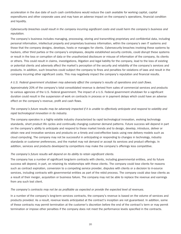acceleration in the due date of such cash contributions would reduce the cash available for working capital, capital expenditures and other corporate uses and may have an adverse impact on the company's operations, financial condition and liquidity.

#### *Cybersecurity breaches could result in the company incurring significant costs and could harm the company's business and reputation.*

The company's business includes managing, processing, storing and transmitting proprietary and confidential data, including personal information, intellectual property and proprietary business information, within the company's own IT systems and those that the company designs, develops, hosts or manages for clients. Cybersecurity breaches involving these systems by hackers, other third parties or the company's employees, despite established security controls, could disrupt these systems or result in the loss or corruption of data or the unauthorized disclosure or misuse of information of the company, its clients or others. This could result in claims, investigations, litigation and legal liability for the company, lead to the loss of existing or potential clients and adversely affect the market's perception of the security and reliability of the company's services and products. In addition, such breaches could subject the company to fines and penalties for violations of laws and result in the company incurring other significant costs. This may negatively impact the company's reputation and financial results.

#### *A U.S. Federal government shutdown may adversely affect the company's results of operations and cash flows.*

Approximately 20% of the company's total consolidated revenue is derived from sales of commercial services and products to various agencies of the U.S. Federal government. The impact of a U.S. Federal government shutdown for a significant duration could result in the suspension of work on contracts in process or in payment delays which could have an adverse effect on the company's revenue, profit and cash flows.

#### *The company's future results may be adversely impacted if it is unable to effectively anticipate and respond to volatility and rapid technological innovation in its industry.*

The company operates in a highly volatile industry characterized by rapid technological innovation, evolving technology standards, short product life cycles and continually changing customer demand patterns. Future success will depend in part on the company's ability to anticipate and respond to these market trends and to design, develop, introduce, deliver or obtain new and innovative services and products on a timely and cost-effective basis using new delivery models such as cloud computing. The company may not be successful in anticipating or responding to changes in technology, industry standards or customer preferences, and the market may not demand or accept its services and product offerings. In addition, services and products developed by competitors may make the company's offerings less competitive.

#### *The company's future results will depend on its ability to retain significant clients.*

The company has a number of significant long-term contracts with clients, including governmental entities, and its future success will depend, in part, on retaining its relationships with these clients. The company could lose clients for reasons such as contract expiration, conversion to a competing service provider, disputes with clients or a decision to in-source services, including contracts with governmental entities as part of the rebid process. The company could also lose clients as a result of their merger, acquisition or business failure. The company may not be able to replace the revenue and earnings from any such lost client.

#### *The company's contracts may not be as profitable as expected or provide the expected level of revenues.*

In a number of the company's long-term services contracts, the company's revenue is based on the volume of services and products provided. As a result, revenue levels anticipated at the contract's inception are not guaranteed. In addition, some of these contracts may permit termination at the customer's discretion before the end of the contract's term or may permit termination or impose other penalties if the company does not meet the performance levels specified in the contracts.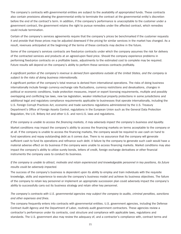The company's contracts with governmental entities are subject to the availability of appropriated funds. These contracts also contain provisions allowing the governmental entity to terminate the contract at the governmental entity's discretion before the end of the contract's term. In addition, if the company's performance is unacceptable to the customer under a government contract, the government retains the right to pursue remedies under the affected contract, which remedies could include termination.

Certain of the company's services agreements require that the company's prices be benchmarked if the customer requests it and provide that those prices may be adjusted downward if the pricing for similar services in the market has changed. As a result, revenues anticipated at the beginning of the terms of these contracts may decline in the future.

Some of the company's services contracts are fixed-price contracts under which the company assumes the risk for delivery of the contracted services and products at an agreed-upon fixed price. Should the company experience problems in performing fixed-price contracts on a profitable basis, adjustments to the estimated cost to complete may be required. Future results will depend on the company's ability to perform these services contracts profitably.

#### *A significant portion of the company's revenue is derived from operations outside of the United States, and the company is subject to the risks of doing business internationally.*

A significant portion of the company's total revenue is derived from international operations. The risks of doing business internationally include foreign currency exchange rate fluctuations, currency restrictions and devaluations, changes in political or economic conditions, trade protection measures, import or export licensing requirements, multiple and possibly overlapping and conflicting tax laws, new tax legislation, weaker intellectual property protections in some jurisdictions and additional legal and regulatory compliance requirements applicable to businesses that operate internationally, including the U.S. Foreign Corrupt Practices Act, economic and trade sanctions regulations administered by the U.S. Treasury Department's Office of Foreign Assets Control, regulations in the European Union such as the General Data Protection Regulation, the U.K. Bribery Act and other U.S. and non-U.S. laws and regulations.

#### *If the company is unable to access the financing markets, it may adversely impact the company's business and liquidity.*

Market conditions may impact the company's ability to access the financing markets on terms acceptable to the company or at all. If the company is unable to access the financing markets, the company would be required to use cash on hand to fund operations and repay outstanding debt as it comes due. There is no assurance that the company will generate sufficient cash to fund its operations and refinance such debt. A failure by the company to generate such cash would have a material adverse effect on its business if the company were unable to access financing markets. Market conditions may also impact the company's ability to utilize surety bonds, letters of credit, foreign exchange derivatives or other financial instruments the company uses to conduct its business.

#### *If the company is unable to attract, motivate and retain experienced and knowledgeable personnel in key positions, its future results could be adversely impacted.*

The success of the company's business is dependent upon its ability to employ and train individuals with the requisite knowledge, skills and experience to execute the company's business model and achieve its business objectives. The failure of the company to retain key personnel or implement an appropriate succession plan could adversely impact the company's ability to successfully carry out its business strategy and retain other key personnel.

#### *The company's contracts with U.S. governmental agencies may subject the company to audits, criminal penalties, sanctions and other expenses and fines.*

The company frequently enters into contracts with governmental entities. U.S. government agencies, including the Defense Contract Audit Agency and the Department of Labor, routinely audit government contractors. These agencies review a contractor's performance under its contracts, cost structure and compliance with applicable laws, regulations and standards. The U.S. government also may review the adequacy of, and a contractor's compliance with, contract terms and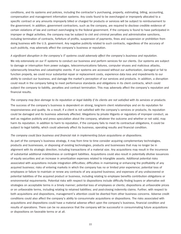conditions, and its systems and policies, including the contractor's purchasing, property, estimating, billing, accounting, compensation and management information systems. Any costs found to be overcharged or improperly allocated to a specific contract or any amounts improperly billed or charged for products or services will be subject to reimbursement to the government. In addition, government contractors, such as the company, are required to disclose credible evidence of certain violations of law and contract overcharging to the federal government. If the company is found to have participated in improper or illegal activities, the company may be subject to civil and criminal penalties and administrative sanctions, including termination of contracts, forfeiture of profits, suspension of payments, fines and suspension or prohibition from doing business with the U.S. government. Any negative publicity related to such contracts, regardless of the accuracy of such publicity, may adversely affect the company's business or reputation.

#### *A significant disruption in the company's IT systems could adversely affect the company's business and reputation.*

We rely extensively on our IT systems to conduct our business and perform services for our clients. Our systems are subject to damage or interruption from power outages, telecommunications failures, computer viruses and malicious attacks, cybersecurity breaches and catastrophic events. If our systems are accessed without our authorization, damaged or fail to function properly, we could incur substantial repair or replacement costs, experience data loss and impediments to our ability to conduct our business, and damage the market's perception of our services and products. In addition, a disruption could result in the company failing to meet performance standards and obligations in its client contracts, which could subject the company to liability, penalties and contract termination. This may adversely affect the company's reputation and financial results.

#### *The company may face damage to its reputation or legal liability if its clients are not satisfied with its services or products.*

The success of the company's business is dependent on strong, long-term client relationships and on its reputation for responsiveness and quality. As a result, if a client is not satisfied with the company's services or products, its reputation could be damaged and its business adversely affected. Allegations by private litigants or regulators of improper conduct, as well as negative publicity and press speculation about the company, whatever the outcome and whether or not valid, may harm its reputation. In addition to harm to reputation, if the company fails to meet its contractual obligations, it could be subject to legal liability, which could adversely affect its business, operating results and financial condition.

#### *The company could face business and financial risk in implementing future acquisitions or dispositions.*

As part of the company's business strategy, it may from time to time consider acquiring complementary technologies, products and businesses, or disposing of existing technologies, products and businesses that may no longer be in alignment with its strategic direction, including transactions of a material size. Any acquisitions may result in the incurrence of substantial additional indebtedness or contingent liabilities. Acquisitions could also result in potentially dilutive issuances of equity securities and an increase in amortization expenses related to intangible assets. Additional potential risks associated with acquisitions include integration difficulties; difficulties in maintaining or enhancing the profitability of any acquired business; risks of entering markets in which the company has no or limited prior experience; potential loss of employees or failure to maintain or renew any contracts of any acquired business; and expenses of any undiscovered or potential liabilities of the acquired product or business, including relating to employee benefits contribution obligations or environmental requirements. Potential risks with respect to dispositions include difficulty finding buyers or alternative exit strategies on acceptable terms in a timely manner; potential loss of employees or clients; dispositions at unfavorable prices or on unfavorable terms, including relating to retained liabilities; and post-closing indemnity claims. Further, with respect to both acquisitions and dispositions, management's attention could be diverted from other business concerns. Adverse credit conditions could also affect the company's ability to consummate acquisitions or dispositions. The risks associated with acquisitions and dispositions could have a material adverse effect upon the company's business, financial condition and results of operations. There can be no assurance that the company will be successful in consummating future acquisitions or dispositions on favorable terms or at all.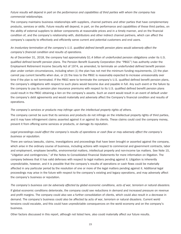#### *Future results will depend in part on the performance and capabilities of third parties with whom the company has commercial relationships.*

The company maintains business relationships with suppliers, channel partners and other parties that have complementary products, services or skills. Future results will depend, in part, on the performance and capabilities of these third parties, on the ability of external suppliers to deliver components at reasonable prices and in a timely manner, and on the financial condition of, and the company's relationship with, distributors and other indirect channel partners, which can affect the company's capacity to effectively and efficiently serve current and potential customers and end users.

#### *An involuntary termination of the company's U.S. qualified defined benefit pension plans would adversely affect the company's financial condition and results of operations.*

As of December 31, 2018, the company had approximately \$1.4 billion of underfunded pension obligations under its U.S. qualified defined benefit pension plans. The Pension Benefit Guaranty Corporation (the "PBGC") has authority under the Employment Retirement Income Security Act of 1974, as amended, to terminate an underfunded defined benefit pension plan under certain circumstances, including when (1) the plan has not met the minimum funding requirements, (2) the plan cannot pay current benefits when due, or (3) the loss to the PBGC is reasonably expected to increase unreasonably over time if the plan is not terminated. If the PBGC were to terminate the company's U.S. qualified defined benefit pension plans, the company's obligations with respect to such plans would become due and payable in full. Any such event or the failure by the company to pay its pension plan insurance premiums with respect to its U.S. qualified defined benefit pension plans could result in the PBGC obtaining a lien on the company's assets. Such an event would result in an event of default under the company's debt agreements and would materially and adversely affect the Company's financial condition and results of operations.

#### *The company's services or products may infringe upon the intellectual property rights of others.*

The company cannot be sure that its services and products do not infringe on the intellectual property rights of third parties, and it may have infringement claims asserted against it or against its clients. These claims could cost the company money, prevent it from offering some services or products, or damage its reputation.

#### *Legal proceedings could affect the company's results of operations or cash flow or may adversely affect the company's business or reputation.*

There are various lawsuits, claims, investigations and proceedings that have been brought or asserted against the company, which arise in the ordinary course of business, including actions with respect to commercial and government contracts, labor and employment, employee benefits, environmental matters, intellectual property and non-income tax matters. See Note 15, "Litigation and contingencies," of the Notes to Consolidated Financial Statements for more information on litigation. The company believes that it has valid defenses with respect to legal matters pending against it. Litigation is inherently unpredictable, however, and it is possible that the company's results of operations or cash flows could be materially affected in any particular period by the resolution of one or more of the legal matters pending against it. Additional legal proceedings may arise in the future with respect to the company's existing and legacy operations, and may adversely affect the company's business or reputation.

*The company's business can be adversely affected by global economic conditions, acts of war, terrorism or natural disasters.* If global economic conditions deteriorate, the company could see reductions in demand and increased pressure on revenue and profit margins. The company could also see a further consolidation of clients, which could also result in a decrease in demand. The company's business could also be affected by acts of war, terrorism or natural disasters. Current world tensions could escalate, and this could have unpredictable consequences on the world economy and on the company's business.

Other factors discussed in this report, although not listed here, also could materially affect our future results.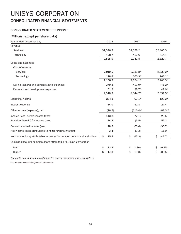### UNISYS CORPORATION **CONSOLIDATED FINANCIAL STATEMENTS**

#### **CONSOLIDATED STATEMENTS OF INCOME**

#### **(Millions, except per share data)**

| Year ended December 31,                                                  | 2018        | 2017         | 2016         |
|--------------------------------------------------------------------------|-------------|--------------|--------------|
| Revenue                                                                  |             |              |              |
| <b>Services</b>                                                          | \$2,386.3   | \$2,328.2    | \$2,406.3    |
| Technology                                                               | 438.7       | 413.6        | 414.4        |
|                                                                          | 2,825.0     | 2,741.8      | 2,820.7      |
| Costs and expenses                                                       |             |              |              |
| Cost of revenue:                                                         |             |              |              |
| Services                                                                 | 2,010.5     | 2,033.8*     | $2,035.2*$   |
| Technology                                                               | 128.2       | $160.3*$     | $168.1*$     |
|                                                                          | 2,138.7     | $2,194.1*$   | $2,203.3*$   |
| Selling, general and administrative expenses                             | 370.3       | $411.9*$     | 441.2*       |
| Research and development expenses                                        | 31.9        | $38.7*$      | $47.0*$      |
|                                                                          | 2,540.9     | $2,644.7*$   | $2,691.5*$   |
| Operating income                                                         | 284.1       | $97.1*$      | $129.2*$     |
| Interest expense                                                         | 64.0        | 52.8         | 27.4         |
| Other income (expense), net                                              | (76.9)      | $(116.4)^*$  | $(81.3)^*$   |
| Income (loss) before income taxes                                        | 143.2       | (72.1)       | 20.5         |
| Provision (benefit) for income taxes                                     | 64.3        | (5.5)        | 57.2         |
| Consolidated net income (loss)                                           | 78.9        | (66.6)       | (36.7)       |
| Net income (loss) attributable to noncontrolling interests               | 3.4         | (1.3)        | 11.0         |
| Net income (loss) attributable to Unisys Corporation common shareholders | \$.<br>75.5 | \$<br>(65.3) | \$<br>(47.7) |
| Earnings (loss) per common share attributable to Unisys Corporation      |             |              |              |
| <b>Basic</b>                                                             | \$<br>1.48  | \$<br>(1.30) | \$<br>(0.95) |
| Diluted                                                                  | \$<br>1.30  | \$<br>(1.30) | \$<br>(0.95) |

*\*Amounts were changed to conform to the current-year presentation. See Note 2.*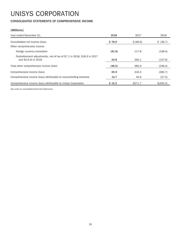#### **CONSOLIDATED STATEMENTS OF COMPREHENSIVE INCOME**

#### **(Millions)**

| Year ended December 31,                                                                            | 2018   | 2017      | 2016        |
|----------------------------------------------------------------------------------------------------|--------|-----------|-------------|
| Consolidated net income (loss)                                                                     | \$78.9 | \$ (66.6) | \$ (36.7)   |
| Other comprehensive income                                                                         |        |           |             |
| Foreign currency translation                                                                       | (81.8) | 117.8     | (108.4)     |
| Postretirement adjustments, net of tax of \$7.1 in 2018, \$18.3 in 2017<br>and $\Im(13.3)$ in 2016 | 33.8   | 265.1     | (137.6)     |
| Total other comprehensive income (loss)                                                            | (48.0) | 382.9     | (246.0)     |
| Comprehensive income (loss)                                                                        | 30.9   | 316.3     | (282.7)     |
| Comprehensive income (loss) attributable to noncontrolling interests                               | 15.7   | 44.6      | (27.5)      |
| Comprehensive income (loss) attributable to Unisys Corporation                                     | \$15.2 | \$271.7   | $$$ (255.2) |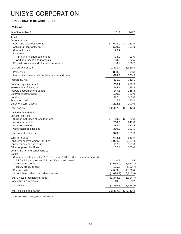#### **CONSOLIDATED BALANCE SHEETS**

#### **(Millions)**

| As of December 31,                                                                                                                                                                                                                            |    | 2018                                                       |   | 2017                                                       |
|-----------------------------------------------------------------------------------------------------------------------------------------------------------------------------------------------------------------------------------------------|----|------------------------------------------------------------|---|------------------------------------------------------------|
| Assets                                                                                                                                                                                                                                        |    |                                                            |   |                                                            |
| Current assets<br>Cash and cash equivalents<br>Accounts receivable, net<br>Contract assets                                                                                                                                                    | Ŝ  | 605.0<br>509.2<br>29.7                                     | S | 733.9<br>503.3                                             |
| Inventories:<br>Parts and finished equipment<br>Work in process and materials<br>Prepaid expenses and other current assets                                                                                                                    |    | 14.0<br>13.3<br>130.2                                      |   | 13.6<br>12.5<br>126.2                                      |
| Total current assets                                                                                                                                                                                                                          |    | 1,301.4                                                    |   | 1,389.5                                                    |
| Properties<br>Less - Accumulated depreciation and amortization                                                                                                                                                                                |    | 800.2<br>678.9                                             |   | 898.8<br>756.3                                             |
| Properties, net                                                                                                                                                                                                                               |    | 121.3                                                      |   | 142.5                                                      |
| Outsourcing assets, net<br>Marketable software, net<br>Prepaid postretirement assets<br>Deferred income taxes<br>Goodwill<br>Restricted cash<br>Other long-term assets                                                                        |    | 216.4<br>162.1<br>147.6<br>109.3<br>177.8<br>19.1<br>202.6 |   | 202.3<br>138.3<br>148.3<br>119.9<br>180.8<br>30.2<br>190.6 |
| Total assets                                                                                                                                                                                                                                  |    | \$2,457.6                                                  |   | \$2,542.4                                                  |
| Liabilities and deficit<br>Current liabilities:<br>Current maturities of long-term debt<br>Accounts payable<br>Deferred revenue<br>Other accrued liabilities                                                                                  | \$ | 10.0<br>268.9<br>294.4<br>350.0                            | S | 10.8<br>241.8<br>327.5<br>391.5                            |
| Total current liabilities                                                                                                                                                                                                                     |    | 923.3                                                      |   | 971.6                                                      |
| Long-term debt<br>Long-term postretirement liabilities<br>Long-term deferred revenue<br>Other long-term liabilities<br>Commitments and contingencies<br>Deficit:                                                                              |    | 642.8<br>1,956.5<br>157.2<br>77.4                          |   | 633.9<br>2,004.4<br>159.0<br>100.0                         |
| Common stock, par value \$.01 per share (150.0 million shares authorized;<br>54.2 million shares and 53.4 million shares issued)<br>Accumulated deficit<br>Treasury stock, at cost<br>Paid-in capital<br>Accumulated other comprehensive loss |    | 0.5<br>(1,694.0)<br>(105.0)<br>4,539.8<br>(4,084.8)        |   | 0.5<br>(1,963.1)<br>(102.7)<br>4,526.4<br>(3,815.8)        |
| Total Unisys stockholders' deficit<br>Noncontrolling interests                                                                                                                                                                                |    | (1, 343.5)<br>43.9                                         |   | (1, 354.7)<br>28.2                                         |
| Total deficit                                                                                                                                                                                                                                 |    | (1, 299.6)                                                 |   | (1,326.5)                                                  |
| Total liabilities and deficit                                                                                                                                                                                                                 |    | \$2,457.6                                                  |   | \$2,542.4                                                  |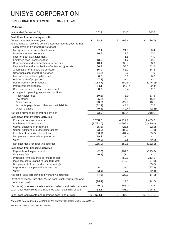#### **CONSOLIDATED STATEMENTS OF CASH FLOWS**

#### **(Millions)**

| Year ended December 31,                                           | 2018                     | 2017         | 2016         |
|-------------------------------------------------------------------|--------------------------|--------------|--------------|
| Cash flows from operating activities                              |                          |              |              |
| Consolidated net income (loss)                                    | \$<br>78.9               | \$<br>(66.6) | \$<br>(36.7) |
| Adjustments to reconcile consolidated net income (loss) to net    |                          |              |              |
| cash provided by operating activities:                            |                          |              |              |
| Foreign currency transaction losses                               | 7.4                      | 21.7         | 0.4          |
| Non-cash interest expense                                         | 10.5                     | 9.5          | 7.0          |
| Loss on debt extinguishment                                       | $\qquad \qquad -$        | 1.5          | 4.0          |
| Employee stock compensation                                       | 13.2                     | 11.2         | 9.5          |
| Depreciation and amortization of properties                       | 40.4                     | 39.7         | 38.9         |
| Depreciation and amortization of outsourcing assets               | 66.8                     | 53.7         | 51.9         |
| Amortization of marketable software                               | 56.9                     | 63.1         | 64.8         |
| Other non-cash operating activities                               | (4.8)                    | 3.2          | 1.9          |
| Loss on disposal of capital assets                                | 0.8                      | 5.0          | 6.2          |
| Gain on sale of properties                                        | (7.3)                    |              |              |
| Postretirement contributions                                      | (138.7)                  | $(150.6)^*$  | $(146.1)^*$  |
| Postretirement expense                                            | 84.1                     | $98.1*$      | 89.4*        |
| Decrease in deferred income taxes, net                            | 8.2                      | 3.4          | 2.7          |
| Changes in operating assets and liabilities:                      |                          |              |              |
| Receivables, net                                                  | (50.5)                   | 5.9          | 87.3         |
| Inventories                                                       | (5.5)                    | 4.1          | 15.3         |
| Other assets                                                      | (23.9)                   | (27.5)       | 16.5         |
| Accounts payable and other accrued liabilities                    | (62.2)                   | 48.6         | 7.5          |
| Other liabilities                                                 | (0.4)                    | $42.4*$      | $(2.3)*$     |
| Net cash provided by operating activities                         | 73.9                     | 166.4        | 218.2        |
| Cash flows from investing activities                              |                          |              |              |
| Proceeds from investments                                         | 3,708.0                  | 4,717.2      | 4,455.9      |
| Purchases of investments                                          | (3,722.0)                | (4,692.4)    | (4,490.0)    |
| Capital additions of properties                                   | (35.6)                   | (25.8)       | (32.5)       |
| Capital additions of outsourcing assets                           | (73.0)                   | (86.3)       | (51.3)       |
| Investment in marketable software                                 | (80.7)                   | (64.4)       | (63.3)       |
| Net proceeds from sale of properties                              | 19.2                     |              |              |
| Other                                                             | (0.9)                    | (0.8)        | (0.9)        |
| Net cash used for investing activities                            | (185.0)                  | (152.5)      | (182.1)      |
| Cash flows from financing activities                              |                          |              |              |
| Payments of long-term debt                                        | (2.3)                    | (107.5)      | (129.8)      |
| Financing fees                                                    | (0.2)                    | (1.1)        |              |
| Proceeds from issuance of long-term debt                          |                          | 452.9        | 213.5        |
| Issuance costs relating to long-term debt                         | $\overline{\phantom{0}}$ | (12.1)       | (7.3)        |
| Net payments from short-term borrowings                           |                          |              | (65.8)       |
| Payments for capped call transactions                             |                          |              | (27.3)       |
| Other                                                             | (2.3)                    | (2.3)        | (0.4)        |
| Net cash (used for) provided by financing activities              | (4.8)                    | 329.9        | (17.1)       |
| Effect of exchange rate changes on cash, cash equivalents and     |                          |              |              |
| restricted cash                                                   | (24.1)                   | 19.2         | (14.7)       |
| (Decrease) increase in cash, cash equivalents and restricted cash | (140.0)                  | 363.0        | 4.3          |
| Cash, cash equivalents and restricted cash, beginning of year     | 764.1                    | 401.1        | 396.8        |
| Cash, cash equivalents and restricted cash, end of year           | \$<br>624.1              | \$<br>764.1  | \$<br>401.1  |

*\*Amounts were changed to conform to the current-year presentation. See Note 2.*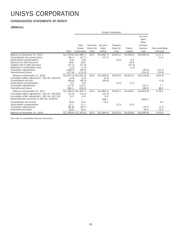#### **CONSOLIDATED STATEMENTS OF DEFICIT**

#### **(Millions)**

|                                                |         | Unisys Corporation             |                              |                             |                              |                    |                                                         |                              |
|------------------------------------------------|---------|--------------------------------|------------------------------|-----------------------------|------------------------------|--------------------|---------------------------------------------------------|------------------------------|
|                                                | Total   | Total<br>Unisys<br>Corporation | Common<br>Stock Par<br>Value | Accumu-<br>lated<br>Deficit | Treasury<br>Stock At<br>Cost | Paid-in<br>Capital | Accumu-<br>lated<br>Other<br>Compre-<br>hensive<br>Loss | Non-controlling<br>Interests |
| Balance at December 31, 2015                   |         | \$(1,378.6) \$(1,389.7)        | \$0.5                        | \$(1,845.7)                 | \$(100.1)                    | \$4,500.9          | $$$ $(3,945.3)$                                         | \$11.1                       |
| Consolidated net income (loss)                 | (36.7)  | (47.7)                         |                              | (47.7)                      |                              |                    |                                                         | 11.0                         |
| Stock-based compensation                       | 8.8     | 8.8                            |                              |                             | (0.4)                        | 9.2                |                                                         |                              |
| Discount on debt issuance                      | 33.6    | 33.6                           |                              |                             |                              | 33.6               |                                                         |                              |
| Capped call on debt issuance                   | (27.3)  | (27.3)                         |                              |                             |                              | (27.3)             |                                                         |                              |
| Expenses of convertible notes                  | (1.2)   | (1.2)                          |                              |                             |                              | (1.2)              |                                                         |                              |
| Translation adjustments                        | (108.4) | (93.3)                         |                              |                             |                              |                    | (93.3)                                                  | (15.1)                       |
| Postretirement plans                           | (137.6) | (114.2)                        |                              |                             |                              |                    | (114.2)                                                 | (23.4)                       |
| Balance at December 31, 2016                   |         | \$(1,647.4) \$(1,631.0)        | \$0.5                        | \$(1,893.4)                 | \$(100.5)                    | \$4,515.2          | \$(4,152.8)                                             | \$(16.4)                     |
| Cumulative effect adjustment - ASU No. 2016-16 | (4.4)   | (4.4)                          |                              | (4.4)                       |                              |                    |                                                         |                              |
| Consolidated net loss                          | (66.6)  | (65.3)                         |                              | (65.3)                      |                              |                    |                                                         | (1.3)                        |
| Stock-based compensation                       | 9.0     | 9.0                            |                              |                             | (2.2)                        | 11.2               |                                                         |                              |
| Translation adjustments                        | 117.8   | 110.1                          |                              |                             |                              |                    | 110.1                                                   | 7.7                          |
| Postretirement plans                           | 265.1   | 226.9                          |                              |                             |                              |                    | 226.9                                                   | 38.2                         |
| Balance at December 31, 2017                   |         | $\$(1,326.5) \$(1,354.7)$      | \$0.5                        | \$(1,963.1)                 | \$(102.7)                    | \$4,526.4          | \$(3,815.8)                                             | \$28.2                       |
| Cumulative effect adjustment - ASU No. 2014-09 | (21.4)  | (21.4)                         |                              | (21.4)                      |                              |                    |                                                         |                              |
| Cumulative effect adjustment - ASU No. 2017-05 | 6.3     | 6.3                            |                              | 6.3                         |                              |                    |                                                         |                              |
| Reclassification pursuant to ASU No. 2018-02   |         | $\overline{\phantom{0}}$       |                              | 208.7                       |                              |                    | (208.7)                                                 |                              |
| Consolidated net income                        | 78.9    | 75.5                           |                              | 75.5                        |                              |                    |                                                         | 3.4                          |
| Stock-based compensation                       | 11.1    | 11.1                           |                              |                             | (2.3)                        | 13.4               |                                                         |                              |
| Translation adjustments                        | (81.8)  | (79.7)                         |                              |                             |                              |                    | (79.7)                                                  | (2.1)                        |
| Postretirement plans                           | 33.8    | 19.4                           |                              |                             |                              |                    | 19.4                                                    | 14.4                         |
| Balance at December 31, 2018                   |         | \$(1,299.6) \$(1,343.5)        | \$0.5                        | \$(1,694.0)                 | \$(105.0)                    | \$4,539.8          | S(4.084.8)                                              | \$43.9                       |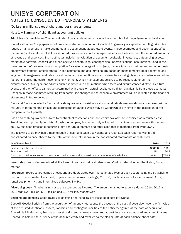### UNISYS CORPORATION **NOTES TO CONSOLIDATED FINANCIAL STATEMENTS**

#### **(Dollars in millions, except share and per share amounts)**

#### **Note 1 – Summary of significant accounting policies**

**Principles of consolidation** The consolidated financial statements include the accounts of all majority-owned subsidiaries.

**Use of estimates** The preparation of financial statements in conformity with U.S. generally accepted accounting principles requires management to make estimates and assumptions about future events. These estimates and assumptions affect the amounts of assets and liabilities reported, disclosures about contingent assets and liabilities and the reported amounts of revenue and expenses. Such estimates include the valuation of accounts receivable, inventories, outsourcing assets, marketable software, goodwill and other long-lived assets, legal contingencies, indemnifications, assumptions used in the measurement of progress toward completion for systems integration projects, income taxes and retirement and other postemployment benefits, among others. These estimates and assumptions are based on management's best estimates and judgment. Management evaluates its estimates and assumptions on an ongoing basis using historical experience and other factors, including the current economic environment, which management believes to be reasonable under the circumstances. Management adjusts such estimates and assumptions when facts and circumstances dictate. As future events and their effects cannot be determined with precision, actual results could differ significantly from these estimates. Changes in those estimates resulting from continuing changes in the economic environment will be reflected in the financial statements in future periods.

**Cash and Cash equivalents** Cash and cash equivalents consist of cash on hand, short-term investments purchased with a maturity of three months or less and certificates of deposit which may be withdrawn at any time at the discretion of the company without penalty.

Cash and cash equivalents subject to contractual restrictions and not readily available are classified as restricted cash. Restricted cash primarily consists of cash the company is contractually obligated to maintain in accordance with the terms of its U.K. business process outsourcing joint venture agreement and other cash that is restricted from withdrawal.

The following table provides a reconciliation of cash and cash equivalents and restricted cash reported within the consolidated balance sheets to the total of the amounts shown in the consolidated statements of cash flows.

| As of December 31.                                                                                  | 2018            | 2017 |
|-----------------------------------------------------------------------------------------------------|-----------------|------|
| Cash and cash equivalents                                                                           | \$605.0 \$733.9 |      |
| Restricted cash                                                                                     | 19.1            | 30.2 |
| Total cash, cash equivalents and restricted cash shown in the consolidated statements of cash flows | \$624.1 \$764.1 |      |

**Inventories** Inventories are valued at the lower of cost and net realizable value. Cost is determined on the first-in, first-out method.

**Properties** Properties are carried at cost and are depreciated over the estimated lives of such assets using the straight-line method. The estimated lives used, in years, are as follows: buildings,  $20 - 50$ ; machinery and office equipment,  $4 - 7$ ; rental equipment, 4; and internal-use software,  $3 - 10$ .

**Advertising costs** All advertising costs are expensed as incurred. The amount charged to expense during 2018, 2017 and 2016 was \$2.8 million, \$1.6 million and \$2.7 million, respectively.

**Shipping and handling** Costs related to shipping and handling are included in cost of revenue.

**Goodwill** Goodwill arising from the acquisition of an entity represents the excess of the cost of acquisition over the fair value of the acquired identifiable assets, liabilities and contingent liabilities of the entity recognized at the date of acquisition. Goodwill is initially recognized as an asset and is subsequently measured at cost less any accumulated impairment losses. Goodwill is held in the currency of the acquired entity and revalued to the closing rate at each balance sheet date.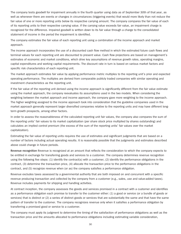The company tests goodwill for impairment annually in the fourth quarter using data as of September 30th of that year, as well as whenever there are events or changes in circumstances (triggering events) that would more likely than not reduce the fair value of one or more reporting units below its respective carrying amount. The company compares the fair value of each of its reporting units to their respective carrying value. If the carrying value exceeds fair value, an impairment charge is recognized for the difference. Impaired goodwill is written down to its fair value through a charge to the consolidated statement of income in the period the impairment is identified.

The company estimates the fair value of each reporting unit using a combination of the income approach and market approach.

The income approach incorporates the use of a discounted cash flow method in which the estimated future cash flows and terminal values for each reporting unit are discounted to present value. Cash flow projections are based on management's estimates of economic and market conditions, which drive key assumptions of revenue growth rates, operating margins, capital expenditures and working capital requirements. The discount rate in turn is based on various market factors and specific risk characteristics of each reporting unit.

The market approach estimates fair value by applying performance metric multiples to the reporting unit's prior and expected operating performance. The multiples are derived from comparable publicly traded companies with similar operating and investment characteristics as the reporting unit.

If the fair value of the reporting unit derived using the income approach is significantly different from the fair value estimate using the market approach, the company reevaluates its assumptions used in the two models. When considering the weighting between the market approach and income approach, the company gave more weighting to the income approach. The higher weighting assigned to the income approach took into consideration that the guideline companies used in the market approach generally represent larger diversified companies relative to the reporting units and may have different longterm growth prospects, among other factors.

In order to assess the reasonableness of the calculated reporting unit fair values, the company also compares the sum of the reporting units' fair values to its market capitalization (per share stock price multiplied by shares outstanding) and calculates an implied control premium (the excess of the sum of the reporting units' fair values over the market capitalization).

Estimating the fair value of reporting units requires the use of estimates and significant judgments that are based on a number of factors including actual operating results. It is reasonably possible that the judgments and estimates described above could change in future periods.

**Revenue recognition** Revenue is recognized at an amount that reflects the consideration to which the company expects to be entitled in exchange for transferring goods and services to a customer. The company determines revenue recognition using the following five steps: (1) identify the contract(s) with a customer, (2) identify the performance obligations in the contract, (3) determine the transaction price, (4) allocate the transaction price to the performance obligations in the contract, and (5) recognize revenue when (or as) the company satisfies a performance obligation.

Revenue excludes taxes assessed by a governmental authority that are both imposed on and concurrent with a specific revenue producing transaction and collected by the company from a customer (e.g., sales, use and value-added taxes). Revenue includes payments for shipping and handling activities.

At contract inception, the company assesses the goods and services promised in a contract with a customer and identifies as a performance obligation each promise to transfer to the customer either: (1) a good or service (or a bundle of goods or services) that is distinct or (2) a series of distinct goods or services that are substantially the same and that have the same pattern of transfer to the customer. The company recognizes revenue only when it satisfies a performance obligation by transferring a promised good or service to a customer.

The company must apply its judgment to determine the timing of the satisfaction of performance obligations as well as the transaction price and the amounts allocated to performance obligations including estimating variable consideration,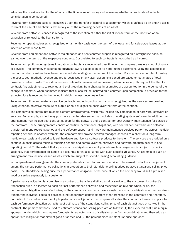adjusting the consideration for the effects of the time value of money and assessing whether an estimate of variable consideration is constrained.

Revenue from hardware sales is recognized upon the transfer of control to a customer, which is defined as an entity's ability to direct the use of and obtain substantially all of the remaining benefits of an asset.

Revenue from software licenses is recognized at the inception of either the initial license term or the inception of an extension or renewal to the license term.

Revenue for operating leases is recognized on a monthly basis over the term of the lease and for sales-type leases at the inception of the lease term.

Revenue from equipment and software maintenance and post-contract support is recognized on a straight-line basis as earned over the terms of the respective contracts. Cost related to such contracts is recognized as incurred.

Revenue and profit under systems integration contracts are recognized over time as the company transfers control of goods or services. The company measures its progress toward satisfaction of its performance obligations using the cost-to-cost method, or when services have been performed, depending on the nature of the project. For contracts accounted for using the cost-to-cost method, revenue and profit recognized in any given accounting period are based on estimates of total projected contract costs. The estimates are continually reevaluated and revised, when necessary, throughout the life of a contract. Any adjustments to revenue and profit resulting from changes in estimates are accounted for in the period of the change in estimate. When estimates indicate that a loss will be incurred on a contract upon completion, a provision for the expected loss is recorded in the period in which the loss becomes evident.

Revenue from time and materials service contracts and outsourcing contracts is recognized as the services are provided using either an objective measure of output or on a straight-line basis over the term of the contract.

The company also enters into multiple-element arrangements, which may include any combination of hardware, software or services. For example, a client may purchase an enterprise server that includes operating system software. In addition, the arrangement may include post-contract support for the software and a contract for post-warranty maintenance for service of the hardware. These arrangements consist of multiple performance obligations, with control over hardware and software transferred in one reporting period and the software support and hardware maintenance services performed across multiple reporting periods. In another example, the company may provide desktop managed services to a client on a long-term multiple-year basis and periodically sell hardware and license software products to the client. The services are provided on a continuous basis across multiple reporting periods and control over the hardware and software products occurs in one reporting period. To the extent that a performance obligation in a multiple-deliverable arrangement is subject to specific guidance, that performance obligation is accounted for in accordance with such specific guidance. An example of such an arrangement may include leased assets which are subject to specific leasing accounting guidance.

In multiple-element arrangements, the company allocates the total transaction price to be earned under the arrangement among the various performance obligations in proportion to their standalone selling prices (relative standalone selling price basis). The standalone selling price for a performance obligation is the price at which the company would sell a promised good or service separately to a customer.

A performance obligation is a promise in a contract to transfer a distinct good or service to the customer. A contract's transaction price is allocated to each distinct performance obligation and recognized as revenue when, or as, the performance obligation is satisfied. Many of the company's contracts have a single performance obligation as the promise to transfer the individual goods or services is not separately identifiable from other promises in the contracts and, therefore, not distinct. For contracts with multiple performance obligations, the company allocates the contract's transaction price to each performance obligation using its best estimate of the standalone selling price of each distinct good or service in the contract. The primary methods used to estimate standalone selling price are as follows: (1) the expected cost plus margin approach, under which the company forecasts its expected costs of satisfying a performance obligation and then adds an appropriate margin for that distinct good or service and (2) the percent discount off of list price approach.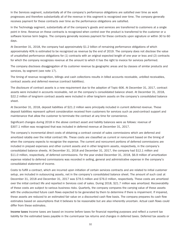In the Services segment, substantially all of the company's performance obligations are satisfied over time as work progresses and therefore substantially all of the revenue in this segment is recognized over time. The company generally receives payment for these contracts over time as the performance obligations are satisfied.

In the Technology segment, substantially all of the company's goods and services are transferred to customers at a single point in time. Revenue on these contracts is recognized when control over the product is transferred to the customer or a software license term begins. The company generally receives payment for these contracts upon signature or within 30 to 60 days.

At December 31, 2018, the company had approximately \$1.2 billion of remaining performance obligations of which approximately 40% is estimated to be recognized as revenue by the end of 2019. The company does not disclose the value of unsatisfied performance obligations for (1) contracts with an original expected length of one year or less and (2) contracts for which the company recognizes revenue at the amount to which it has the right to invoice for services performed.

The company discloses disaggregation of its customer revenue by geographic areas and by classes of similar products and services, by segment (see note 17).

The timing of revenue recognition, billings and cash collections results in billed accounts receivable, unbilled receivables, contract assets and deferred revenue (contract liabilities).

The disclosure of contract assets is a new requirement due to the adoption of Topic 606. At December 31, 2017, contract assets were included in accounts receivable, net on the company's consolidated balance sheet. At December 31, 2018, \$22.2 million of long-term contract assets were included in other long-term assets on the company's consolidated balance sheet.

At December 31, 2018, deposit liabilities of \$21.2 million were principally included in current deferred revenue. These deposit liabilities represent upfront consideration received from customers for services such as post-contract support and maintenance that allow the customer to terminate the contract at any time for convenience.

Significant changes during 2018 in the above contract asset and liability balances were as follows: revenue of \$307.1 million was recognized that was included in deferred revenue at December 31, 2017.

The company's incremental direct costs of obtaining a contract consist of sales commissions which are deferred and amortized ratably over the initial contract life. These costs are classified as current or noncurrent based on the timing of when the company expects to recognize the expense. The current and noncurrent portions of deferred commissions are included in prepaid expenses and other current assets and in other long-term assets, respectively, in the company's consolidated balance sheets. At December 31, 2018 and December 31, 2017, the company had \$12.1 million and \$11.0 million, respectively, of deferred commissions. For the year ended December 31, 2018, \$6.9 million of amortization expense related to deferred commissions was recorded in selling, general and administrative expense in the company's consolidated statement of income.

Costs to fulfill a contract, which are incurred upon initiation of certain services contracts and are related to initial customer setup, are included in outsourcing assets, net in the company's consolidated balance sheet. The amount of such cost at December 31, 2018 and December 31, 2017 was \$79.5 million and \$76.0 million, respectively. These costs are amortized over the initial contract life and reported in Services cost of sales. During 2018, \$21.7 million was amortized. Recoverability of these costs are subject to various business risks. Quarterly, the company compares the carrying value of these assets with the undiscounted future cash flows expected to be generated by them to determine if there is impairment. If impaired, these assets are reduced to an estimated fair value on a discounted cash flow basis. The company prepares its cash flow estimates based on assumptions that it believes to be reasonable but are also inherently uncertain. Actual cash flows could differ from these estimates.

**Income taxes** Income taxes are based on income before taxes for financial reporting purposes and reflect a current tax liability for the estimated taxes payable in the current-year tax returns and changes in deferred taxes. Deferred tax assets or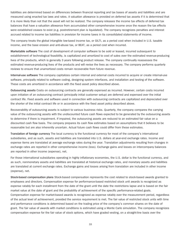liabilities are determined based on differences between financial reporting and tax bases of assets and liabilities and are measured using enacted tax laws and rates. A valuation allowance is provided on deferred tax assets if it is determined that it is more likely than not that the asset will not be realized. The company releases the income tax effects of deferred tax balances that have a valuation allowance from accumulated other comprehensive income once the reason the tax effects were established ceases to exist (e.g. postretirement plan is liquidated). The company recognizes penalties and interest accrued related to income tax liabilities in provision for income taxes in its consolidated statements of income.

The company treats the global intangible low-taxed income tax, or GILTI, as a period cost when included in U.S. taxable income, and the base erosion and anti-abuse tax, or BEAT, as a period cost when incurred.

**Marketable software** The cost of development of computer software to be sold or leased, incurred subsequent to establishment of technological feasibility, is capitalized and amortized to cost of sales over the estimated revenue-producing lives of the products, which is generally 3 years following product release. The company continually reassesses the estimated revenue-producing lives of the products and will revise the lives as necessary. The company performs quarterly reviews to ensure that unamortized costs remain recoverable from future revenue.

**Internal-use software** The company capitalizes certain internal and external costs incurred to acquire or create internal-use software, principally related to software coding, designing system interfaces, and installation and testing of the software. These costs are amortized in accordance with the fixed asset policy described above.

**Outsourcing assets** Costs on outsourcing contracts are generally expensed as incurred. However, certain costs incurred upon initiation of an outsourcing contract (principally initial customer setup) are deferred and expensed over the initial contract life. Fixed assets and software used in connection with outsourcing contracts are capitalized and depreciated over the shorter of the initial contract life or in accordance with the fixed asset policy described above.

Recoverability of outsourcing assets is subject to various business risks. Quarterly, the company compares the carrying value of the outsourcing assets with the undiscounted future cash flows expected to be generated by the outsourcing assets to determine if there is impairment. If impaired, the outsourcing assets are reduced to an estimated fair value on a discounted cash flow basis. The company prepares its cash flow estimates based on assumptions that it believes to be reasonable but are also inherently uncertain. Actual future cash flows could differ from these estimates.

**Translation of foreign currency** The local currency is the functional currency for most of the company's international subsidiaries, and as such, assets and liabilities are translated into U.S. dollars at year-end exchange rates. Income and expense items are translated at average exchange rates during the year. Translation adjustments resulting from changes in exchange rates are reported in other comprehensive income (loss). Exchange gains and losses on intercompany balances are reported in other income (expense), net.

For those international subsidiaries operating in highly inflationary economies, the U.S. dollar is the functional currency, and as such, nonmonetary assets and liabilities are translated at historical exchange rates, and monetary assets and liabilities are translated at current exchange rates. Exchange gains and losses arising from translation are included in other income (expense), net.

**Stock-based compensation plans** Stock-based compensation represents the cost related to stock-based awards granted to employees and directors. Compensation expense for performance-based restricted stock unit awards is recognized as expense ratably for each installment from the date of the grant until the date the restrictions lapse and is based on the fair market value at the date of grant and the probability of achievement of the specific performance-related goals. Compensation expense for market-based awards is recognized as expense ratably over the measurement period, regardless of the actual level of achievement, provided the service requirement is met. The fair value of restricted stock units with time and performance conditions is determined based on the trading price of the company's common shares on the date of grant. The fair value of awards with market conditions is estimated using a Monte Carlo simulation. The company recognizes compensation expense for the fair value of stock options, which have graded vesting, on a straight-line basis over the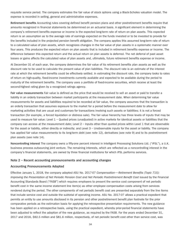requisite service period. The company estimates the fair value of stock options using a Black-Scholes valuation model. The expense is recorded in selling, general and administrative expenses.

**Retirement benefits** Accounting rules covering defined benefit pension plans and other postretirement benefits require that amounts recognized in financial statements be determined on an actuarial basis. A significant element in determining the company's retirement benefits expense or income is the expected long-term rate of return on plan assets. This expected return is an assumption as to the average rate of earnings expected on the funds invested or to be invested to provide for the benefits included in the projected pension benefit obligation. The company applies this assumed long-term rate of return to a calculated value of plan assets, which recognizes changes in the fair value of plan assets in a systematic manner over four years. This produces the expected return on plan assets that is included in retirement benefits expense or income. The difference between this expected return and the actual return on plan assets is deferred. The net deferral of past asset losses or gains affects the calculated value of plan assets and, ultimately, future retirement benefits expense or income.

At December 31 of each year, the company determines the fair value of its retirement benefits plan assets as well as the discount rate to be used to calculate the present value of plan liabilities. The discount rate is an estimate of the interest rate at which the retirement benefits could be effectively settled. In estimating the discount rate, the company looks to rates of return on high-quality, fixed-income investments currently available and expected to be available during the period to maturity of the retirement benefits. The company uses a portfolio of fixed-income securities, which receive at least the second-highest rating given by a recognized ratings agency.

**Fair value measurements** Fair value is defined as the price that would be received to sell an asset or paid to transfer a liability in an orderly transaction between market participants at the measurement date. When determining fair value measurements for assets and liabilities required to be recorded at fair value, the company assumes that the transaction is an orderly transaction that assumes exposure to the market for a period before the measurement date to allow for marketing activities that are usual and customary for transactions involving such assets or liabilities; it is not a forced transaction (for example, a forced liquidation or distress sale). The fair value hierarchy has three levels of inputs that may be used to measure fair value: Level 1 – Quoted prices (unadjusted) in active markets for identical assets or liabilities that the company can access at the measurement date; Level 2 – Inputs other than quoted prices within Level 1 that are observable for the asset or liability, either directly or indirectly; and Level 3 – Unobservable inputs for the asset or liability. The company has applied fair value measurements to its long-term debt (see note 12), derivatives (see note 9) and to its postretirement plan assets (see note 14).

**Noncontrolling interest** The company owns a fifty-one percent interest in Intelligent Processing Solutions Ltd. ("iPSL"), a U.K. business process outsourcing joint venture. The remaining interests, which are reflected as a noncontrolling interest in the company's financial statements, are owned by three financial institutions for which iPSL performs services.

#### **Note 2 – Recent accounting pronouncements and accounting changes**

#### **Accounting Pronouncements Adopted**

Effective January 1, 2018, the company adopted ASU No. 2017-07 *Compensation—Retirement Benefits (Topic 715): Improving the Presentation of Net Periodic Pension Cost and Net Periodic Postretirement Benefit Cost* issued by the Financial Accounting Standards Board ("FASB") which requires employers to present the service cost component of net periodic benefit cost in the same income statement line item(s) as other employee compensation costs arising from services rendered during the period. The other components of net periodic benefit cost are presented separately from the line items that include service cost and outside the subtotal of operating income. ASU No. 2017-07 allows a practical expedient that permits an entity to use amounts disclosed in its pension and other postretirement benefit plan footnote for the prior comparative periods as the estimation basis for applying the retrospective presentation requirements. The new guidance has been applied on a retrospective basis, using the practical expedient, whereby prior-period financial statements have been adjusted to reflect the adoption of the new guidance, as required by the FASB. For the years ended December 31, 2017 and 2016, \$92.5 million and \$81.6 million, respectively, of net periodic benefit cost other than service cost, was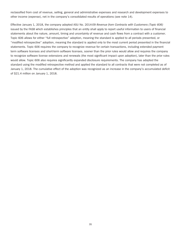reclassified from cost of revenue, selling, general and administrative expenses and research and development expenses to other income (expense), net in the company's consolidated results of operations (see note 14).

Effective January 1, 2018, the company adopted ASU No. 2014-09 *Revenue from Contracts with Customers (Topic 606)* issued by the FASB which establishes principles that an entity shall apply to report useful information to users of financial statements about the nature, amount, timing and uncertainty of revenue and cash flows from a contract with a customer. Topic 606 allows for either "full retrospective" adoption, meaning the standard is applied to all periods presented, or "modified retrospective" adoption, meaning the standard is applied only to the most current period presented in the financial statements. Topic 606 requires the company to recognize revenue for certain transactions, including extended payment term software licenses and short-term software licenses, sooner than the prior rules would allow and requires the company to recognize software license extensions and renewals (the most significant impact upon adoption), later than the prior rules would allow. Topic 606 also requires significantly expanded disclosure requirements. The company has adopted the standard using the modified retrospective method and applied the standard to all contracts that were not completed as of January 1, 2018. The cumulative effect of the adoption was recognized as an increase in the company's accumulated deficit of \$21.4 million on January 1, 2018.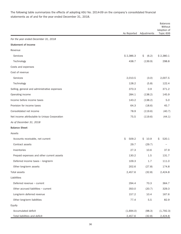As Reported Adjustments Balances **Without** Adoption of Topic 606 *For the year ended December 31, 2018* **Statement of Income** Revenue Services \$ 2,386.3 \$ (6.2) \$ 2,380.1 Technology 438.7 (139.9) 298.8 Costs and expenses Cost of revenue Services 2,010.5 (3.0) 2,007.5 Technology 128.2 (5.8) 122.4 Selling, general and administrative expenses 370.3 0.9 371.2 Operating income 284.1 (138.2) 145.9 Income before income taxes 6.0 and the state of the state of the state of the state of the state of the state of the state of the state of the state of the state of the state of the state of the state of the state of the s Provision for income taxes and the set of the set of the set of the set of the set of the set of the set of the set of the set of the set of the set of the set of the set of the set of the set of the set of the set of the Consolidated net income (40.7) (40.7) (40.7) (40.7) (40.7) Net income attributable to Unisys Corporation  $(44.1)$ *As of December 31, 2018* **Balance Sheet** Assets Accounts receivable, net current  $\sim$  8 509.2 \$ 10.9 \$ 520.1 Contract assets 29.7 (29.7) – Inventories 27.3 10.6 37.9 Prepaid expenses and other current assets 130.2 1.5 131.7 Deferred income taxes – long-term 11.0 and the state of the state of the state of the state of the state of the state of the state of the state of the state of the state of the state of the state of the state of the state Other long-term assets 202.6 (27.8) 174.8 Total assets 2,457.6 (32.8) 2,424.8 Liabilities Deferred revenue – current 294.4 70.3 364.7 Other accrued liabilities – current 29.3 and 350.0 (20.7) 329.3 Long-term deferred revenue 157.2 10.4 167.6 Other long-term liabilities 77.4 5.5 82.9 Equity Accumulated deficit (1,694.0) (98.3) (1,792.3) (1,792.3) Total liabilities and deficit 2,457.6 (32.8) 2,424.8

The following table summarizes the effects of adopting ASU No. 2014-09 on the company's consolidated financial statements as of and for the year ended December 31, 2018.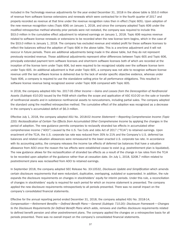Included in the Technology revenue adjustments for the year ended December 31, 2018 in the above table is \$53.0 million of revenue from software license extensions and renewals which were contracted for in the fourth quarter of 2017 and properly recorded as revenue at that time under the revenue recognition rules then in effect (Topic 605). Upon adoption of the new revenue recognition rules (Topic 606) on January 1, 2018, and since the company adopted Topic 606 under the modified retrospective method whereby prior periods were not restated, the company was required to include this \$53.0 million in the cumulative effect adjustment to retained earnings on January 1, 2018. Topic 606 requires revenue related to software license renewals or extensions to be recorded when the new license term begins, which in the case of the \$53.0 million is January 1, 2018. The company has excluded revenue and related profit for these software licenses to reflect the balances without the adoption of Topic 606 in the above table. This is a one-time adjustment and it will not reoccur in future periods. There are additional adjustments being made in the above table, but they do not represent previously recorded revenue. Those additional adjustments represent other differences between Topic 605 and Topic 606, principally extended payment term software licenses and short-term software licenses both of which are recorded at the inception of the license term under Topic 606, but were required to be recognized ratably over the software license term under Topic 605. An additional adjustment is that under Topic 605, a company was not able to recognize software license revenue until the last software license is delivered due to the lack of vendor specific objective evidence, whereas under Topic 606, a company is required to use the standalone selling price for all performance obligations. This resulted in software license revenue being recognized sooner under Topic 606 compared with Topic 605.

In 2018, the company adopted ASU No. 2017-05 *Other Income—Gains and Losses from the Derecognition of Nonfinancial Assets (Subtopic 610-20)* issued by the FASB which clarifies the scope and application of ASC 610-20 on the sale or transfer of nonfinancial assets and in substance nonfinancial assets to noncustomers, including partial sales. The company adopted the standard using the modified retrospective method. The cumulative effect of the adoption was recognized as a decrease in the company's accumulated deficit of \$6.3 million.

Effective July 1, 2018, the company adopted ASU No. 2018-02 *Income Statement—Reporting Comprehensive Income (Topic 220): Reclassification of Certain Tax Effects from Accumulated Other Comprehensive Income* by applying the changes in the period of adoption. The new guidance permits companies to reclassify stranded tax effects in accumulated other comprehensive income ("AOCI") caused by the U.S. Tax Cuts and Jobs Act of 2017 ("TCJA") to retained earnings. Upon enactment of the TCJA, the U.S. corporate tax rate was reduced from 35% to 21% and the Company's U.S. deferred tax balances and related valuation allowances were remeasured to the lower enacted U.S. corporate tax rate. In accordance with its accounting policy, the company releases the income tax effects of deferred tax balances that have a valuation allowance from AOCI once the reason the tax effects were established cease to exist (e.g. postretirement plan is liquidated). The new guidance allows for the reclassification of stranded tax effects as a result of the change in tax rates from the TCJA to be recorded upon adoption of the guidance rather than at cessation date. On July 1, 2018, \$208.7 million related to postretirement plans was reclassified from AOCI to retained earnings.

In September 2018, the company adopted SEC Release No. 33-10532, *Disclosure Update and Simplification* which amends certain disclosure requirements that were redundant, duplicative, overlapping, outdated or superseded. In addition, the rule expands the disclosure requirements on changes in stockholders' equity for interim periods. Under this rule, a reconciliation of changes in stockholders' equity is required for each period for which an income statement is presented. The company applied the new disclosure requirements retrospectively to all periods presented. There was no overall impact on the company's consolidated financial statements.

Effective for the annual reporting period ended December 31, 2018, the company adopted ASU No. 2018-14, *Compensation—Retirement Benefits—Defined Benefit Plans—General (Subtopic 715-20): Disclosure Framework—Changes to the Disclosure Requirements for Defined Benefit Plans* which adds, removes and clarifies disclosure requirements related to defined benefit pension and other postretirement plans. The company applied the changes on a retrospective basis for all periods presented. There was no overall impact on the company's consolidated financial statements.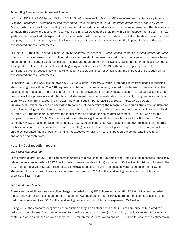#### **Accounting Pronouncements Not Yet Adopted**

In August 2018, the FASB issued ASU No. 2018-15, *Intangibles—Goodwill and Other—Internal—Use Software (Subtopic 350-40)*: *Customer's Accounting for Implementation Costs Incurred in a Cloud Computing Arrangement That Is a Service Contract* which clarifies the accounting for implementation costs incurred in a cloud computing arrangement that is a service contract. This update is effective for fiscal years ending after December 15, 2019, with earlier adoption permitted. The new guidance can be applied retrospectively or prospectively to all implementation costs incurred after the date of adoption. The company is currently assessing when it will choose to adopt, and is currently evaluating the impact of the adoption on its consolidated financial statements.

In June 2016, the FASB issued ASU No. 2016-13 *Financial Instruments—Credit Losses (Topic 326): Measurement of Credit Losses on Financial Instruments* which introduces a new model for recognizing credit losses on financial instruments based on an estimate of current expected losses. This includes trade and other receivables, loans and other financial instruments. This update is effective for annual periods beginning after December 15, 2019, with earlier adoption permitted. The company is currently assessing when it will choose to adopt, and is currently evaluating the impact of the adoption on its consolidated financial statements.

In February 2016, the FASB issued ASU No. 2016-02 *Leases (Topic 842)*, which is intended to improve financial reporting about leasing transactions. The ASU requires organizations that lease assets, referred to as lessees, to recognize on the balance sheet the assets and liabilities for the rights and obligations created by those leases. The standard also requires disclosures to help investors and other financial statement users better understand the amount, timing and uncertainty of cash flows arising from leases. In July 2018, the FASB issued ASU No. 2018-11, *Leases (Topic 842), Targeted Improvements,* which provides an alternative transition method permitting the recognition of a cumulative-effect adjustment to retained earnings on the date of adoption rather than restating comparative periods in transition as originally prescribed by Topic 842. The standard is effective for annual reporting periods beginning after December 15, 2018, which for the company is January 1, 2019. The company will adopt the new guidance utilizing the alternative transition method. The company reviewed lease contracts, implemented new lease accounting software, established new processes and internal controls and evaluated the impact of certain accounting policy elections. The adoption is expected to have a material impact on the consolidated financial position, and is not expected to have a material impact on the consolidated results of operations and cash flows.

#### **Note 3 – Cost-reduction actions**

#### *2018 Cost-reduction Plan*

In the fourth quarter of 2018, the company committed to a reduction of 589 employees. This resulted in charges, principally related to severance costs, of \$27.7 million, which were comprised of: (a) a charge of \$5.2 million for 264 employees in the U.S. and (b) a charge of \$22.5 million for 325 employees outside the U.S. The charges were recorded in the following statement of income classifications: cost of revenue - services, \$25.4 million and selling, general and administrative expenses, \$2.3 million.

#### *2015 Cost-reduction Plan*

There were no additional cost-reduction charges recorded during 2018; however, a benefit of \$8.0 million was recorded in the current year for changes in estimates. The benefit was recorded in the following statement of income classifications: cost of revenue - services, \$7.3 million and selling, general and administrative expenses, \$0.7 million.

During 2017, the company recognized cost-reduction charges and other costs of \$146.8 million, principally related to a reduction in employees. The charges related to work-force reductions were \$117.9 million, principally related to severance costs, and were comprised of: (a) a charge of \$9.4 million for 542 employees and \$(1.3) million for changes in estimates in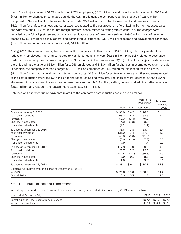the U.S. and (b) a charge of \$109.4 million for 2,274 employees, \$8.2 million for additional benefits provided in 2017 and \$(7.8) million for changes in estimates outside the U.S. In addition, the company recorded charges of \$28.9 million comprised of \$4.7 million for idle leased facilities costs, \$5.4 million for contract amendment and termination costs, \$5.2 million for professional fees and other expenses related to the cost-reduction effort, \$1.8 million for net asset sales and write-offs and \$11.8 million for net foreign currency losses related to exiting foreign countries. The charges were recorded in the following statement of income classifications: cost of revenue - services, \$99.6 million; cost of revenue technology, \$0.4 million; selling, general and administrative expenses, \$33.6 million; research and development expenses, \$1.4 million; and other income (expense), net, \$11.8 million.

During 2016, the company recognized cost-reduction charges and other costs of \$82.1 million, principally related to a reduction in employees. The charges related to work-force reductions were \$62.6 million, principally related to severance costs, and were comprised of: (a) a charge of \$8.3 million for 351 employees and \$(1.3) million for changes in estimates in the U.S. and (b) a charge of \$58.6 million for 1,048 employees and \$(3.0) million for changes in estimates outside the U.S. In addition, the company recorded charges of \$19.5 million comprised of \$1.4 million for idle leased facilities costs, \$4.1 million for contract amendment and termination costs, \$13.3 million for professional fees and other expenses related to the cost-reduction effort and \$0.7 million for net asset sales and write-offs. The charges were recorded in the following statement of income classifications: cost of revenue - services, \$42.4 million; selling, general and administrative expenses, \$38.0 million; and research and development expenses, \$1.7 million.

Liabilities and expected future payments related to the company's cost-reduction actions are as follows:

|                                                           |        |       | Work-Force<br><b>Reductions</b> | <b>Idle Leased</b><br>Facilities |
|-----------------------------------------------------------|--------|-------|---------------------------------|----------------------------------|
|                                                           | Total  | U.S.  | International                   | Costs                            |
| Balance at January 1, 2016                                | \$33.0 | \$4.2 | \$28.8                          | $S-$                             |
| Additional provisions                                     | 68.3   | 8.3   | 58.6                            | 1.4                              |
| Payments                                                  | (59.3) | (9.4) | (49.9)                          |                                  |
| Changes in estimates                                      | (4.3)  | (1.3) | (3.0)                           |                                  |
| Translation adjustments                                   | (1.1)  | -     | (1.1)                           |                                  |
| Balance at December 31, 2016                              | 36.6   | 1.8   | 33.4                            | 1.4                              |
| Additional provisions                                     | 131.2  | 9.4   | 117.6                           | 4.2                              |
| Payments                                                  | (49.3) | (6.0) | (41.3)                          | (2.0)                            |
| Changes in estimates                                      | (8.6)  | (1.3) | (7.8)                           | 0.5                              |
| Translation adjustments                                   | 7.9    | —     | 7.7                             | 0.2                              |
| Balance at December 31, 2017                              | 117.8  | 3.9   | 109.6                           | 4.3                              |
| Additional provisions                                     | 27.7   | 5.2   | 22.5                            |                                  |
| Payments                                                  | (44.4) | (3.1) | (39.3)                          | (2.0)                            |
| Changes in estimates                                      | (8.0)  | 0.1   | (8.8)                           | 0.7                              |
| Translation adjustments                                   | (4.0)  | -     | (3.9)                           | (0.1)                            |
| Balance at December 31, 2018                              | \$89.1 | \$6.1 | \$80.1                          | \$2.9                            |
| Expected future payments on balance at December 31, 2018: |        |       |                                 |                                  |
| In 2019                                                   | \$75.8 | \$5.6 | \$68.8                          | \$1.4                            |
| Beyond 2019                                               | 13.3   | 0.5   | 11.3                            | 1.5                              |

#### **Note 4 – Rental expense and commitments**

Rental expense and income from subleases for the three years ended December 31, 2018 were as follows:

| Year ended December 31,                    | 2018 | 2017                        | 2016 |
|--------------------------------------------|------|-----------------------------|------|
| Rental expense, less income from subleases |      | <b>\$67.4</b> \$71.7 \$77.4 |      |
| Income from subleases                      |      | \$ 3.1 \$ 4.4 \$ 7.8        |      |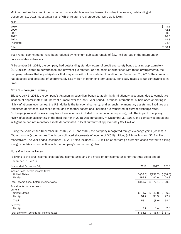Minimum net rental commitments under noncancelable operating leases, including idle leases, outstanding at December 31, 2018, substantially all of which relate to real properties, were as follows:

| rear       |         |
|------------|---------|
| 2019       | \$48.5  |
| 2020       | 42.1    |
| 2021       | 30.0    |
| 2022       | 20.8    |
| 2023       | 14.3    |
| Thereafter | 24.4    |
| Total      | \$180.1 |

Such rental commitments have been reduced by minimum sublease rentals of \$2.7 million, due in the future under noncancelable subleases.

At December 31, 2018, the company had outstanding standby letters of credit and surety bonds totaling approximately \$272 million related to performance and payment guarantees. On the basis of experience with these arrangements, the company believes that any obligations that may arise will not be material. In addition, at December 31, 2018, the company had deposits and collateral of approximately \$15 million in other long-term assets, principally related to tax contingencies in Brazil.

#### **Note 5 – Foreign currency**

 $\sqrt{2}$ 

Effective July 1, 2018, the company's Argentinian subsidiary began to apply highly inflationary accounting due to cumulative inflation of approximately 100 percent or more over the last 3-year period. For those international subsidiaries operating in highly inflationary economies, the U.S. dollar is the functional currency, and as such, nonmonetary assets and liabilities are translated at historical exchange rates, and monetary assets and liabilities are translated at current exchange rates. Exchange gains and losses arising from translation are included in other income (expense), net. The impact of applying highly inflationary accounting in the third quarter of 2018 was immaterial. At December 31, 2018, the company's operations in Argentina had net monetary assets denominated in local currency of approximately \$5.1 million.

During the years ended December 31, 2018, 2017 and 2016, the company recognized foreign exchange gains (losses) in "Other income (expense), net" in its consolidated statements of income of \$(5.9) million, \$(9.9) million and \$2.3 million, respectively. The year ended December 31, 2017 also includes \$11.8 million of net foreign currency losses related to exiting foreign countries in connection with the company's restructuring plan.

#### **Note 6 – Income taxes**

Following is the total income (loss) before income taxes and the provision for income taxes for the three years ended December 31, 2018.

| Year ended December 31,                    | 2018              | 2017                                               | 2016            |
|--------------------------------------------|-------------------|----------------------------------------------------|-----------------|
| Income (loss) before income taxes          |                   |                                                    |                 |
| <b>United States</b><br>Foreign            | 196.8             | \$ (53.6) \$ (152.7) \$ (88.3)<br>80.6             | 108.8           |
| Total income (loss) before income taxes    |                   | $$143.2 \; \text{$} \; (72.1) \; \text{$} \; 20.5$ |                 |
| Provision for income taxes<br>Current      |                   |                                                    |                 |
| <b>United States</b><br>Foreign            | S.<br>4.7<br>51.4 | \$ (42.8) \$<br>33.9                               | 6.7<br>47.7     |
| Total                                      | 56.1              | (8.9)                                              | 54.4            |
| Deferred<br>Foreign                        | 8.2               | 3.4                                                | 2.8             |
| Total provision (benefit) for income taxes | \$64.3            | S                                                  | $(5.5)$ \$ 57.2 |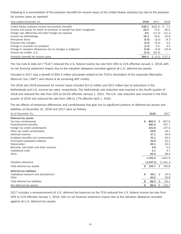Following is a reconciliation of the provision (benefit) for income taxes at the United States statutory tax rate to the provision for income taxes as reported:

| Year ended December 31,                                                 | 2018         | 2017          | 2016   |
|-------------------------------------------------------------------------|--------------|---------------|--------|
| United States statutory income tax provision (benefit)                  | \$30.1       | $$^{(25.2)}$$ | 7.2    |
| Income and losses for which no provision or benefit has been recognized | 22.2         | 70.3          | 65.5   |
| Foreign rate differential and other foreign tax expense                 | 9.5          | (11.3)        | (21.1) |
| Income tax withholdings                                                 | 19.3         | 16.8          | 22.8   |
| Permanent items                                                         | (5.0)        | (3.0)         | (4.7)  |
| Enacted rate changes                                                    | (2.3)        | (0.4)         | 3.5    |
| Change in uncertain tax positions                                       | (1.2)        | 2.3           | 0.4    |
| Change in valuation allowances due to changes in judgment               | (5.9)        | (4.6)         | (16.4) |
| Income tax credits, U.S.                                                | (2.4)        | (50.4)        |        |
| Provision (benefit) for income taxes                                    | <b>S64.3</b> | (5.5)<br>S.   | \$57.2 |

The Tax Cuts & Jobs Act ("TCJA") reduced the U.S. federal income tax rate from 35% to 21% effective January 1, 2018, with no net financial statement impact due to the valuation allowance recorded against all U.S. deferred tax assets.

Included in 2017 was a benefit of \$50.4 million principally related to the TCJA's elimination of the corporate Alternative Minimum Tax ("AMT") and refund of all remaining AMT credits.

The 2018 and 2016 provisions for income taxes included \$(2.2) million and \$3.5 million due to reductions in the Netherlands and U.K. income tax rates, respectively. The Netherlands rate reduction was enacted in the fourth quarter of 2018 and reduced the rate from 25% to 20.5% effective January 1, 2021. The U.K. rate reduction was enacted in the third quarter of 2016 and reduced the rate from 18% to 17% effective April 1, 2020.

The tax effects of temporary differences and carryforwards that give rise to significant portions of deferred tax assets and liabilities at December 31, 2018 and 2017 were as follows:

| As of December 31,                     | 2018         |    | 2017       |
|----------------------------------------|--------------|----|------------|
| Deferred tax assets                    |              |    |            |
| Tax loss carryforwards                 | \$.<br>860.0 | S  | 837.6      |
| Postretirement benefits                | 440.3        |    | 437.7      |
| Foreign tax credit carryforwards       | 221.6        |    | 127.0      |
| Other tax credit carryforwards         | 29.8         |    | 29.1       |
| Deferred revenue                       | 37.1         |    | 40.9       |
| Employee benefits and compensation     | 31.1         |    | 35.2       |
| Purchased capitalized software         | 22.9         |    | 22.2       |
| Depreciation                           | 20.1         |    | 24.5       |
| Warranty, bad debts and other reserves | 4.8          |    | 5.3        |
| Capitalized costs                      | 5.1          |    | 3.1        |
| Other                                  | 30.4         |    | 39.3       |
|                                        | 1,703.2      |    | 1,601.9    |
| Valuation allowance                    | (1,547.5)    |    | (1, 441.1) |
| Total deferred tax assets              | Ŝ.<br>155.7  | Ś  | 160.8      |
| Deferred tax liabilities               |              |    |            |
| Capitalized research and development   | \$<br>36.1   | Ŝ. | 24.3       |
| Other                                  | 30.2         |    | 25.8       |
| Total deferred tax liabilities         | \$<br>66.3   | Ŝ  | 50.1       |
| Net deferred tax assets                | \$<br>89.4   | Ŝ  | 110.7      |

2017 includes a remeasurement of U.S. deferred tax balances as the TCJA reduced the U.S. federal income tax rate from 35% to 21% effective January 1, 2018, with no net financial statement impact due to the valuation allowance recorded against all U.S. deferred tax assets.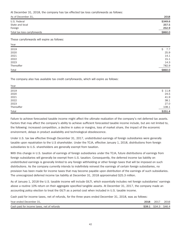At December 31, 2018, the company has tax effected tax loss carryforwards as follows:

| As of December 31,           | 2018    |
|------------------------------|---------|
| U.S. Federal                 | \$349.6 |
| State and local              | 257.5   |
| Foreign                      | 252.9   |
| Total tax loss carryforwards | \$860.0 |

These carryforwards will expire as follows:

 $y = -$ 

| rear       |          |
|------------|----------|
| 2019       | 7.7<br>S |
| 2020       | 25.9     |
| 2021       | 14.1     |
| 2022       | 15.1     |
| 2023       | 14.3     |
| Thereafter | 782.9    |
| Total      | \$860.0  |

The company also has available tax credit carryforwards, which will expire as follows:

| Year                       |         |
|----------------------------|---------|
| 2019                       | \$11.8  |
| 2020                       | 24.5    |
| 2021                       | 41.9    |
|                            | 38.1    |
| 2022<br>2023<br>Thereafter | 27.0    |
|                            | 108.1   |
| Total                      | \$251.4 |

Failure to achieve forecasted taxable income might affect the ultimate realization of the company's net deferred tax assets. Factors that may affect the company's ability to achieve sufficient forecasted taxable income include, but are not limited to, the following: increased competition, a decline in sales or margins, loss of market share, the impact of the economic environment, delays in product availability and technological obsolescence.

Under U.S. tax law effective through December 31, 2017, undistributed earnings of foreign subsidiaries were generally taxable upon repatriation to the U.S shareholder. Under the TCJA, effective January 1, 2018, distributions from foreign subsidiaries to U.S. shareholders are generally exempt from taxation.

With this change in U.S. taxation of earnings of foreign subsidiaries under the TCJA, future distributions of earnings from foreign subsidiaries will generally be exempt from U.S. taxation. Consequently, the deferred income tax liability on undistributed earnings is generally limited to any foreign withholding or other foreign taxes that will be imposed on such distributions. As the company currently intends to indefinitely reinvest the earnings of certain foreign subsidiaries, no provision has been made for income taxes that may become payable upon distribution of the earnings of such subsidiaries. The unrecognized deferred income tax liability at December 31, 2018 approximated \$25.3 million.

As of January 1, 2018 the U.S. taxable income will include GILTI, which essentially includes net foreign subsidiaries' earnings above a routine 10% return on their aggregate specified tangible assets. At December 31, 2017, the company made an accounting policy election to treat the GILTI as a period cost when included in U.S. taxable income.

Cash paid for income taxes, net of refunds, for the three years ended December 31, 2018, was as follows:

| Year ended December 31,                    | 2018   | 2017   | 2016  |
|--------------------------------------------|--------|--------|-------|
| Cash paid for income taxes, net of refunds | \$39.1 | \$34.3 | S46.4 |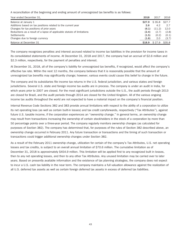A reconciliation of the beginning and ending amount of unrecognized tax benefits is as follows:

| Year ended December 31,                                                | 2018              | 2017   | 2016         |
|------------------------------------------------------------------------|-------------------|--------|--------------|
| Balance at January 1                                                   | S <sub>27.9</sub> | \$35.8 | <b>S27.7</b> |
| Additions based on tax positions related to the current year           | 2.6               | 4.2    | 2.7          |
| Changes for tax positions of prior years                               | (6.1)             | (11.2) | 12.0         |
| Reductions as a result of a lapse of applicable statute of limitations | (2.4)             | (2.7)  | (2.8)        |
| Settlements                                                            | (1.5)             | (0.2)  | (0.1)        |
| Changes due to foreign currency                                        | (1.6)             | 2.0    | (3.7)        |
| Balance at December 31                                                 | \$18.9            | \$27.9 | \$35.8       |

The company recognizes penalties and interest accrued related to income tax liabilities in the provision for income taxes in its consolidated statements of income. At December 31, 2018 and 2017, the company had an accrual of \$2.6 million and \$2.3 million, respectively, for the payment of penalties and interest.

At December 31, 2018, all of the company's liability for unrecognized tax benefits, if recognized, would affect the company's effective tax rate. Within the next 12 months, the company believes that it is reasonably possible that the amount of unrecognized tax benefits may significantly change; however, various events could cause this belief to change in the future.

The company and its subsidiaries file income tax returns in the U.S. federal jurisdiction, and various states and foreign jurisdictions. Several U.S. state and foreign income tax audits are in process. The company is under an audit in India, for which years prior to 2007 are closed. For the most significant jurisdictions outside the U.S., the audit periods through 2013 are closed for Brazil, and the audit periods through 2014 are closed for the United Kingdom. All of the various ongoing income tax audits throughout the world are not expected to have a material impact on the company's financial position.

Internal Revenue Code Sections 382 and 383 provide annual limitations with respect to the ability of a corporation to utilize its net operating loss (as well as certain built-in losses) and tax credit carryforwards, respectively ("Tax Attributes"), against future U.S. taxable income, if the corporation experiences an "ownership change." In general terms, an ownership change may result from transactions increasing the ownership of certain stockholders in the stock of a corporation by more than 50 percentage points over a three-year period. The company regularly monitors ownership changes (as calculated for purposes of Section 382). The company has determined that, for purposes of the rules of Section 382 described above, an ownership change occurred in February 2011. Any future transaction or transactions and the timing of such transaction or transactions could trigger additional ownership changes under Section 382.

As a result of the February 2011 ownership change, utilization for certain of the company's Tax Attributes, U.S. net operating losses and tax credits, is subject to an overall annual limitation of \$70.6 million. The cumulative limitation as of December 31, 2018 is approximately \$454.9 million. This limitation will be applied first to any recognized built in losses, then to any net operating losses, and then to any other Tax Attributes. Any unused limitation may be carried over to later years. Based on presently available information and the existence of tax planning strategies, the company does not expect to incur a U.S. cash tax liability in the near term. The company maintains a full valuation allowance against the realization of all U.S. deferred tax assets as well as certain foreign deferred tax assets in excess of deferred tax liabilities.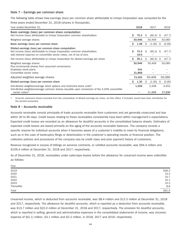#### **Note 7 – Earnings per common share**

The following table shows how earnings (loss) per common share attributable to Unisys Corporation was computed for the three years ended December 31, 2018 (shares in thousands).

| Year ended December 31,                                                                                                                                                                                                 |    | 2018                    | 2017 |                 |  | 2016            |
|-------------------------------------------------------------------------------------------------------------------------------------------------------------------------------------------------------------------------|----|-------------------------|------|-----------------|--|-----------------|
| Basic earnings (loss) per common share computation:<br>Net income (loss) attributable to Unisys Corporation common shareholders                                                                                         | S. | 75.5                    | Ŝ.   | $(65.3)$ \$     |  | (47.7)          |
| Weighted average shares                                                                                                                                                                                                 |    | 50,946                  |      | 50,409          |  | 50,060          |
| Basic earnings (loss) per common share                                                                                                                                                                                  | s  | 1.48                    | Ŝ    | $(1.30)$ \$     |  | (0.95)          |
| Diluted earnings (loss) per common share computation:<br>Net income (loss) attributable to Unisys Corporation common shareholders<br>Add interest expense on convertible senior notes, net of tax of zero               | S  | 75.5<br>19.6            | \$.  | $(65.3)$ \$     |  | (47.7)          |
| Net income (loss) attributable to Unisys Corporation for diluted earnings per share                                                                                                                                     | S. | 95.1                    | Ŝ    | $(65.3)$ \$     |  | (47.7)          |
| Weighted average shares<br>Plus incremental shares from assumed conversions:<br>Employee stock plans<br>Convertible senior notes                                                                                        |    | 50,946<br>541<br>21,868 |      | 50,409          |  | 50,060          |
| Adjusted weighted average shares                                                                                                                                                                                        |    | 73,355                  |      | 50,409          |  | 50,060          |
| Diluted earnings (loss) per common share                                                                                                                                                                                | Ś. | 1.30                    | Ŝ    | $(1.30)$ \$     |  | (0.95)          |
| Anti-dilutive weighted-average stock options and restricted stock units <sup>(i)</sup><br>Anti-dilutive weighted-average common shares issuable upon conversion of the 5.50% convertible<br>senior notes <sup>(i)</sup> |    | 1,226                   |      | 2,206<br>21,868 |  | 3,553<br>17,230 |

 $<sup>(i)</sup>$  Amounts represent shares excluded from the computation of diluted earnings per share, as their effect, if included, would have been anti-dilutive for</sup> the periods presented.

#### **Note 8 – Accounts receivable**

Accounts receivable consist principally of trade accounts receivable from customers and are generally unsecured and due within 30 to 90 days. Credit losses relating to these receivables consistently have been within management's expectations. Expected credit losses are recorded as an allowance for doubtful accounts in the consolidated balance sheets. Estimates of expected credit losses are based primarily on the aging of the accounts receivable balances. The company records a specific reserve for individual accounts when it becomes aware of a customer's inability to meet its financial obligations, such as in the case of bankruptcy filings or deterioration in the customer's operating results or financial position. The collection policies and procedures of the company vary by credit class and prior payment history of customers.

Revenue recognized in excess of billings on services contracts, or unbilled accounts receivable, was \$94.4 million and \$109.4 million at December 31, 2018 and 2017, respectively.

As of December 31, 2018, receivables under sales-type leases before the allowance for unearned income were collectible as follows:

| Year       |        |
|------------|--------|
| 2019       | \$36.2 |
| 2020       | 15.2   |
| 2021       | 10.7   |
| 2022       | 10.1   |
| 2023       | 10.2   |
| Thereafter | 8.6    |
| Total      | \$91.0 |

Unearned income, which is deducted from accounts receivable, was \$8.4 million and \$12.5 million at December 31, 2018 and 2017, respectively. The allowance for doubtful accounts, which is reported as a deduction from accounts receivable, was \$13.7 million and \$22.0 million at December 31, 2018 and 2017, respectively. The provision for doubtful accounts, which is reported in selling, general and administrative expenses in the consolidated statements of income, was (income) expense of \$(5.1) million, \$3.1 million and \$2.2 million, in 2018, 2017 and 2016, respectively.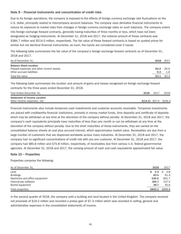#### **Note 9 – Financial instruments and concentration of credit risks**

Due to its foreign operations, the company is exposed to the effects of foreign currency exchange rate fluctuations on the U.S. dollar, principally related to intercompany account balances. The company uses derivative financial instruments to reduce its exposure to market risks from changes in foreign currency exchange rates on such balances. The company enters into foreign exchange forward contracts, generally having maturities of three months or less, which have not been designated as hedging instruments. At December 31, 2018 and 2017, the notional amount of these contracts was \$384.7 million and \$514.0 million, respectively. The fair value of these forward contracts is based on quoted prices for similar but not identical financial instruments; as such, the inputs are considered Level 2 inputs.

The following table summarizes the fair value of the company's foreign exchange forward contracts as of December 31, 2018 and 2017.

| As of December 31,                        | 2018  | 2017        |
|-------------------------------------------|-------|-------------|
| <b>Balance Sheet Location</b>             |       |             |
| Prepaid expenses and other current assets | \$3.4 | <b>S4.9</b> |
| Other accrued liabilities                 | 0.3   | 1.6         |
| Total fair value                          | \$3.1 | \$3.3       |

The following table summarizes the location and amount of gains and losses recognized on foreign exchange forward contracts for the three years ended December 31, 2018.

| Year Ended December 31.      | 2018                          | 2017 | 2016 |
|------------------------------|-------------------------------|------|------|
| Statement of Income Location |                               |      |      |
| Other income (expense), net  | $\frac{\xi(14.2)}{\xi(29.1)}$ |      |      |

Financial instruments also include temporary cash investments and customer accounts receivable. Temporary investments are placed with creditworthy financial institutions, primarily in money market funds, time deposits and certificate of deposits which may be withdrawn at any time at the discretion of the company without penalty. At December 31, 2018 and 2017, the company's cash equivalents principally have maturities of less than one month or can be withdrawn at any time at the discretion of the company without penalty. Due to the short maturities of these instruments, they are carried on the consolidated balance sheets at cost plus accrued interest, which approximates market value. Receivables are due from a large number of customers that are dispersed worldwide across many industries. At December 31, 2018 and 2017, the company had no significant concentrations of credit risk with any one customer. At December 31, 2018 and 2017, the company had \$85.8 million and \$75.8 million, respectively, of receivables due from various U.S. federal governmental agencies. At December 31, 2018 and 2017, the carrying amount of cash and cash equivalents approximated fair value.

#### **Note 10 – Properties**

Properties comprise the following:

| As of December 31,             | 2018      | 2017                |
|--------------------------------|-----------|---------------------|
| Land                           | 2.3<br>S. | 2.8<br><sub>S</sub> |
| <b>Buildings</b>               | 63.5      | 91.3                |
| Machinery and office equipment | 530.0     | 601.7               |
| Internal-use software          | 164.7     | 157.4               |
| Rental equipment               | 39.7      | 45.6                |
| Total properties               | \$800.2   | \$898.8             |

In the second quarter of 2018, the company sold a building and land located in the United Kingdom. The company received net proceeds of \$19.2 million and recorded a pretax gain of \$7.3 million which was recorded in selling, general and administrative expenses in the consolidated statements of income.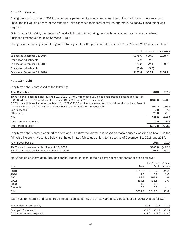#### **Note 11 – Goodwill**

During the fourth quarter of 2018, the company performed its annual impairment test of goodwill for all of our reporting units. The fair values of each of the reporting units exceeded their carrying values; therefore, no goodwill impairment was required.

At December 31, 2018, the amount of goodwill allocated to reporting units with negative net assets was as follows: Business Process Outsourcing Services, \$10.4.

Changes in the carrying amount of goodwill by segment for the years ended December 31, 2018 and 2017 were as follows:

|                              | Total   | Services | Technology               |
|------------------------------|---------|----------|--------------------------|
| Balance at December 31, 2016 | \$178.6 | \$69.9   | \$108.7                  |
| Translation adjustments      | 2.2     | 2.2      |                          |
| Balance at December 31, 2017 | 180.8   | 72.1     | 108.7                    |
| Translation adjustments      | (3.0)   | (3.0)    | $\overline{\phantom{0}}$ |
| Balance at December 31, 2018 | \$177.8 | S69.1    | \$108.7                  |

#### **Note 12 – Debt**

Long-term debt is comprised of the following:

| As of December 31,                                                                                                                                                                                                                                                                                                      | 2018    | 2017    |
|-------------------------------------------------------------------------------------------------------------------------------------------------------------------------------------------------------------------------------------------------------------------------------------------------------------------------|---------|---------|
| 10.75% senior secured notes due April 15, 2022 (\$440.0 million face value less unamortized discount and fees of<br>\$8.0 million and \$10.4 million at December 31, 2018 and 2017, respectively)<br>5.50% convertible senior notes due March 1, 2021 (\$213.5 million face value less unamortized discount and fees of | S432.0  | \$429.6 |
| \$19.3 million and \$27.2 million at December 31, 2018 and 2017, respectively)                                                                                                                                                                                                                                          | 194.2   | 186.3   |
| Capital leases                                                                                                                                                                                                                                                                                                          | 5.8     | 7.5     |
| Other debt                                                                                                                                                                                                                                                                                                              | 20.8    | 21.3    |
| Total                                                                                                                                                                                                                                                                                                                   | 652.8   | 644.7   |
| $\text{Less}$ – current maturities                                                                                                                                                                                                                                                                                      | 10.0    | 10.8    |
| Total long-term debt                                                                                                                                                                                                                                                                                                    | \$642.8 | \$633.9 |

Long-term debt is carried at amortized cost and its estimated fair value is based on market prices classified as Level 2 in the fair value hierarchy. Presented below are the estimated fair values of long-term debt as of December 31, 2018 and 2017.

| As of December 31,                               | 2018  | 2017            |
|--------------------------------------------------|-------|-----------------|
| 10.75% senior secured notes due April 15, 2022   |       | \$486.8 \$492.8 |
| 5.50% convertible senior notes due March 1, 2021 | 298.5 | 237.9           |

Maturities of long-term debt, including capital leases, in each of the next five years and thereafter are as follows:

| Year       | Total   | Long-Term<br>Debt | Capital<br>Leases        |
|------------|---------|-------------------|--------------------------|
| 2019       | \$10.0  | \$<br>8.4         | \$1.6                    |
| 2020       | 2.5     | 0.9               | 1.6                      |
| 2021       | 197.5   | 195.9             | 1.6                      |
| 2022       | 434.8   | 433.8             | 1.0                      |
| 2023       | 1.8     | 1.8               | $\overline{\phantom{0}}$ |
| Thereafter | 6.2     | 6.2               | $\qquad \qquad -$        |
| Total      | \$652.8 | \$647.0           | \$5.8                    |

Cash paid for interest and capitalized interest expense during the three years ended December 31, 2018 was as follows:

| Year ended December 31,      | 2018 | 2017                     | 2016 |
|------------------------------|------|--------------------------|------|
| Cash paid for interest       |      | \$59.5 \$39.9 \$22.1     |      |
| Capitalized interest expense |      | <b>\$6.0</b> \$4.2 \$3.0 |      |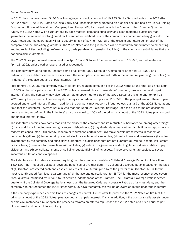#### *Senior Secured Notes*

In 2017, the company issued \$440.0 million aggregate principal amount of 10.75% Senior Secured Notes due 2022 (the "2022 Notes"). The 2022 Notes are initially fully and unconditionally guaranteed on a senior secured basis by Unisys Holding Corporation, Unisys AP Investment Company I and Unisys NPL, Inc. (together with the Company, the "Grantors"). In the future, the 2022 Notes will be guaranteed by each material domestic subsidiary and each restricted subsidiary that guarantees the secured revolving credit facility and other indebtedness of the company or another subsidiary guarantor. The 2022 Notes and the guarantees will rank equally in right of payment with all of the existing and future senior debt of the company and the subsidiary guarantors. The 2022 Notes and the guarantees will be structurally subordinated to all existing and future liabilities (including preferred stock, trade payables and pension liabilities) of the company's subsidiaries that are not subsidiary guarantors.

The 2022 Notes pay interest semiannually on April 15 and October 15 at an annual rate of 10.75%, and will mature on April 15, 2022, unless earlier repurchased or redeemed.

The company may, at its option, redeem some or all of the 2022 Notes at any time on or after April 15, 2020 at a redemption price determined in accordance with the redemption schedule set forth in the indenture governing the Notes (the "indenture"), plus accrued and unpaid interest, if any.

Prior to April 15, 2020, the company may, at its option, redeem some or all of the 2022 Notes at any time, at a price equal to 100% of the principal amount of the 2022 Notes redeemed plus a "make-whole" premium, plus accrued and unpaid interest, if any. The company may also redeem, at its option, up to 35% of the 2022 Notes at any time prior to April 15, 2020, using the proceeds of certain equity offerings at a redemption price of 110.75% of the principal amount thereof, plus accrued and unpaid interest, if any. In addition, the company may redeem all (but not less than all) of the 2022 Notes at any time that the Collateral Coverage Ratio is less than the Required Collateral Coverage Ratio (as such terms are described below and further defined in the indenture) at a price equal to 100% of the principal amount of the 2022 Notes plus accrued and unpaid interest, if any.

The indenture contains covenants that limit the ability of the company and its restricted subsidiaries to, among other things: (i) incur additional indebtedness and guarantee indebtedness; (ii) pay dividends or make other distributions or repurchase or redeem its capital stock; (iii) prepay, redeem or repurchase certain debt; (iv) make certain prepayments in respect of pension obligations; (v) issue certain preferred stock or similar equity securities; (vi) make loans and investments (including investments by the company and subsidiary guarantors in subsidiaries that are not guarantors); (vii) sell assets; (viii) create or incur liens; (ix) enter into transactions with affiliates; (x) enter into agreements restricting its subsidiaries' ability to pay dividends; and (xi) consolidate, merge or sell all or substantially all of its assets. These covenants are subject to several important limitations and exceptions.

The indenture also includes a covenant requiring that the company maintain a Collateral Coverage Ratio of not less than 1.50:1.00 (the "Required Collateral Coverage Ratio") as of any test date. The Collateral Coverage Ratio is based on the ratio of (A) Grantor unrestricted cash and cash equivalents plus 4.75 multiplied by of the greater of (x) Grantor EBITDA for the most recently ended four fiscal quarters and (y) (i) the average quarterly Grantor EBITDA for the most recently ended seven fiscal quarters, multiplied by (ii) four, to (B) secured indebtedness of the Grantors. The Collateral Coverage Ratio is tested quarterly. If the Collateral Coverage Ratio is less than the Required Collateral Coverage Ratio as of any test date, and the company has not redeemed the 2022 Notes within 90 days thereafter, this will be an event of default under the indenture.

If the company experiences certain kinds of changes of control, it must offer to purchase the 2022 Notes at 101% of the principal amount of the 2022 Notes, plus accrued and unpaid interest, if any. In addition, if the company sells assets under certain circumstances it must apply the proceeds towards an offer to repurchase the 2022 Notes at a price equal to par plus accrued and unpaid interest, if any.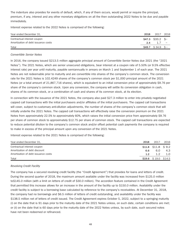The indenture also provides for events of default, which, if any of them occurs, would permit or require the principal, premium, if any, interest and any other monetary obligations on all the then outstanding 2022 Notes to be due and payable immediately.

Interest expense related to the 2022 Notes is comprised of the following:

| Year ended December 31,             | 2018 | 2017                         | 2016                     |
|-------------------------------------|------|------------------------------|--------------------------|
| Contractual interest coupon         |      | $$47.3$ $$33.2$ \$           |                          |
| Amortization of debt issuance costs | 2.4  |                              | $\overline{\phantom{m}}$ |
| Total                               |      | $$49.7 \quad $34.9 \quad $-$ |                          |

#### *Convertible Senior Notes*

In 2016, the company issued \$213.5 million aggregate principal amount of Convertible Senior Notes due 2021 (the "2021 Notes"). The 2021 Notes, which are senior unsecured obligations, bear interest at a coupon rate of 5.50% (or 9.5% effective interest rate) per year until maturity, payable semiannually in arrears on March 1 and September 1 of each year. The 2021 Notes are not redeemable prior to maturity and are convertible into shares of the company's common stock. The conversion rate for the 2021 Notes is 102.4249 shares of the company's common stock per \$1,000 principal amount of the 2021 Notes (or a total amount of 21,867,716 shares), which is equivalent to an initial conversion price of approximately \$9.76 per share of the company's common stock. Upon any conversion, the company will settle its conversion obligation in cash, shares of its common stock, or a combination of cash and shares of its common stock, at its election.

In connection with the issuance of the 2021 Notes, the company also paid \$27.3 million to enter into privately negotiated capped call transactions with the initial purchasers and/or affiliates of the initial purchasers. The capped call transactions will cover, subject to customary anti-dilution adjustments, the number of shares of the company's common stock that will initially underlie the 2021 Notes. The capped call transactions will effectively raise the conversion premium on the 2021 Notes from approximately 22.5% to approximately 60%, which raises the initial conversion price from approximately \$9.76 per share of common stock to approximately \$12.75 per share of common stock. The capped call transactions are expected to reduce potential dilution to the company's common stock and/or offset potential cash payments the company is required to make in excess of the principal amount upon any conversion of the 2021 Notes.

Interest expense related to the 2021 Notes is comprised of the following:

| Year ended December 31,             | 2018 | 2017                    | 2016 |
|-------------------------------------|------|-------------------------|------|
| Contractual interest coupon         |      | $$11.8$ $$11.8$ $$9.2$  |      |
| Amortization of debt discount       | 6.6  | 6.0                     | 4.3  |
| Amortization of debt issuance costs | 12   | 1つ                      | 1.O  |
| Total                               |      | $$19.6$ $$19.0$ $$14.5$ |      |

#### *Revolving Credit Facility*

The company has a secured revolving credit facility (the "Credit Agreement") that provides for loans and letters of credit. During the second quarter of 2018, the maximum amount available under the facility was increased from \$125.0 million to\$145.0 million (with a limit on letters of credit of \$30.0 million). The accordion feature contained in the Credit Agreement that permitted this increase allows for an increase in the amount of the facility up to \$150.0 million. Availability under the credit facility is subject to a borrowing base calculated by reference to the company's receivables. At December 31, 2018, the company had no borrowings and \$6.5 million of letters of credit outstanding, and availability under the facility was \$138.5 million net of letters of credit issued. The Credit Agreement expires October 5, 2022, subject to a springing maturity (i) on the date that is 91 days prior to the maturity date of the 2021 Notes unless, on such date, certain conditions are met; or (ii) on the date that is 60 days prior to the maturity date of the 2022 Notes unless, by such date, such secured notes have not been redeemed or refinanced.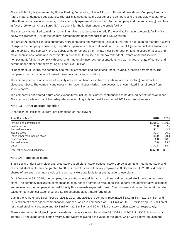The credit facility is guaranteed by Unisys Holding Corporation, Unisys NPL, Inc., Unisys AP Investment Company I and any future material domestic subsidiaries. The facility is secured by the assets of the company and the subsidiary guarantors, other than certain excluded assets, under a security agreement entered into by the company and the subsidiary guarantors in favor of JPMorgan Chase Bank, N.A., as agent for the lenders under the credit facility.

The company is required to maintain a minimum fixed charge coverage ratio if the availability under the credit facility falls below the greater of 10% of the lenders' commitments under the facility and \$15.0 million.

The Credit Agreement contains customary representations and warranties, including that there has been no material adverse change in the company's business, properties, operations or financial condition. The Credit Agreement includes limitations on the ability of the company and its subsidiaries to, among other things, incur other debt or liens, dispose of assets and make acquisitions, loans and investments, repurchase its equity, and prepay other debt. Events of default include non-payment, failure to comply with covenants, materially incorrect representations and warranties, change of control and default under other debt aggregating at least \$50.0 million.

At December 31, 2018, the company has met all covenants and conditions under its various lending agreements. The company expects to continue to meet these covenants and conditions.

The company's principal sources of liquidity are cash on hand, cash from operations and its revolving credit facility, discussed above. The company and certain international subsidiaries have access to uncommitted lines of credit from various banks.

The company's anticipated future cash expenditures include anticipated contributions to its defined benefit pension plans. The company believes that it has adequate sources of liquidity to meet its expected 2019 cash requirements.

#### **Note 13 – Other accrued liabilities**

Other accrued liabilities (current) are comprised of the following:

| As of December 31,              | 2018    | 2017    |
|---------------------------------|---------|---------|
| Payrolls and commissions        | \$108.1 | \$120.2 |
| Cost-reduction                  | 75.8    | 87.7    |
| Accrued vacations               | 41.2    | 42.8    |
| Income taxes                    | 32.3    | 26.0    |
| Taxes other than income taxes   | 31.2    | 29.1    |
| Postretirement                  | 14.8    | 18.5    |
| Accrued interest                | 13.8    | 13.8    |
| Other                           | 32.8    | 53.4    |
| Total other accrued liabilities | \$350.0 | \$391.5 |

#### **Note 14 – Employee plans**

**Stock plans** Under stockholder approved stock-based plans, stock options, stock appreciation rights, restricted stock and restricted stock units may be granted to officers, directors and other key employees. At December 31, 2018, 2.4 million shares of unissued common stock of the company were available for granting under these plans.

As of December 31, 2018, the company has granted non-qualified stock options and restricted stock units under these plans. The company recognizes compensation cost, net of a forfeiture rate, in selling, general and administrative expenses, and recognizes the compensation cost for only those awards expected to vest. The company estimates the forfeiture rate based on its historical experience and its expectations about future forfeitures.

During the years ended December 31, 2018, 2017 and 2016, the company recognized \$13.2 million, \$11.2 million and \$9.5 million of share-based compensation expense, which is comprised of \$13.1 million, \$10.1 million and \$7.5 million of restricted stock unit expense and \$0.1 million, \$1.1 million and \$2.0 million of stock option expense, respectively.

There were no grants of stock option awards for the years ended December 31, 2018 and 2017. In 2016, the company granted 11 thousand stock option awards. The weighted-average fair value of the grant, which was estimated using the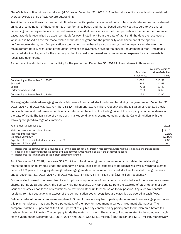Black-Scholes option pricing model was \$4.53. As of December 31, 2018, 1.1 million stock option awards with a weightedaverage exercise price of \$27.90 are outstanding.

Restricted stock unit awards may contain time-based units, performance-based units, total shareholder return market-based units, or a combination of these units. Each performance-based and market-based unit will vest into zero to two shares depending on the degree to which the performance or market conditions are met. Compensation expense for performancebased awards is recognized as expense ratably for each installment from the date of grant until the date the restrictions lapse and is based on the fair market value at the date of grant and the probability of achievement of the specific performance-related goals. Compensation expense for market-based awards is recognized as expense ratably over the measurement period, regardless of the actual level of achievement, provided the service requirement is met. Time-based restricted stock unit grants for the company's directors vest upon award and compensation expense for such awards is recognized upon grant.

A summary of restricted stock unit activity for the year ended December 31, 2018 follows (shares in thousands):

|                                  | Restricted<br><b>Stock Units</b> | Weighted-Average<br>Grant-Date Fair<br>Value |  |
|----------------------------------|----------------------------------|----------------------------------------------|--|
| Outstanding at December 31, 2017 | 1,688                            | \$13.39                                      |  |
| Granted                          | 1,449                            | 12.53                                        |  |
| Vested                           | (778)                            | 13.43                                        |  |
| Forfeited and expired            | (208)                            | 12.53                                        |  |
| Outstanding at December 31, 2018 | 2.151                            | 12.90                                        |  |

The aggregate weighted-average grant-date fair value of restricted stock units granted during the years ended December 31, 2018, 2017 and 2016 was \$17.9 million, \$14.4 million and \$12.9 million, respectively. The fair value of restricted stock units with time and performance conditions is determined based on the trading price of the company's common shares on the date of grant. The fair value of awards with market conditions is estimated using a Monte Carlo simulation with the following weighted-average assumptions.

| Year Ended December 31,                                          | 2018    |
|------------------------------------------------------------------|---------|
| Weighted-average fair value of grant                             | \$15.20 |
| Risk-free interest rate <sup>(i)</sup>                           | 2.26%   |
| Expected volatility(ii)                                          | 52.97%  |
| Expected life of restricted stock unts in years <sup>(iii)</sup> | 2.88    |
| Expected dividend yield                                          |         |

<sup>(i)</sup> Represents the continuously compounded semi-annual zero-coupon U.S. treasury rate commensurate with the remaining performance period

 $(iii)$  Based on historical volatility for the company that is commensurate with the length of the performance period

(iii) Represents the remaining life of the longest performance period

As of December 31, 2018, there was \$12.2 million of total unrecognized compensation cost related to outstanding restricted stock units granted under the company's plans. That cost is expected to be recognized over a weighted-average period of 1.9 years. The aggregate weighted-average grant-date fair value of restricted stock units vested during the years ended December 31, 2018, 2017 and 2016 was \$10.4 million, \$7.4 million and \$3.5 million, respectively.

Common stock issued upon exercise of stock options or upon lapse of restrictions on restricted stock units are newly issued shares. During 2018 and 2017, the company did not recognize any tax benefits from the exercise of stock options or upon issuance of stock upon lapse of restrictions on restricted stock units because of its tax position. Any such tax benefits resulting from tax deductions in excess of the compensation costs recognized are classified as operating cash flows.

**Defined contribution and compensation plans** U.S. employees are eligible to participate in an employee savings plan. Under this plan, employees may contribute a percentage of their pay for investment in various investment alternatives. The company matches 50 percent of the first 6 percent of eligible pay contributed by participants to the plan on a before-tax basis (subject to IRS limits). The company funds the match with cash. The charge to income related to the company match for the years ended December 31, 2018, 2017 and 2016, was \$11.1 million, \$10.8 million and \$10.7 million, respectively.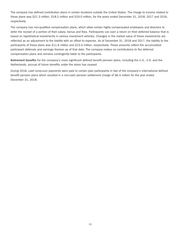The company has defined contribution plans in certain locations outside the United States. The charge to income related to these plans was \$21.3 million, \$18.5 million and \$19.0 million, for the years ended December 31, 2018, 2017 and 2016, respectively.

The company has non-qualified compensation plans, which allow certain highly compensated employees and directors to defer the receipt of a portion of their salary, bonus and fees. Participants can earn a return on their deferred balance that is based on hypothetical investments in various investment vehicles. Changes in the market value of these investments are reflected as an adjustment to the liability with an offset to expense. As of December 31, 2018 and 2017, the liability to the participants of these plans was \$11.6 million and \$13.4 million, respectively. These amounts reflect the accumulated participant deferrals and earnings thereon as of that date. The company makes no contributions to the deferred compensation plans and remains contingently liable to the participants.

**Retirement benefits** For the company's more significant defined benefit pension plans, including the U.S., U.K. and the Netherlands, accrual of future benefits under the plans has ceased.

During 2018, cash lump-sum payments were paid to certain plan participants in two of the company's international defined benefit pension plans which resulted in a non-cash pension settlement charge of \$6.4 million for the year ended December 31, 2018.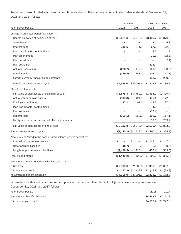Retirement plans' funded status and amounts recognized in the company's consolidated balance sheets at December 31, 2018 and 2017 follows:

|                                                                   |            | U.S. Plans                                    |            | <b>International Plans</b> |
|-------------------------------------------------------------------|------------|-----------------------------------------------|------------|----------------------------|
| As of December 31,                                                | 2018       | 2017                                          | 2018       | 2017                       |
| Change in projected benefit obligation                            |            |                                               |            |                            |
| Benefit obligation at beginning of year                           | \$5,001.6  | \$4,972.0                                     | \$3,189.7  | \$3,076.2                  |
| Service cost                                                      |            |                                               | 3.2        | 5.1                        |
| Interest cost                                                     | 186.6      | 211.3                                         | 67.3       | 72.8                       |
| Plan participants' contributions                                  |            |                                               | 1.5        | 1.9                        |
| Plan amendment                                                    |            |                                               | 20.6       | (52.5)                     |
| Plan curtailment                                                  |            |                                               |            | (2.2)                      |
| Plan settlement                                                   |            |                                               | (16.4)     |                            |
| Actuarial loss (gain)                                             | (270.7)    | 177.0                                         | (169.5)    | (93.8)                     |
| Benefits paid                                                     | (359.5)    | (358.7)                                       | (108.7)    | (117.1)                    |
| Foreign currency translation adjustments                          |            |                                               | (158.2)    | 299.3                      |
| Benefit obligation at end of year                                 | \$4,558.0  | \$5,001.6                                     | \$2,829.5  | \$3,189.7                  |
| Change in plan assets                                             |            |                                               |            |                            |
| Fair value of plan assets at beginning of year                    | \$3,578.4  | \$3,452.1                                     | \$2,833.9  | \$2,429.7                  |
| Actual return on plan assets                                      | (193.3)    | 424.0                                         | (75.4)     | 172.3                      |
| Employer contribution                                             | 87.2       | 61.0                                          | 42.5       | 77.4                       |
| Plan participants' contributions                                  |            |                                               | 1.5        | 1.9                        |
| Plan settlement                                                   |            | $\qquad \qquad -$                             | (16.4)     | $\qquad \qquad -$          |
| Benefits paid                                                     | (359.5)    | (358.7)                                       | (108.7)    | (117.1)                    |
| Foreign currency translation and other adjustments                |            |                                               | (138.0)    | 269.7                      |
| Fair value of plan assets at end of year                          | \$3,112.8  | \$3,578.4                                     | \$2,539.4  | \$2,833.9                  |
| Funded status at end of year                                      |            | $\$(1,445.2) \$(1,423.2) \$(290.1) \$(355.8)$ |            |                            |
| Amounts recognized in the consolidated balance sheets consist of: |            |                                               |            |                            |
| Prepaid postretirement assets                                     | \$         | \$                                            | 146.4<br>S | 147.4<br>S                 |
| Other accrued liabilities                                         | (6.7)      | (6.8)                                         | (0.1)      | (0.2)                      |
| Long-term postretirement liabilities                              | (1, 438.5) | (1,416.4)                                     | (436.4)    | (503.0)                    |
| Total funded status                                               |            | $\$(1,445.2) \$(1,423.2) \$(290.1) \$(355.8)$ |            |                            |
| Accumulated other comprehensive loss, net of tax                  |            |                                               |            |                            |
| Net loss                                                          |            | \$2,718.6 \$2,960.6 \$988.0 \$1,067.8         |            |                            |
| Prior service credit                                              |            | $$$ (37.3) $$$ (39.8) $$$ (46.8) $$$ (69.8)   |            |                            |
| Accumulated benefit obligation                                    |            | $$4,558.0$ $$5,001.6$ $$2,828.2$ $$3,188.0$   |            |                            |

Information for defined benefit retirement plans with an accumulated benefit obligation in excess of plan assets at

| December 31, 2018 and 2017 follows: |                     |      |
|-------------------------------------|---------------------|------|
| As of December 31,                  | 2018                | 2017 |
| Accumulated benefit obligation      | \$6,433.6 \$7,151.7 |      |
| Fair value of plan assets           | \$4,553.2 \$5,227.0 |      |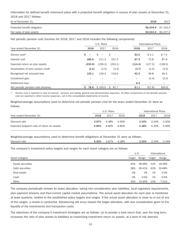Information for defined benefit retirement plans with a projected benefit obligation in excess of plan assets at December 31, 2018 and 2017 follows:

| As of December 31,           | 2018                | 2017 |
|------------------------------|---------------------|------|
| Projected benefit obligation | \$6,434.9 \$7,153.4 |      |
| Fair value of plan assets    | \$4,553.2 \$5,227.0 |      |

Net periodic pension cost (income) for 2018, 2017 and 2016 includes the following components:

|                                      | U.S. Plans |                        |          |         | International Plans |                          |  |  |
|--------------------------------------|------------|------------------------|----------|---------|---------------------|--------------------------|--|--|
| Year ended December 31,              | 2018       | 2017                   | 2016     | 2018    | 2017                | 2016                     |  |  |
| Service cost <sup>(i)</sup>          | Ŝ.         | S<br>$\qquad \qquad -$ | Ś        | \$3.2   | \$5.1               | \$7.4                    |  |  |
| Interest cost                        | 186.6      | 211.3                  | 231.3    | 67.3    | 72.8                | 87.8                     |  |  |
| Expected return on plan assets       | (230.6)    | (235.2)                | (253.1)  | (114.4) | (127.5)             | (139.5)                  |  |  |
| Amortization of prior service credit | (2.5)      | (2.5)                  | (2.5)    | (3.7)   | (2.4)               | (3.0)                    |  |  |
| Recognized net actuarial loss        | 125.1      | 126.4                  | 116.0    | 42.3    | 49.8                | 40.3                     |  |  |
| Curtailment gain                     |            |                        |          |         | (5.4)               | (2.0)                    |  |  |
| Settlement loss                      |            |                        |          | 6.4     |                     | $\overline{\phantom{0}}$ |  |  |
| Net periodic pension cost (income)   | 78.6<br>S  | \$100.0                | $S$ 91.7 | \$1.1   | \$(7.6)             | \$(9.0)                  |  |  |

(i) Service cost is reported in cost of revenue - services and selling, general and administrative expenses. All other components of net periodic pension cost are reported in other income (expense), net in the consolidated statements of income.

Weighted-average assumptions used to determine net periodic pension cost for the years ended December 31 were as follows:

|                                             |       | U.S. Plans |       |       | International Plans |       |  |
|---------------------------------------------|-------|------------|-------|-------|---------------------|-------|--|
| Year ended December 31,                     | 2018  | 2017       | 2016  | 2018  | 2017                | 2016  |  |
| Discount rate                               | 3.87% | 4.38%      | 4.56% | 2.24% | 2.34%               | 3.30% |  |
| Expected long-term rate of return on assets | 6.80% | 6.80%      | 6.80% | 4.38% | 5.30%               | 5.99% |  |

Weighted-average assumptions used to determine benefit obligations at December 31 were as follows:

| Discount<br>rate | <b>5004</b><br>JU% | Q70/<br>D.O / 70 | .38% | 2.55% | 24%<br>ے . ۔ | 2.34% |
|------------------|--------------------|------------------|------|-------|--------------|-------|
|                  |                    |                  |      |       |              |       |

The company's investment policy targets and ranges for each asset category are as follows:

|                       | U.S.   |          | International |          |
|-----------------------|--------|----------|---------------|----------|
| <b>Asset Category</b> | Target | Range    | Target        | Range    |
| Equity securities     | 42%    | 36-48%   | 22%           | 16-28%   |
| Debt securities       | 38%    | 35-41%   | 62%           | 55-68%   |
| Real estate           | 0%     | 0%       | 1%            | $0 - 3%$ |
| Cash                  | 0%     | $0 - 5%$ | 1%            | $0 - 5%$ |
| Other                 | 20%    | 10-30%   | 14%           | 7-21%    |

The company periodically reviews its asset allocation, taking into consideration plan liabilities, local regulatory requirements, plan payment streams and then-current capital market assumptions. The actual asset allocation for each plan is monitored at least quarterly, relative to the established policy targets and ranges. If the actual asset allocation is close to or out of any of the ranges, a review is conducted. Rebalancing will occur toward the target allocation, with due consideration given to the liquidity of the investments and transaction costs.

The objectives of the company's investment strategies are as follows: (a) to provide a total return that, over the long term, increases the ratio of plan assets to liabilities by maximizing investment return on assets, at a level of risk deemed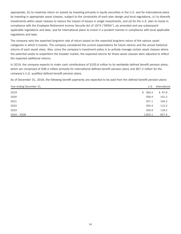appropriate, (b) to maximize return on assets by investing primarily in equity securities in the U.S. and for international plans by investing in appropriate asset classes, subject to the constraints of each plan design and local regulations, (c) to diversify investments within asset classes to reduce the impact of losses in single investments, and (d) for the U.S. plan to invest in compliance with the Employee Retirement Income Security Act of 1974 ("ERISA"), as amended and any subsequent applicable regulations and laws, and for international plans to invest in a prudent manner in compliance with local applicable regulations and laws.

The company sets the expected long-term rate of return based on the expected long-term return of the various asset categories in which it invests. The company considered the current expectations for future returns and the actual historical returns of each asset class. Also, since the company's investment policy is to actively manage certain asset classes where the potential exists to outperform the broader market, the expected returns for those asset classes were adjusted to reflect the expected additional returns.

In 2019, the company expects to make cash contributions of \$105.6 million to its worldwide defined benefit pension plans, which are comprised of \$38.4 million primarily for international defined benefit pension plans and \$67.2 million for the company's U.S. qualified defined benefit pension plans.

As of December 31, 2018, the following benefit payments are expected to be paid from the defined benefit pension plans:

| Year ending December 31, | U.S.    | International |
|--------------------------|---------|---------------|
| 2019                     | \$362.2 | \$97.8        |
| 2020                     | 359.4   | 101.2         |
| 2021                     | 357.1   | 104.2         |
| 2022                     | 354.4   | 112.2         |
| 2023                     | 350.9   | 118.2         |
| $2024 - 2028$            | 1,652.1 | 627.4         |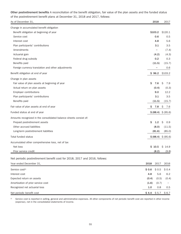**Other postretirement benefits** A reconciliation of the benefit obligation, fair value of the plan assets and the funded status of the postretirement benefit plans at December 31, 2018 and 2017, follows:

| As of December 31,                                                         | 2018           | 2017           |
|----------------------------------------------------------------------------|----------------|----------------|
| Change in accumulated benefit obligation                                   |                |                |
| Benefit obligation at beginning of year                                    | \$103.2        | \$120.1        |
| Service cost                                                               | 0.6            | 0.5            |
| Interest cost                                                              | 4.8            | 5.6            |
| Plan participants' contributions                                           | 3.1            | 3.5            |
| Amendments                                                                 |                | (7.4)          |
| Actuarial gain                                                             | (4.2)          | (4.3)          |
| Federal drug subsidy                                                       | 0.2            | 0.3            |
| Benefits paid                                                              | (11.5)         | (15.7)         |
| Foreign currency translation and other adjustments                         |                | 0.6            |
| Benefit obligation at end of year                                          | \$96.2         | \$103.2        |
| Change in plan assets                                                      |                |                |
| Fair value of plan assets at beginning of year                             | \$<br>7.6      | \$<br>7.9      |
| Actual return on plan assets                                               | (0.4)          | (0.3)          |
| Employer contributions                                                     | 9.0            | 12.2           |
| Plan participants' contributions                                           | 3.1            | 3.5            |
| Benefits paid                                                              | (11.5)         | (15.7)         |
| Fair value of plan assets at end of year                                   | \$<br>7.8      | \$<br>7.6      |
| Funded status at end of year                                               | \$ (88.4)      | \$ (95.6)      |
| Amounts recognized in the consolidated balance sheets consist of:          |                |                |
| Prepaid postretirement assets                                              | \$<br>1.2      | \$<br>0.9      |
| Other accrued liabilities                                                  | (8.0)          | (11.5)         |
| Long-term postretirement liabilities                                       | (81.6)         | (85.0)         |
| Total funded status                                                        | \$ (88.4)      | \$ (95.6)      |
| Accumulated other comprehensive loss, net of tax                           |                |                |
| Net loss                                                                   | \$10.5         | \$14.9         |
| Prior service credit                                                       | (8.2)          | (9.8)          |
| Net periodic postretirement benefit cost for 2018, 2017 and 2016, follows: |                |                |
| Year ended December 31,                                                    | 2018<br>2017   | 2016           |
| Service cost(i)                                                            | \$0.5<br>\$0.6 | \$0.4          |
| Interest cost                                                              | 4.8            | 5.6<br>6.2     |
| Expected return on assets                                                  | (0.4)          | (0.4)<br>(0.5) |
| Amortization of prior service cost                                         | (1.6)          | (0.7)          |
| Recognized net actuarial loss                                              | 1.0            | 0.8<br>0.5     |
| Net periodic benefit cost                                                  | $$4.4$ $$5.7$  | \$6.7          |

(i) Service cost is reported in selling, general and administrative expenses. All other components of net periodic benefit cost are reported in other income (expense), net in the consolidated statements of income.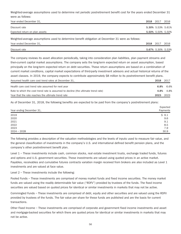Weighted-average assumptions used to determine net periodic postretirement benefit cost for the years ended December 31 were as follows:

| Year ended December 31,                                                                           |      | 2018 2017 2016    |      |
|---------------------------------------------------------------------------------------------------|------|-------------------|------|
| Discount rate                                                                                     |      | 5.30% 5.53% 5.61% |      |
| Expected return on plan assets                                                                    |      | 5.50% 5.50% 5.50% |      |
| Weighted-average assumptions used to determine benefit obligation at December 31 were as follows: |      |                   |      |
| Year ended December 31,                                                                           | 2018 | 2017              | 2016 |

Discount rate **5.67%** 5.30% 5.53%

| Discount rate |  |  |  |
|---------------|--|--|--|

The company reviews its asset allocation periodically, taking into consideration plan liabilities, plan payment streams and then-current capital market assumptions. The company sets the long-term expected return on asset assumption, based principally on the long-term expected return on debt securities. These return assumptions are based on a combination of current market conditions, capital market expectations of third-party investment advisors and actual historical returns of the asset classes. In 2019, the company expects to contribute approximately \$8 million to its postretirement benefit plans.

| Assumed health care cost trend rates at December 31,                              | 2018      | -2017 |
|-----------------------------------------------------------------------------------|-----------|-------|
| Health care cost trend rate assumed for next year                                 | 6.8%      | 6.6%  |
| Rate to which the cost trend rate is assumed to decline (the ultimate trend rate) | 4.8%      | 4.8%  |
| Year that the rate reaches the ultimate trend rate                                | 2023 2023 |       |

As of December 31, 2018, the following benefits are expected to be paid from the company's postretirement plans:

| Year ending December 31, | Expected<br>Payments |
|--------------------------|----------------------|
| 2019                     | \$9.1                |
| 2020                     | 9.6                  |
| 2021                     | 9.1                  |
| 2022                     | 8.5                  |
| 2023                     | 7.9                  |
| $2024 - 2028$            | 30.9                 |

The following provides a description of the valuation methodologies and the levels of inputs used to measure fair value, and the general classification of investments in the company's U.S. and international defined benefit pension plans, and the company's other postretirement benefit plan.

Level 1 – These investments include cash, common stocks, real estate investment trusts, exchange traded funds, futures and options and U.S. government securities. These investments are valued using quoted prices in an active market. Payables, receivables and cumulative futures contracts variation margin received from brokers are also included as Level 1 investments and are valued at face value.

Level 2 – These investments include the following:

Pooled Funds – These investments are comprised of money market funds and fixed income securities. The money market funds are valued using the readily determinable fair value ("RDFV") provided by trustees of the funds. The fixed income securities are valued based on quoted prices for identical or similar investments in markets that may not be active.

Commingled Funds – These investments are comprised of debt, equity and other securities and are valued using the RDFV provided by trustees of the funds. The fair value per share for these funds are published and are the basis for current transactions.

Other Fixed Income – These investments are comprised of corporate and government fixed income investments and asset and mortgage-backed securities for which there are quoted prices for identical or similar investments in markets that may not be active.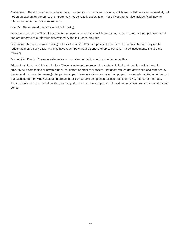Derivatives – These investments include forward exchange contracts and options, which are traded on an active market, but not on an exchange; therefore, the inputs may not be readily observable. These investments also include fixed income futures and other derivative instruments.

Level 3 – These investments include the following:

Insurance Contracts – These investments are insurance contracts which are carried at book value, are not publicly traded and are reported at a fair value determined by the insurance provider.

Certain investments are valued using net asset value ("NAV") as a practical expedient. These investments may not be redeemable on a daily basis and may have redemption notice periods of up to 90 days. These investments include the following:

Commingled Funds – These investments are comprised of debt, equity and other securities.

Private Real Estate and Private Equity – These investments represent interests in limited partnerships which invest in privately-held companies or privately-held real estate or other real assets. Net asset values are developed and reported by the general partners that manage the partnerships. These valuations are based on property appraisals, utilization of market transactions that provide valuation information for comparable companies, discounted cash flows, and other methods. These valuations are reported quarterly and adjusted as necessary at year end based on cash flows within the most recent period.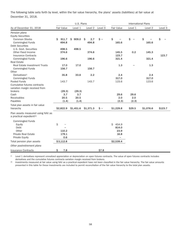The following table sets forth by level, within the fair value hierarchy, the plans' assets (liabilities) at fair value at December 31, 2018.

|                                           | U.S. Plans  |           |           |                      | <b>International Plans</b> |         |           |         |
|-------------------------------------------|-------------|-----------|-----------|----------------------|----------------------------|---------|-----------|---------|
| As of December 31, 2018                   | Fair Value  | Level 1   | Level 2   | Level 3              | Fair Value                 | Level 1 | Level 2   | Level 3 |
| Pension plans<br><b>Equity Securities</b> |             |           |           |                      |                            |         |           |         |
| Common Stocks                             | 911.7<br>\$ | \$909.0   | \$<br>2.7 | $\sin$               | \$                         | \$      | \$        | \$      |
| Commingled Funds                          | 494.8       |           | 494.8     |                      | 165.6                      |         | 165.6     |         |
| Debt Securities                           |             |           |           |                      |                            |         |           |         |
| U.S. Govt. Securities                     | 498.5       | 498.5     |           |                      |                            |         |           |         |
| Other Fixed Income                        | 374.6       |           | 374.6     |                      | 145.5                      | 0.2     | 145.3     | 123.7   |
| Insurance Contracts                       |             |           |           |                      | 123.7                      |         |           |         |
| Commingled Funds<br><b>Real Estate</b>    | 196.6       |           | 196.6     |                      | 321.4                      |         | 321.4     |         |
| <b>Real Estate Investment Trusts</b>      | 17.0        | 17.0      |           |                      | 1.3                        |         | 1.3       |         |
| Commingled Funds                          | 156.7       |           | 156.7     |                      |                            |         |           |         |
| Other                                     |             |           |           |                      |                            |         |           |         |
| Derivatives <sup>(i)</sup>                | 35.8        | 33.6      | 2.2       |                      | 2.4                        |         | 2.4       |         |
| Commingled Funds                          |             |           |           |                      | 317.0                      |         | 317.0     |         |
| Pooled Funds                              | 143.7       |           | 143.7     |                      | 123.6                      |         | 123.6     |         |
| Cumulative futures contracts              |             |           |           |                      |                            |         |           |         |
| variation margin received from            |             |           |           |                      |                            |         |           |         |
| brokers                                   | (29.3)      | (29.3)    |           |                      |                            |         |           |         |
| Cash                                      | 3.7         | 3.7       |           |                      | 29.6                       | 29.6    |           |         |
| Receivables                               | 20.5        | 20.5      |           |                      | 2.0                        | 2.0     |           |         |
| Payables                                  | (1.4)       | (1.4)     |           |                      | (2.3)                      | (2.3)   |           |         |
| Total plan assets in fair value           |             |           |           |                      |                            |         |           |         |
| hierarchy                                 | \$2,822.9   | \$1,451.6 | \$1,371.3 | $\hat{\mathbf{s}}$ – | \$1,229.8                  | \$29.5  | \$1,076.6 | \$123.7 |
| Plan assets measured using NAV as         |             |           |           |                      |                            |         |           |         |
| a practical expedient(ii):                |             |           |           |                      |                            |         |           |         |
| Commingled Funds                          |             |           |           |                      |                            |         |           |         |
| Equity                                    | \$          |           |           |                      | 454.9<br>Ś.                |         |           |         |
| Debt                                      |             |           |           |                      | 814.0                      |         |           |         |
| Other                                     | 110.2       |           |           |                      | 23.9                       |         |           |         |
| <b>Private Real Estate</b>                | 179.1       |           |           |                      | 16.8                       |         |           |         |
| Private Equity                            | 0.6         |           |           |                      |                            |         |           |         |
| Total pension plan assets                 | \$3,112.8   |           |           |                      | \$2,539.4                  |         |           |         |
| Other postretirement plans                |             |           |           |                      |                            |         |           |         |
| <b>Insurance Contracts</b>                | \$<br>7.8   |           |           | \$7.8                |                            |         |           |         |

(i) Level 1 derivatives represent unrealized appreciation or depreciation on open futures contracts. The value of open futures contracts includes derivatives and the cumulative futures contracts variation margin received from brokers.

(ii) Investments measured at fair value using NAV as a practical expedient have not been classified in the fair value hierarchy. The fair value amounts presented in this table for these investments are included to permit reconciliation of the fair value hierarchy to the total plan assets.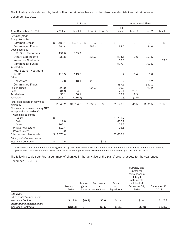The following table sets forth by level, within the fair value hierarchy, the plans' assets (liabilities) at fair value at December 31, 2017.

|                                 |            | U.S. Plans |           |                 |             | <b>International Plans</b> |         |         |
|---------------------------------|------------|------------|-----------|-----------------|-------------|----------------------------|---------|---------|
|                                 |            |            |           |                 | Fair        |                            |         |         |
| As of December 31, 2017         | Fair Value | Level 1    |           | Level 2 Level 3 | Value       | Level 1                    | Level 2 | Level 3 |
| Pension plans                   |            |            |           |                 |             |                            |         |         |
| <b>Equity Securities</b>        |            |            |           |                 |             |                            |         |         |
| <b>Common Stocks</b>            | \$1,465.1  | \$1,461.9  | S.<br>3.2 | $S -$           | \$          | \$-                        | \$-     | \$-     |
| Commingled Funds                | 584.4      |            | 584.4     |                 | 84.0        |                            | 84.0    |         |
| <b>Debt Securities</b>          |            |            |           |                 |             |                            |         |         |
| U.S. Govt. Securities           | 139.8      | 139.8      |           |                 |             |                            |         |         |
| Other Fixed Income              | 830.6      |            | 830.6     |                 | 254.1       | 2.6                        | 251.5   |         |
| Insurance Contracts             |            |            |           |                 | 135.8       |                            |         | 135.8   |
| Commingled Funds                |            |            |           |                 | 267.5       |                            | 267.5   |         |
| <b>Real Estate</b>              |            |            |           |                 |             |                            |         |         |
| Real Estate Investment          |            |            |           |                 |             |                            |         |         |
| Trusts                          | 113.5      | 113.5      |           |                 | 1.4         | 0.4                        | 1.0     |         |
| Other                           |            |            |           |                 |             |                            |         |         |
| <b>Derivatives</b>              | 2.6        | 13.1       | (10.5)    |                 | 1.2         |                            | 1.2     |         |
| Commingled Funds                |            |            |           |                 | 357.1       |                            | 357.1   |         |
| Pooled Funds                    | 228.0      |            | 228.0     |                 | 29.2        |                            | 29.2    |         |
| Cash                            | 34.8       | 34.8       |           |                 | 25.1        | 25.1                       |         |         |
| Receivables                     | 58.1       | 58.1       |           |                 | 19.9        | 19.9                       |         |         |
| Payables                        | (116.7)    | (116.7)    |           |                 | (1.5)       | (1.5)                      |         |         |
| Total plan assets in fair value |            |            |           |                 |             |                            |         |         |
| hierarchy                       | \$3,340.2  | \$1,704.5  | \$1,635.7 | $S-$            | \$1,173.8   | \$46.5                     | \$991.5 | \$135.8 |
| Plan assets measured using NAV  |            |            |           |                 |             |                            |         |         |
| as a practical expedient(i):    |            |            |           |                 |             |                            |         |         |
| Commingled Funds                |            |            |           |                 |             |                            |         |         |
| Equity                          | \$         |            |           |                 | Ś.<br>780.7 |                            |         |         |
| Debt                            | 19.8       |            |           |                 | 837.7       |                            |         |         |
| Other                           | 105.1      |            |           |                 | 25.2        |                            |         |         |
| Private Real Estate             | 112.4      |            |           |                 | 16.5        |                            |         |         |
| Private Equity                  | 0.9        |            |           |                 |             |                            |         |         |
| Total pension plan assets       | \$3,578.4  |            |           |                 | \$2,833.9   |                            |         |         |
| Other postretirement plans      |            |            |           |                 |             |                            |         |         |
| <b>Insurance Contracts</b>      | \$<br>7.6  |            |           | \$7.6           |             |                            |         |         |

(i) Investments measured at fair value using NAV as a practical expedient have not been classified in the fair value hierarchy. The fair value amounts presented in this table for these investments are included to permit reconciliation of the fair value hierarchy to the total plan assets.

The following table sets forth a summary of changes in the fair value of the plans' Level 3 assets for the year ended December 31, 2018.

|                                          | January 1,<br>2018 | Realized<br>gains<br>(losses) | Purchases<br>or<br>acquisitions | Sales<br>or<br>dispositions | Currency and<br>unrealized<br>gains (losses)<br>relating to<br>instruments<br>still held at<br>December 31,<br>2018 | December 31,<br>2018 |
|------------------------------------------|--------------------|-------------------------------|---------------------------------|-----------------------------|---------------------------------------------------------------------------------------------------------------------|----------------------|
| U.S. plans<br>Other postretirement plans |                    |                               |                                 |                             |                                                                                                                     |                      |
| Insurance Contracts                      | \$.<br>7.6         | \$(0.4)                       | \$0.6                           | Ś<br>$\qquad \qquad -$      | $s -$                                                                                                               | Ś.<br>7.8            |
| <b>International pension plans</b>       |                    |                               |                                 |                             |                                                                                                                     |                      |
| Insurance Contracts                      | \$135.8            | \$<br>$\qquad \qquad$         | \$3.5                           | \$(11.7)                    | \$(3.9)                                                                                                             | \$123.7              |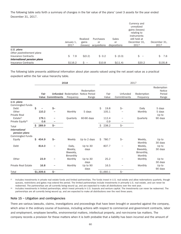The following table sets forth a summary of changes in the fair value of the plans' Level 3 assets for the year ended December 31, 2017.

|                                          | January 1,<br>2017 | Realized<br>gains<br>(losses)           | Purchases<br>or<br>acquisitions | Sales<br>or<br>dispositions | Currency and<br>unrealized<br>gains (losses)<br>relating to<br>instruments<br>still held at<br>December 31,<br>2017 | December 31,<br>2017 |
|------------------------------------------|--------------------|-----------------------------------------|---------------------------------|-----------------------------|---------------------------------------------------------------------------------------------------------------------|----------------------|
| U.S. plans<br>Other postretirement plans |                    |                                         |                                 |                             |                                                                                                                     |                      |
| Insurance Contracts                      | Ś.<br>7.9          | \$(0.2)                                 | \$0.2                           | \$ (0.3)                    | $S -$                                                                                                               | \$<br>7.6            |
| International pension plans              |                    |                                         |                                 |                             |                                                                                                                     |                      |
| Insurance Contracts                      | \$116.2            | \$<br>$\hspace{1.0cm} - \hspace{1.0cm}$ | \$10.8                          | \$(11.4)                    | \$20.2                                                                                                              | \$135.8              |

The following table presents additional information about plan assets valued using the net asset value as a practical expedient within the fair value hierarchy table.

|                                                           | 2018 |              |                          |                                             |                                                                 | 2017 |               |                         |                                               |                                                |
|-----------------------------------------------------------|------|--------------|--------------------------|---------------------------------------------|-----------------------------------------------------------------|------|---------------|-------------------------|-----------------------------------------------|------------------------------------------------|
|                                                           |      | Fair         | Value Commitments        | Frequency                                   | Redemption<br><b>Unfunded Redemption Notice Period</b><br>Range |      | Fair<br>Value | Unfunded<br>Commitments | Redemption<br>Frequency                       | Redemption<br><b>Notice</b><br>Period<br>Range |
| U.S. plans<br>Commingled Funds                            |      |              |                          |                                             |                                                                 |      |               |                         |                                               |                                                |
| Debt<br>Other<br><b>Private Real</b>                      | \$   | 110.2        | \$-<br>$\qquad \qquad -$ | Monthly                                     | 5 days                                                          | \$   | 19.8<br>105.1 | $\zeta-$                | Daily<br>Monthly                              | 5 days<br>5 days<br>Up to                      |
| Estate <sup>(i)</sup><br>Private Equity(ii)               |      | 179.1<br>0.6 | -<br>-                   | Quarterly                                   | 60-90 days                                                      |      | 112.4<br>0.9  |                         | Quarterly                                     | 90 days                                        |
| Total                                                     | S    | 289.9        | \$-                      |                                             |                                                                 | \$   | 238.2         | \$-                     |                                               |                                                |
| <b>International</b><br>pension plans<br>Commingled Funds |      |              |                          |                                             |                                                                 |      |               |                         |                                               |                                                |
| Equity                                                    | Ś.   | 454.9        | \$-                      | Weekly                                      | Up to 2 days                                                    | Ŝ.   | 780.7         | \$-                     | Weekly,<br>Monthly                            | Up to<br>30 days                               |
| Debt                                                      |      | 814.0        |                          | Daily,<br>Weekly,<br>Biweekly,<br>Bimonthly | Up to 30<br>days                                                |      | 837.7         |                         | Weekly,<br>Biweekly.<br>Bimonthly,<br>Monthly | Up to<br>30 days                               |
| Other                                                     |      | 23.9         |                          | Monthly                                     | Up to 30<br>days                                                |      | 25.2          |                         | Monthly                                       | Up to<br>30 days                               |
| <b>Private Real Estate</b>                                |      | 16.8         |                          | Monthly                                     | Up to 90<br>days                                                |      | 16.5          |                         | Monthly                                       | Up to<br>90 days                               |
| Total                                                     |      | \$1,309.6    | \$-                      |                                             |                                                                 |      | \$1,660.1     | \$-                     |                                               |                                                |

(i) Includes investments in private real estate funds and limited partnerships. The funds invest in U.S. real estate and allow redemptions quarterly, though queues, restrictions and gates may extend the period. The limited partnerships include investments in primarily U.S. real estate, and can never be redeemed. The partnerships are all currently being wound up, and are expected to make all distributions over the next year.

(ii) Includes investments in limited partnerships, which invest primarily in U.S. buyouts and venture capital. The investments can never be redeemed. The partnerships are all currently being wound up, and are expected to make all distributions over the next three years.

#### **Note 15 – Litigation and contingencies**

There are various lawsuits, claims, investigations and proceedings that have been brought or asserted against the company, which arise in the ordinary course of business, including actions with respect to commercial and government contracts, labor and employment, employee benefits, environmental matters, intellectual property, and non-income tax matters. The company records a provision for these matters when it is both probable that a liability has been incurred and the amount of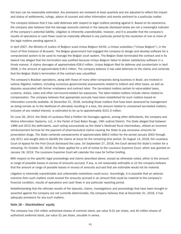the loss can be reasonably estimated. Any provisions are reviewed at least quarterly and are adjusted to reflect the impact and status of settlements, rulings, advice of counsel and other information and events pertinent to a particular matter.

The company believes that it has valid defenses with respect to legal matters pending against it. Based on its experience, the company also believes that the damage amounts claimed in the lawsuits disclosed below are not a meaningful indicator of the company's potential liability. Litigation is inherently unpredictable, however, and it is possible that the company's results of operations or cash flows could be materially affected in any particular period by the resolution of one or more of the legal matters pending against it.

In April 2007, the Ministry of Justice of Belgium sued Unisys Belgium SA-NV, a Unisys subsidiary ("Unisys Belgium"), in the Court of First Instance of Brussels. The Belgian government had engaged the company to design and develop software for a computerized system to be used to manage the Belgian court system. The Belgian State terminated the contract and in its lawsuit has alleged that the termination was justified because Unisys Belgium failed to deliver satisfactory software in a timely manner. It claims damages of approximately €28.0 million. Unisys Belgium filed its defense and counterclaim in April 2008, in the amount of approximately €18.5 million. The company believes it has valid defenses to the claims and contends that the Belgian State's termination of the contract was unjustified.

The company's Brazilian operations, along with those of many other companies doing business in Brazil, are involved in various litigation matters, including numerous governmental assessments related to indirect and other taxes, as well as disputes associated with former employees and contract labor. The tax-related matters pertain to value-added taxes, customs, duties, sales and other non-income-related tax exposures. The labor-related matters include claims related to compensation. The company believes that appropriate accruals have been established for such matters based on information currently available. At December 31, 2018, excluding those matters that have been assessed by management as being remote as to the likelihood of ultimately resulting in a loss, the amount related to unreserved tax-related matters, inclusive of any related interest, is estimated to be up to approximately \$101.0 million.

On June 26, 2014, the State of Louisiana filed a Petition for Damages against, among other defendants, the company and Molina Information Systems, LLC, in the Parish of East Baton Rouge, 19th Judicial District. The State alleged that between 1989 and 2012 the defendants, each acting successively as the State's Medicaid fiscal intermediary, utilized an incorrect reimbursement formula for the payment of pharmaceutical claims causing the State to pay excessive amounts for prescription drugs. The State contends overpayments of approximately \$68.0 million for the period January 2002 through July 2011 and sought data to identify the claims at issue for the remaining time period. On August 14, 2018, the Louisiana Court of Appeal for the First Circuit dismissed the case. On September 27, 2018, the Court denied the State's motion for a rehearing. On October 26, 2018, the State applied for a writ of review to the Louisiana Supreme Court, which was granted on January 18, 2019. The Louisiana Supreme Court will calendar the case for further briefing.

With respect to the specific legal proceedings and claims described above, except as otherwise noted, either (i) the amount or range of possible losses in excess of amounts accrued, if any, is not reasonably estimable or (ii) the company believes that the amount or range of possible losses in excess of amounts accrued that are estimable would not be material.

Litigation is inherently unpredictable and unfavorable resolutions could occur. Accordingly, it is possible that an adverse outcome from such matters could exceed the amounts accrued in an amount that could be material to the company's financial condition, results of operations and cash flows in any particular reporting period.

Notwithstanding that the ultimate results of the lawsuits, claims, investigations and proceedings that have been brought or asserted against the company are not currently determinable, the company believes that at December 31, 2018, it has adequate provisions for any such matters.

#### **Note 16 – Stockholders' equity**

The company has 150 million authorized shares of common stock, par value \$.01 per share, and 40 million shares of authorized preferred stock, par value \$1 per share, issuable in series.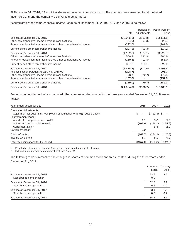At December 31, 2018, 34.4 million shares of unissued common stock of the company were reserved for stock-based incentive plans and the company's convertible senior notes.

Accumulated other comprehensive income (loss) as of December 31, 2018, 2017 and 2016, is as follows:

|                                                                                                                                                                                                         | Total                                   | Translation<br>Adjustments | Postretirement<br>Plans                   |
|---------------------------------------------------------------------------------------------------------------------------------------------------------------------------------------------------------|-----------------------------------------|----------------------------|-------------------------------------------|
| Balance at December 31, 2015<br>Other comprehensive income before reclassifications<br>Amounts reclassified from accumulated other comprehensive income                                                 | \$ (3,945.3)<br>(64.9)<br>(142.6)       | \$ (833.8)<br>(93.3)       | $\mathcal{S}(3,111.5)$<br>28.4<br>(142.6) |
| Current period other comprehensive income                                                                                                                                                               | (207.5)                                 | (93.3)                     | (114.2)                                   |
| Balance at December 31, 2016<br>Other comprehensive income before reclassifications<br>Amounts reclassified from accumulated other comprehensive income                                                 | (4, 152.8)<br>506.8<br>(169.8)          | (927.1)<br>121.9<br>(11.8) | (3,225.7)<br>384.9<br>(158.0)             |
| Current period other comprehensive income                                                                                                                                                               | 337.0                                   | 110.1                      | 226.9                                     |
| Balance at December 31, 2017<br>Reclassification pursuant to ASU No. 2018-02<br>Other comprehensive income before reclassifications<br>Amounts reclassified from accumulated other comprehensive income | (3,815.8)<br>(208.7)<br>96.7<br>(157.0) | (817.0)<br>(79.7)          | (2,998.8)<br>(208.7)<br>176.4<br>(157.0)  |
| Current period other comprehensive income                                                                                                                                                               | (269.0)                                 | (79.7)                     | (189.3)                                   |
| Balance at December 31, 2018                                                                                                                                                                            | \$(4,084.8)                             | \$ (896.7)                 | \$(3,188.1)                               |

Amounts reclassified out of accumulated other comprehensive income for the three years ended December 31, 2018 are as follows:

| Year ended December 31,                                                                     | 2018    | 2017                            | 2016    |
|---------------------------------------------------------------------------------------------|---------|---------------------------------|---------|
| Translation Adjustments:                                                                    |         |                                 |         |
| Adjustment for substantial completion of liquidation of foreign subsidiaries <sup>(i)</sup> | -       | \$ (11.8) \$                    |         |
| Postretirement Plans:                                                                       |         |                                 |         |
| Amortization of prior service cost <sup>(ii)</sup>                                          | 7.1     | 5.6                             | 5.6     |
| Amortization of actuarial losses <sup>(ii)</sup>                                            | (165.9) | (174.1)                         | (155.2) |
| Curtailment gain(ii)                                                                        |         | 5.4                             | 2.0     |
| Settlement loss(ii)                                                                         | (3.9)   |                                 |         |
| Total before tax                                                                            | (162.7) | (174.9)                         | (147.6) |
| Income tax benefit                                                                          | 5.7     | 5.1                             | 5.0     |
| Total reclassifications for the period                                                      |         | $\$(157.0) \$(169.8) \$(142.6)$ |         |

(i) Reported in other income (expense), net in the consolidated statements of income

(ii) Included in net periodic postretirement cost (see Note 14)

The following table summarizes the changes in shares of common stock and treasury stock during the three years ended December 31, 2018:

|                              | Common<br>Stock | Treasury<br>Stock |
|------------------------------|-----------------|-------------------|
| Balance at December 31, 2015 | 52.6            | 2.7               |
| Stock-based compensation     | 0.2             | $\qquad \qquad -$ |
| Balance at December 31, 2016 | 52.8            | 2.7               |
| Stock-based compensation     | 0.6             | 0.2               |
| Balance at December 31, 2017 | 53.4            | 2.9               |
| Stock-based compensation     | 0.8             | 0.2               |
| Balance at December 31, 2018 | 54.2            | 3.1               |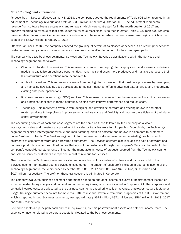#### **Note 17 – Segment information**

As described in Note 2, effective January 1, 2018, the company adopted the requirements of Topic 606 which resulted in an adjustment to Technology revenue and profit of \$53.0 million in the first quarter of 2018. The adjustment represents revenue from software license extensions and renewals, which were contracted for in the fourth quarter of 2017 and properly recorded as revenue at that time under the revenue recognition rules then in effect (Topic 605). Topic 606 requires revenue related to software license renewals or extensions to be recorded when the new license term begins, which in the case of the \$53.0 million, is January 1, 2018.

Effective January 1, 2018, the company changed the grouping of certain of its classes of services. As a result, prior-periods' customer revenue by classes of similar services have been reclassified to conform to the current-year period.

The company has two business segments: Services and Technology. Revenue classifications within the Services and Technology segment are as follows:

- Cloud and infrastructure services. This represents revenue from helping clients apply cloud and as-a-service delivery models to capitalize on business opportunities, make their end users more productive and manage and secure their IT infrastructure and operations more economically.
- Application services. This represents revenue from helping clients transform their business processes by developing and managing new leading-edge applications for select industries, offering advanced data analytics and modernizing existing enterprise applications.
- Business process outsourcing ("BPO") services. This represents revenue from the management of critical processes and functions for clients in target industries, helping them improve performance and reduce costs.
- Technology. This represents revenue from designing and developing software and offering hardware and other related products to help clients improve security, reduce costs and flexibility and improve the efficiency of their datacenter environments.

The accounting policies of each business segment are the same as those followed by the company as a whole. Intersegment sales and transfers are priced as if the sales or transfers were to third parties. Accordingly, the Technology segment recognizes intersegment revenue and manufacturing profit on software and hardware shipments to customers under Services contracts. The Services segment, in turn, recognizes customer revenue and marketing profits on such shipments of company software and hardware to customers. The Services segment also includes the sale of software and hardware products sourced from third parties that are sold to customers through the company's Services channels. In the company's consolidated statements of income, the manufacturing costs of products sourced from the Technology segment and sold to Services customers are reported in cost of revenue for Services.

Also included in the Technology segment's sales and operating profit are sales of software and hardware sold to the Services segment for internal use in Services engagements. The amount of such profit included in operating income of the Technology segment for the years ended December 31, 2018, 2017 and 2016 was \$4.2 million, \$6.3 million and \$0.7 million, respectively. The profit on these transactions is eliminated in Corporate.

The company evaluates business segment performance based on operating income exclusive of postretirement income or expense, restructuring charges and unusual and nonrecurring items, which are included in Corporate. All other corporate and centrally incurred costs are allocated to the business segments based principally on revenue, employees, square footage or usage. No single customer accounts for more than 10% of revenue. Revenue from various agencies of the U.S. Government, which is reported in both business segments, was approximately \$574 million, \$571 million and \$564 million in 2018, 2017 and 2016, respectively.

Corporate assets are principally cash and cash equivalents, prepaid postretirement assets and deferred income taxes. The expense or income related to corporate assets is allocated to the business segments.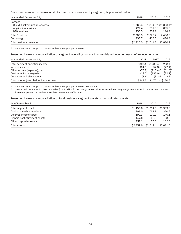#### Customer revenue by classes of similar products or services, by segment, is presented below:

| Year ended December 31,                                                                    | 2018                        | 2017             | 2016                                        |
|--------------------------------------------------------------------------------------------|-----------------------------|------------------|---------------------------------------------|
| Services<br>Cloud & infrastructure services<br>Application services<br><b>BPO</b> services | \$1.363.4<br>772.4<br>250.5 | 791.0*<br>202.9  | $$1,334.3*$ \$1,356.4*<br>$855.5*$<br>194.4 |
| <b>Total Services</b><br>Technology                                                        | 2.386.3<br>438.7            | 2.328.2<br>413.6 | 2.406.3<br>414.4                            |
| Total customer revenue                                                                     | \$2,825.0                   | \$2,741.8        | \$2,820.7                                   |

\* Amounts were changed to conform to the current-year presentation.

Presented below is a reconciliation of segment operating income to consolidated income (loss) before income taxes:

| Year ended December 31,                 | 2018    | 2017                | 2016       |
|-----------------------------------------|---------|---------------------|------------|
| Total segment operating income          | S305.4  | S 235.4             | \$208.4    |
| Interest expense                        | (64.0)  | (52.8)              | (27.4)     |
| Other income (expense), net             | (76.9)  | $(116.4)^*$         | $(81.3)^*$ |
| Cost reduction charges <sup>(i)</sup>   | (19.7)  | (135.0)             | (82.1)     |
| Corporate and eliminations              | (1.6)   | $(3.3)$ *           | $2.9*$     |
| Total income (loss) before income taxes | \$143.2 | $$$ (72.1) $$$ 20.5 |            |

\* Amounts were changed to conform to the current-year presentation. See Note 2

(i) Year ended December 31, 2017 excludes \$11.8 million for net foreign currency losses related to exiting foreign countries which are reported in other income (expense), net in the consolidated statements of income.

Presented below is a reconciliation of total business segment assets to consolidated assets:

| As of December 31,            | 2018      | 2017      | 2016                |
|-------------------------------|-----------|-----------|---------------------|
| Total segment assets          | \$1,436.6 |           | \$1,364.5 \$1,339.0 |
| Cash and cash equivalents     | 605.0     | 733.9     | 370.6               |
| Deferred income taxes         | 109.3     | 119.9     | 146.1               |
| Prepaid postretirement assets | 147.6     | 148.3     | 33.3                |
| Other corporate assets        | 159.1     | 175.8     | 132.6               |
| Total assets                  | \$2,457.6 | \$2,542.4 | \$2,021.6           |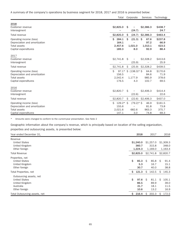A summary of the company's operations by business segment for 2018, 2017 and 2016 is presented below:

|                                                                                                         | Total                                          | Corporate                         | Services                              | Technology                       |
|---------------------------------------------------------------------------------------------------------|------------------------------------------------|-----------------------------------|---------------------------------------|----------------------------------|
| 2018<br>Customer revenue                                                                                | \$2,825.0                                      | Ŝ.                                | \$2,386.3                             | \$438.7                          |
| Intersegment                                                                                            |                                                | (24.7)                            |                                       | 24.7                             |
| Total revenue                                                                                           | \$2,825.0                                      | \$<br>(24.7)                      | \$2,386.3                             | \$463.4                          |
| Operating income (loss)<br>Depreciation and amortization<br><b>Total assets</b><br>Capital expenditures | 284.1<br>Ś.<br>164.1<br>2,457.6<br>189.3       | (21.3)<br>Ŝ<br>1,021.0<br>8.0     | 67.6<br>-Ŝ<br>97.2<br>1,013.1<br>92.9 | \$237.8<br>66.9<br>423.5<br>88.4 |
| 2017<br>Customer revenue<br>Intersegment                                                                | \$2,741.8                                      | -Ŝ<br>$\qquad \qquad -$<br>(25.9) | \$2,328.2                             | \$413.6<br>25.9                  |
| Total revenue                                                                                           | \$2,741.8                                      | \$<br>(25.9)                      | \$2,328.2                             | \$439.5                          |
| Operating income (loss)<br>Depreciation and amortization<br><b>Total assets</b><br>Capital expenditures | $97.1*$<br>Ś.<br>156.5<br>2,542.4<br>176.5     | $$ (138.3)* $$<br>1,177.9<br>4.3  | 64.8<br>84.6<br>985.9<br>102.7        | \$170.6<br>71.9<br>378.6<br>69.5 |
| 2016<br>Customer revenue<br>Intersegment                                                                | \$2,820.7                                      | Ŝ<br>$\qquad \qquad -$<br>(22.6)  | \$2,406.3                             | \$414.4<br>22.6                  |
| Total revenue                                                                                           | \$2,820.7                                      | Ŝ<br>(22.6)                       | \$2,406.3                             | \$437.0                          |
| Operating income (loss)<br>Depreciation and amortization<br><b>Total assets</b><br>Capital expenditures | Ś.<br>$129.2*$ \$<br>155.6<br>2,021.6<br>147.1 | $(79.2)^*$ \$<br>682.6<br>3.0     | 46.9<br>81.8<br>963.3<br>74.8         | \$161.5<br>73.8<br>375.7<br>69.3 |

\* Amounts were changed to conform to the current-year presentation. See Note 2

Geographic information about the company's revenue, which is principally based on location of the selling organization, properties and outsourcing assets, is presented below:

| Year ended December 31,                                            | 2018                          | 2017                          | 2016                          |  |
|--------------------------------------------------------------------|-------------------------------|-------------------------------|-------------------------------|--|
| Revenue<br><b>United States</b><br>United Kingdom<br>Other foreign | \$1,240.0<br>360.7<br>1,224.3 | \$1,257.0<br>315.8<br>1,169.0 | \$1,309.3<br>348.0<br>1,163.4 |  |
| <b>Total Revenue</b>                                               | \$2,825.0                     | \$2,741.8                     | \$2,820.7                     |  |
| Properties, net                                                    | \$                            | Ŝ.                            | 91.4                          |  |
| United States                                                      | 85.3                          | 85.8                          | -Ŝ                            |  |
| United Kingdom                                                     | 5.3                           | 16.7                          | 15.1                          |  |
| Other foreign                                                      | 30.7                          | 40.0                          | 38.8                          |  |
| Total Properties, net                                              | \$.                           | Ŝ.                            | 145.3                         |  |
|                                                                    | 121.3                         | 142.5                         | Ŝ.                            |  |
| Outsourcing assets, net                                            | \$                            | Ŝ.                            | Ŝ.                            |  |
| United States                                                      | 97.6                          | 81.1                          | 105.1                         |  |
| United Kingdom                                                     | 86.5                          | 89.9                          | 39.0                          |  |
| Australia                                                          | 21.7                          | 18.1                          | 11.5                          |  |
| Other foreign                                                      | 10.6                          | 13.2                          | 16.9                          |  |
| Total Outsourcing assets, net                                      | 216.4                         | 202.3                         | 172.5                         |  |
|                                                                    | S.                            | S                             | S                             |  |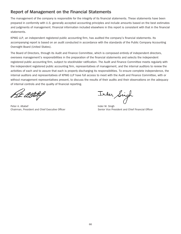## **Report of Management on the Financial Statements**

The management of the company is responsible for the integrity of its financial statements. These statements have been prepared in conformity with U.S. generally accepted accounting principles and include amounts based on the best estimates and judgments of management. Financial information included elsewhere in this report is consistent with that in the financial statements.

KPMG LLP, an independent registered public accounting firm, has audited the company's financial statements. Its accompanying report is based on an audit conducted in accordance with the standards of the Public Company Accounting Oversight Board (United States).

The Board of Directors, through its Audit and Finance Committee, which is composed entirely of independent directors, oversees management's responsibilities in the preparation of the financial statements and selects the independent registered public accounting firm, subject to stockholder ratification. The Audit and Finance Committee meets regularly with the independent registered public accounting firm, representatives of management, and the internal auditors to review the activities of each and to assure that each is properly discharging its responsibilities. To ensure complete independence, the internal auditors and representatives of KPMG LLP have full access to meet with the Audit and Finance Committee, with or without management representatives present, to discuss the results of their audits and their observations on the adequacy of internal controls and the quality of financial reporting.

Gt attelef

Peter A. Altabef **Independent Community** Change Index A. Singh

Inder Singh

Chairman, President and Chief Executive Officer Senior Senior Vice President and Chief Financial Officer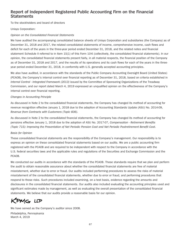## **Report of Independent Registered Public Accounting Firm on the Financial Statements**

To the stockholders and board of directors

Unisys Corporation:

#### *Opinion on the Consolidated Financial Statements*

We have audited the accompanying consolidated balance sheets of Unisys Corporation and subsidiaries (the Company) as of December 31, 2018 and 2017, the related consolidated statements of income, comprehensive income, cash flows and deficit for each of the years in the three-year period ended December 31, 2018, and the related notes and financial statement Schedule II referred to in Item 15(1) of this Form 10-K (collectively, the consolidated financial statements). In our opinion, the consolidated financial statements present fairly, in all material respects, the financial position of the Company as of December 31, 2018 and 2017, and the results of its operations and its cash flows for each of the years in the threeyear period ended December 31, 2018, in conformity with U.S. generally accepted accounting principles.

We also have audited, in accordance with the standards of the Public Company Accounting Oversight Board (United States) (PCAOB), the Company's internal control over financial reporting as of December 31, 2018, based on criteria established in *Internal Control - Integrated Framework (2013)* issued by the Committee of Sponsoring Organizations of the Treadway Commission, and our report dated March 4, 2019 expressed an unqualified opinion on the effectiveness of the Company's internal control over financial reporting.

#### *Changes in Accounting Principle*

As discussed in Note 2 to the consolidated financial statements, the Company has changed its method of accounting for revenue recognition effective January 1, 2018 due to the adoption of Accounting Standards Update (ASU) No. 2014-09, *Revenue from Contracts with Customers (Topic 606)*.

As discussed in Note 2 to the consolidated financial statements, the Company has changed its method of accounting for pensions effective January 1, 2018 due to the adoption of ASU No. 2017-07, *Compensation - Retirement Benefits (Topic 715): Improving the Presentation of Net Periodic Pension Cost and Net Periodic Postretirement Benefit Cost*.

#### *Basis for Opinion*

These consolidated financial statements are the responsibility of the Company's management. Our responsibility is to express an opinion on these consolidated financial statements based on our audits. We are a public accounting firm registered with the PCAOB and are required to be independent with respect to the Company in accordance with the U.S. federal securities laws and the applicable rules and regulations of the Securities and Exchange Commission and the PCAOB.

We conducted our audits in accordance with the standards of the PCAOB. Those standards require that we plan and perform the audit to obtain reasonable assurance about whether the consolidated financial statements are free of material misstatement, whether due to error or fraud. Our audits included performing procedures to assess the risks of material misstatement of the consolidated financial statements, whether due to error or fraud, and performing procedures that respond to those risks. Such procedures included examining, on a test basis, evidence regarding the amounts and disclosures in the consolidated financial statements. Our audits also included evaluating the accounting principles used and significant estimates made by management, as well as evaluating the overall presentation of the consolidated financial statements. We believe that our audits provide a reasonable basis for our opinion.

KPMG LLP

We have served as the Company's auditor since 2008.

Philadelphia, Pennsylvania March 4, 2019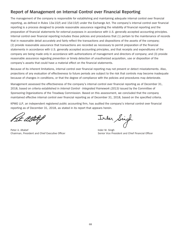## **Report of Management on Internal Control over Financial Reporting**

The management of the company is responsible for establishing and maintaining adequate internal control over financial reporting, as defined in Rules 13a-15(f) and 15d-15(f) under the Exchange Act. The company's internal control over financial reporting is a process designed to provide reasonable assurance regarding the reliability of financial reporting and the preparation of financial statements for external purposes in accordance with U.S. generally accepted accounting principles. Internal control over financial reporting includes those policies and procedures that (1) pertain to the maintenance of records that in reasonable detail accurately and fairly reflect the transactions and dispositions of the assets of the company; (2) provide reasonable assurance that transactions are recorded as necessary to permit preparation of the financial statements in accordance with U.S. generally accepted accounting principles, and that receipts and expenditures of the company are being made only in accordance with authorizations of management and directors of company; and (3) provide reasonable assurance regarding prevention or timely detection of unauthorized acquisition, use or disposition of the company's assets that could have a material effect on the financial statements.

Because of its inherent limitations, internal control over financial reporting may not prevent or detect misstatements. Also, projections of any evaluation of effectiveness to future periods are subject to the risk that controls may become inadequate because of changes in conditions, or that the degree of compliance with the policies and procedures may deteriorate.

Management assessed the effectiveness of the company's internal control over financial reporting as of December 31, 2018, based on criteria established in *Internal Control - Integrated Framework (2013)* issued by the Committee of Sponsoring Organizations of the Treadway Commission. Based on this assessment, we concluded that the company maintained effective internal control over financial reporting as of December 31, 2018, based on the specified criteria.

KPMG LLP, an independent registered public accounting firm, has audited the company's internal control over financial reporting as of December 31, 2018, as stated in its report that appears herein.

t-litte

Peter A. Altabef **Independent Community** Community Community Community Community Community Community Community Community Community Community Community Community Community Community Community Community Community Community C

Inder Singh

Chairman, President and Chief Executive Officer Senior Vice President and Chief Financial Officer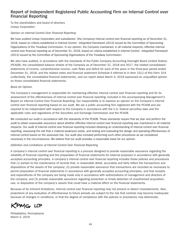## **Report of Independent Registered Public Accounting Firm on Internal Control over Financial Reporting**

To the stockholders and board of directors Unisys Corporation:

#### *Opinion on Internal Control Over Financial Reporting*

We have audited Unisys Corporation and subsidiaries' (the Company) internal control over financial reporting as of December 31, 2018, based on criteria established in *Internal Control - Integrated Framework (2013)* issued by the Committee of Sponsoring Organizations of the Treadway Commission. In our opinion, the Company maintained, in all material respects, effective internal control over financial reporting as of December 31, 2018, based on criteria established in *Internal Control - Integrated Framework (2013)* issued by the Committee of Sponsoring Organizations of the Treadway Commission.

We also have audited, in accordance with the standards of the Public Company Accounting Oversight Board (United States) (PCAOB), the consolidated balance sheets of the Company as of December 31, 2018 and 2017, the related consolidated statements of income, comprehensive income, cash flows and deficit for each of the years in the three-year period ended December 31, 2018, and the related notes and financial statement Schedule II referred to in Item 15(1) of this Form 10-K (collectively, the consolidated financial statements), and our report dated March 4, 2019 expressed an unqualified opinion on those consolidated financial statements.

#### *Basis for Opinion*

The Company's management is responsible for maintaining effective internal control over financial reporting and for its assessment of the effectiveness of internal control over financial reporting, included in the accompanying Management's Report on Internal Control Over Financial Reporting. Our responsibility is to express an opinion on the Company's internal control over financial reporting based on our audit. We are a public accounting firm registered with the PCAOB and are required to be independent with respect to the Company in accordance with the U.S. federal securities laws and the applicable rules and regulations of the Securities and Exchange Commission and the PCAOB.

We conducted our audit in accordance with the standards of the PCAOB. Those standards require that we plan and perform the audit to obtain reasonable assurance about whether effective internal control over financial reporting was maintained in all material respects. Our audit of internal control over financial reporting included obtaining an understanding of internal control over financial reporting, assessing the risk that a material weakness exists, and testing and evaluating the design and operating effectiveness of internal control based on the assessed risk. Our audit also included performing such other procedures as we considered necessary in the circumstances. We believe that our audit provides a reasonable basis for our opinion.

#### *Definition and Limitations of Internal Control Over Financial Reporting*

A company's internal control over financial reporting is a process designed to provide reasonable assurance regarding the reliability of financial reporting and the preparation of financial statements for external purposes in accordance with generally accepted accounting principles. A company's internal control over financial reporting includes those policies and procedures that (1) pertain to the maintenance of records that, in reasonable detail, accurately and fairly reflect the transactions and dispositions of the assets of the company; (2) provide reasonable assurance that transactions are recorded as necessary to permit preparation of financial statements in accordance with generally accepted accounting principles, and that receipts and expenditures of the company are being made only in accordance with authorizations of management and directors of the company; and (3) provide reasonable assurance regarding prevention or timely detection of unauthorized acquisition, use, or disposition of the company's assets that could have a material effect on the financial statements.

Because of its inherent limitations, internal control over financial reporting may not prevent or detect misstatements. Also, projections of any evaluation of effectiveness to future periods are subject to the risk that controls may become inadequate because of changes in conditions, or that the degree of compliance with the policies or procedures may deteriorate.

KPMG LLP

Philadelphia, Pennsylvania March 4, 2019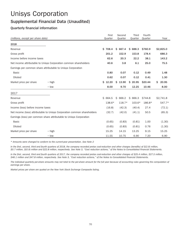# Unisys Corporation

# **Supplemental Financial Data (Unaudited)**

## **Quarterly financial information**

|                                                                          | First      | Second       | Third    | Fourth   |             |
|--------------------------------------------------------------------------|------------|--------------|----------|----------|-------------|
| (millions, except per share data)                                        | Quarter    | Quarter      | Quarter  | Quarter  | Year        |
| 2018                                                                     |            |              |          |          |             |
| Revenue                                                                  | Ś<br>708.4 | 667.4<br>\$. | \$688.3  | \$760.9  | \$2,825.0   |
| Gross profit                                                             | 201.2      | 152.9        | 153.8    | 178.4    | 686.3       |
| Income before income taxes                                               | 62.6       | 20.3         | 22.2     | 38.1     | 143.2       |
| Net income attributable to Unisys Corporation common shareholders        | 40.6       | 3.8          | 6.1      | 25.0     | 75.5        |
| Earnings per common share attributable to Unisys Corporation             |            |              |          |          |             |
| <b>Basic</b>                                                             | 0.80       | 0.07         | 0.12     | 0.49     | 1.48        |
| Diluted                                                                  | 0.62       | 0.07         | 0.12     | 0.41     | 1.30        |
| Market price per share<br>– high                                         | 12.20<br>S | 13.90<br>\$. | \$20.95  | \$20.44  | 20.95<br>Ŝ. |
| $-$ low                                                                  | 8.00       | 9.70         | 12.25    | 10.46    | 8.00        |
| 2017                                                                     |            |              |          |          |             |
| Revenue                                                                  | \$664.5    | \$<br>666.2  | \$666.3  | \$744.8  | \$2,741.8   |
| Gross profit                                                             | $138.6*$   | $118.7*$     | $103.6*$ | $186.8*$ | 547.7*      |
| Income (loss) before income taxes                                        | (16.8)     | (42.3)       | (40.4)   | 27.4     | (72.1)      |
| Net income (loss) attributable to Unisys Corporation common shareholders | (32.7)     | (42.0)       | (41.1)   | 50.5     | (65.3)      |
| Earnings (loss) per common share attributable to Unisys Corporation      |            |              |          |          |             |
| <b>Basic</b>                                                             | (0.65)     | (0.83)       | (0.81)   | 1.00     | (1.30)      |
| Diluted                                                                  | (0.65)     | (0.83)       | (0.81)   | 0.76     | (1.30)      |
| Market price per share<br>– high                                         | 15.25      | 14.15        | 13.25    | 9.15     | 15.25       |
| $-$ low                                                                  | 11.55      | 10.75        | 6.90     | 7.20     | 6.90        |

*\* Amounts were changed to conform to the current-year presentation. See Note 2*

*In the first, second, third and fourth quarters of 2018, the company recorded pretax cost-reduction and other charges (benefits) of \$(2.9) million, \$0.7 million, \$(0.9) million and \$22.8 million, respectively. See Note 3, "Cost reduction actions," of the Notes to Consolidated Financial Statements.*

*In the first, second, third and fourth quarters of 2017, the company recorded pretax cost-reduction and other charges of \$25.4 million, \$27.5 million, \$46.1 million and \$47.8 million, respectively. See Note 3, "Cost reduction actions," of the Notes to Consolidated Financial Statements.*

*The individual quarterly per-share amounts may not total to the per-share amount for the full year because of accounting rules governing the computation of earnings per share.*

*Market prices per share are quoted on the New York Stock Exchange Composite listing.*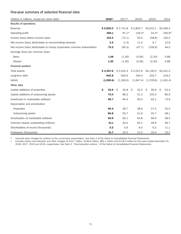### **Five-year summary of selected financial data**

| (Dollars in millions, except per share data)                             | 2018(i)    | 2017(i)    | 2016(i)    | $2015^{(i)}$ | 2014       |
|--------------------------------------------------------------------------|------------|------------|------------|--------------|------------|
| Results of operations                                                    |            |            |            |              |            |
| Revenue                                                                  | \$2,825.0  | \$2,741.8  | \$2,820.7  | \$3,015.1    | \$3,356.4  |
| Operating profit                                                         | 284.1      | $97.1*$    | 129.2*     | $54.3*$      | $230.8*$   |
| Income (loss) before income taxes                                        | 143.2      | (72.1)     | 20.5       | (58.8)       | 145.5      |
| Net income (loss) attributable to noncontrolling interests               | 3.4        | (1.3)      | 11.0       | 6.7          | 12.6       |
| Net income (loss) attributable to Unisys Corporation common shareholders | 75.5       | (65.3)     | (47.7)     | (109.9)      | 44.0       |
| Earnings (loss) per common share                                         |            |            |            |              |            |
| <b>Basic</b>                                                             | 1.48       | (1.30)     | (0.95)     | (2.20)       | 0.89       |
| <b>Diluted</b>                                                           | 1.30       | (1.30)     | (0.95)     | (2.20)       | 0.89       |
| Financial position                                                       |            |            |            |              |            |
| <b>Total assets</b>                                                      | \$2.457.6  | \$2,542.4  | \$2,021.6  | \$2,130.0    | \$2,321.0  |
| Long-term debt                                                           | 642.8      | 633.9      | 194.0      | 233.7        | 219.2      |
| Deficit                                                                  | (1, 299.6) | (1,326.5)  | (1,647.4)  | (1,378.6)    | (1,452.4)  |
| Other data                                                               |            |            |            |              |            |
| Capital additions of properties                                          | 35.6<br>\$ | 25.8<br>Ś. | 32.5<br>Ŝ. | 49.6<br>Ŝ.   | Ŝ.<br>53.3 |
| Capital additions of outsourcing assets                                  | 73.0       | 86.3       | 51.3       | 102.0        | 85.9       |
| Investment in marketable software                                        | 80.7       | 64.4       | 63.3       | 62.1         | 73.6       |
| Depreciation and amortization                                            |            |            |            |              |            |
| Properties                                                               | 40.4       | 39.7       | 38.9       | 57.5         | 52.0       |
| Outsourcing assets                                                       | 66.8       | 53.7       | 51.9       | 55.7         | 58.1       |
| Amortization of marketable software                                      | 56.9       | 63.1       | 64.8       | 66.9         | 58.5       |
| Common shares outstanding (millions)                                     | 51.1       | 50.5       | 50.1       | 49.9         | 49.7       |
| Stockholders of record (thousands)                                       | 5.2        | 5.6        | 6.0        | 6.2          | 11.1       |
| Employees (thousands)                                                    | 21.7       | 20.5       | 21.0       | 23.0         | 23.2       |

\* Amounts were changed to conform to the current-year presentation. See Note 2 of the Notes to Consolidated Financial Statements.<br><sup>(i)</sup> Includes pretax cost-reduction and other charges of \$19.7 million, \$146.8 million, \$82

Includes pretax cost-reduction and other charges of \$19.7 million, \$146.8 million, \$82.1 million and \$118.5 million for the years ended December 31, 2018, 2017, 2016 and 2015, respectively. See Note 3, "Cost-reduction actions," of the Notes to Consolidated Financial Statements.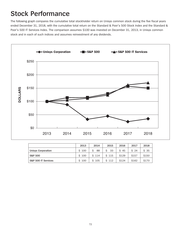# **Stock Performance**

The following graph compares the cumulative total stockholder return on Unisys common stock during the five fiscal years ended December 31, 2018, with the cumulative total return on the Standard & Poor's 500 Stock Index and the Standard & Poor's 500 IT Services Index. The comparison assumes \$100 was invested on December 31, 2013, in Unisys common stock and in each of such indices and assumes reinvestment of any dividends.



|                     | 2013  | 2014      | 2015      | 2016  | 2017           | 2018        |
|---------------------|-------|-----------|-----------|-------|----------------|-------------|
| Unisys Corporation  | \$100 | 88<br>S   | Ś<br>- 33 | \$45  | $\frac{1}{24}$ | S 35        |
| <b>S&amp;P 500</b>  | \$100 | \$114     | \$115     | \$129 | <b>\$157</b>   | \$150       |
| S&P 500 IT Services | \$100 | 105<br>Ŝ. | \$112     | \$124 | \$162          | <b>S170</b> |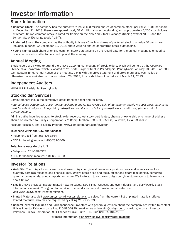## **Stock Information**

- **Common Stock:** The company has the authority to issue 150 million shares of common stock, par value \$0.01 per share. At December 31, 2018, there were approximately 51.0 million shares outstanding and approximately 5,200 stockholders of record. Unisys common stock is listed for trading on the New York Stock Exchange (trading symbol "UIS") and the London Stock Exchange (code "USY").
- **Preferred Stock:** The company has the authority to issue 40 million shares of preferred stock, par value \$1 per share, issuable in series. At December 31, 2018, there were no shares of preferred stock outstanding.
- **Voting Rights:** Each share of Unisys common stock outstanding on the record date for the annual meeting is entitled to one vote on each matter to be voted upon at the meeting.

## **Annual Meeting**

Stockholders are invited to attend the Unisys 2019 Annual Meeting of Stockholders, which will be held at the Courtyard Philadelphia Downtown, which is located at 21 North Juniper Street in Philadelphia, Pennsylvania, on May 10, 2019, at 8:00 a.m. Eastern Time. Formal notice of the meeting, along with the proxy statement and proxy materials, was mailed or otherwise made available on or about March 29, 2019, to stockholders of record as of March 11, 2019.

## **Independent Auditors**

KPMG LLP Philadelphia, Pennsylvania

#### **Stockholder Services**

Computershare Inc. is the company's stock transfer agent and registrar.

*Note: Effective October 23, 2009, Unisys declared a one-for-ten reverse split of its common stock. Pre-split stock certificates must be submitted for exchange into post-split shares. If you are holding pre-split stock certificates, please contact Computershare.*

Administrative inquiries relating to stockholder records, lost stock certificates, change of ownership or change of address should be directed to: Unisys Corporation, c/o Computershare, PO BOX 505000, Louisville, KY 40233-5000.

Account Access & Share Selling Program: www.computershare.com/investor

**Telephone within the U.S. and Canada:**

- Telephone toll free: 866-405-6564
- TDD for hearing impaired: 800-231-5469

#### **Telephone outside the U.S.:**

- Telephone: 201-680-6578
- TDD for hearing impaired: 201-680-6610

#### **Investor Relations**

- **Web Site:** The Unisys Investor Web site at www.unisys.com/investor-relations provides news and events as well as quarterly earnings releases and financial data, Unisys stock price and tools, officer and board biographies, corporate governance materials, annual reports and more. We invite you to visit www.unisys.com/investor-relations to learn more about Unisys.
- **Email:** Unisys provides investor-related news releases, SEC filings, webcast and event details, and daily/weekly stock information via email. To sign up for email or to amend your current investor e-mail selection, visit www.unisys.com/ investor-relations.
- **Printed Materials:** Visit www.unisys.com/investor-relations to select from the current list of printed materials offered. Printed materials also may be requested by calling 215-986-6999.
- **General Investor Inquiries and Correspondence:** Investors with general questions about the company are invited to contact Unisys Investor Relations by calling 215-986-6999, emailing us at investor@unisys.com, or writing to us at: Investor Relations, Unisys Corporation, 801 Lakeview Drive, Suite 100, Blue Bell, PA 19422.

**For more information, visit www.unisys.com/investor-relations**